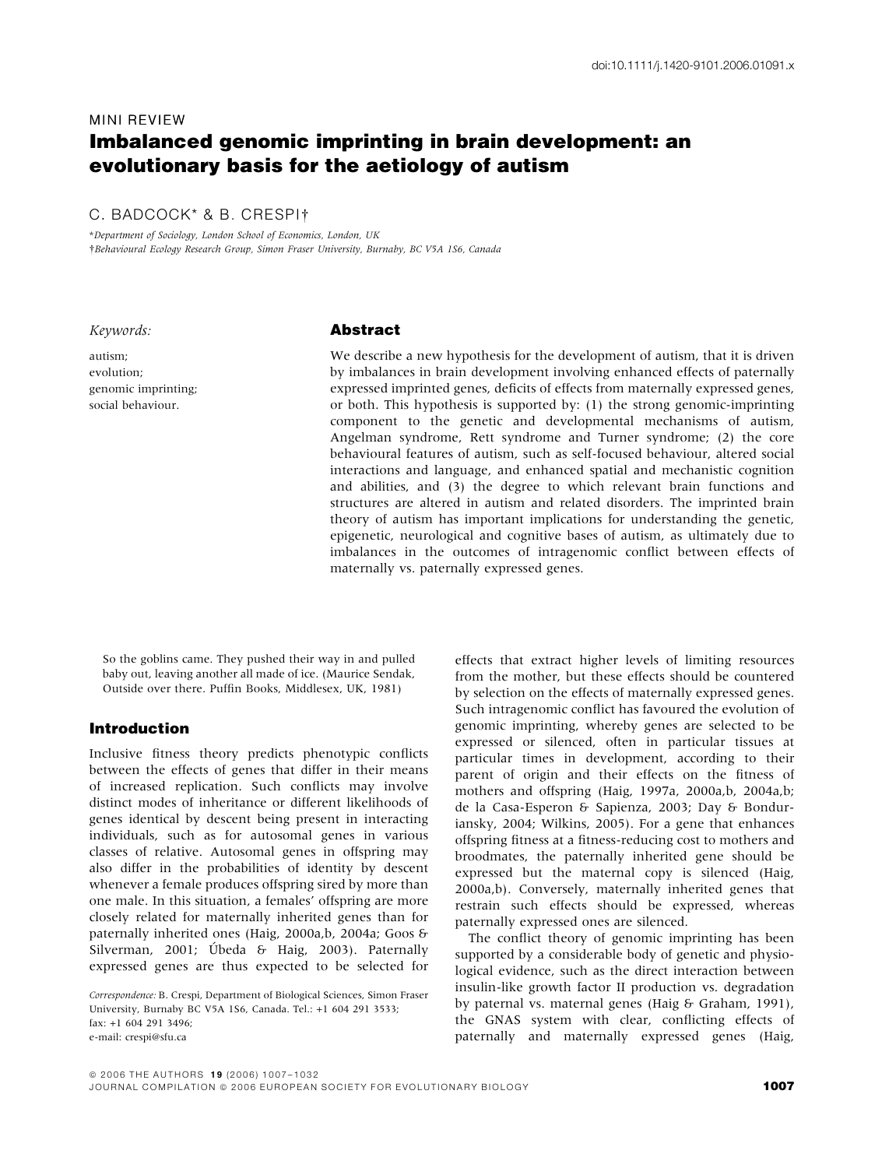# MINI REVIEW Imbalanced genomic imprinting in brain development: an evolutionary basis for the aetiology of autism

# C. BADCOCK\* & B. CRESPI

\*Department of Sociology, London School of Economics, London, UK Behavioural Ecology Research Group, Simon Fraser University, Burnaby, BC V5A 1S6, Canada

Keywords:

autism; evolution; genomic imprinting; social behaviour.

### Abstract

We describe a new hypothesis for the development of autism, that it is driven by imbalances in brain development involving enhanced effects of paternally expressed imprinted genes, deficits of effects from maternally expressed genes, or both. This hypothesis is supported by: (1) the strong genomic-imprinting component to the genetic and developmental mechanisms of autism, Angelman syndrome, Rett syndrome and Turner syndrome; (2) the core behavioural features of autism, such as self-focused behaviour, altered social interactions and language, and enhanced spatial and mechanistic cognition and abilities, and (3) the degree to which relevant brain functions and structures are altered in autism and related disorders. The imprinted brain theory of autism has important implications for understanding the genetic, epigenetic, neurological and cognitive bases of autism, as ultimately due to imbalances in the outcomes of intragenomic conflict between effects of maternally vs. paternally expressed genes.

So the goblins came. They pushed their way in and pulled baby out, leaving another all made of ice. (Maurice Sendak, Outside over there. Puffin Books, Middlesex, UK, 1981)

# Introduction

Inclusive fitness theory predicts phenotypic conflicts between the effects of genes that differ in their means of increased replication. Such conflicts may involve distinct modes of inheritance or different likelihoods of genes identical by descent being present in interacting individuals, such as for autosomal genes in various classes of relative. Autosomal genes in offspring may also differ in the probabilities of identity by descent whenever a female produces offspring sired by more than one male. In this situation, a females' offspring are more closely related for maternally inherited genes than for paternally inherited ones (Haig, 2000a,b, 2004a; Goos & Silverman, 2001; Úbeda & Haig, 2003). Paternally expressed genes are thus expected to be selected for

Correspondence: B. Crespi, Department of Biological Sciences, Simon Fraser University, Burnaby BC V5A 1S6, Canada. Tel.: +1 604 291 3533; fax: +1 604 291 3496; e-mail: crespi@sfu.ca

effects that extract higher levels of limiting resources from the mother, but these effects should be countered by selection on the effects of maternally expressed genes. Such intragenomic conflict has favoured the evolution of genomic imprinting, whereby genes are selected to be expressed or silenced, often in particular tissues at particular times in development, according to their parent of origin and their effects on the fitness of mothers and offspring (Haig, 1997a, 2000a,b, 2004a,b; de la Casa-Esperon & Sapienza, 2003; Day & Bonduriansky, 2004; Wilkins, 2005). For a gene that enhances offspring fitness at a fitness-reducing cost to mothers and broodmates, the paternally inherited gene should be expressed but the maternal copy is silenced (Haig, 2000a,b). Conversely, maternally inherited genes that restrain such effects should be expressed, whereas paternally expressed ones are silenced.

The conflict theory of genomic imprinting has been supported by a considerable body of genetic and physiological evidence, such as the direct interaction between insulin-like growth factor II production vs. degradation by paternal vs. maternal genes (Haig & Graham, 1991), the GNAS system with clear, conflicting effects of paternally and maternally expressed genes (Haig,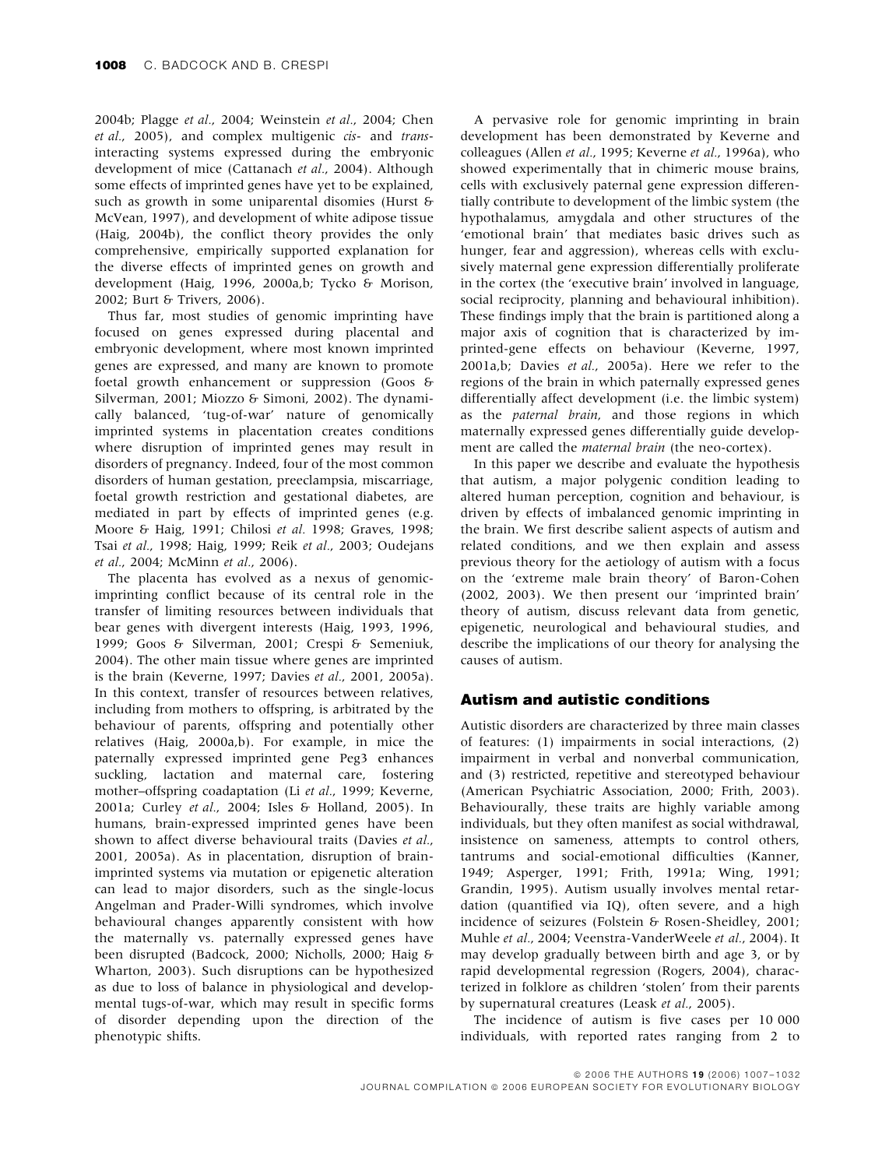2004b; Plagge et al., 2004; Weinstein et al., 2004; Chen et al., 2005), and complex multigenic cis- and transinteracting systems expressed during the embryonic development of mice (Cattanach et al., 2004). Although some effects of imprinted genes have yet to be explained, such as growth in some uniparental disomies (Hurst & McVean, 1997), and development of white adipose tissue (Haig, 2004b), the conflict theory provides the only comprehensive, empirically supported explanation for the diverse effects of imprinted genes on growth and development (Haig, 1996, 2000a,b; Tycko & Morison, 2002; Burt & Trivers, 2006).

Thus far, most studies of genomic imprinting have focused on genes expressed during placental and embryonic development, where most known imprinted genes are expressed, and many are known to promote foetal growth enhancement or suppression (Goos & Silverman, 2001; Miozzo & Simoni, 2002). The dynamically balanced, 'tug-of-war' nature of genomically imprinted systems in placentation creates conditions where disruption of imprinted genes may result in disorders of pregnancy. Indeed, four of the most common disorders of human gestation, preeclampsia, miscarriage, foetal growth restriction and gestational diabetes, are mediated in part by effects of imprinted genes (e.g. Moore & Haig, 1991; Chilosi et al. 1998; Graves, 1998; Tsai et al., 1998; Haig, 1999; Reik et al., 2003; Oudejans et al., 2004; McMinn et al., 2006).

The placenta has evolved as a nexus of genomicimprinting conflict because of its central role in the transfer of limiting resources between individuals that bear genes with divergent interests (Haig, 1993, 1996, 1999; Goos & Silverman, 2001; Crespi & Semeniuk, 2004). The other main tissue where genes are imprinted is the brain (Keverne, 1997; Davies et al., 2001, 2005a). In this context, transfer of resources between relatives, including from mothers to offspring, is arbitrated by the behaviour of parents, offspring and potentially other relatives (Haig, 2000a,b). For example, in mice the paternally expressed imprinted gene Peg3 enhances suckling, lactation and maternal care, fostering mother–offspring coadaptation (Li et al., 1999; Keverne, 2001a; Curley et al., 2004; Isles & Holland, 2005). In humans, brain-expressed imprinted genes have been shown to affect diverse behavioural traits (Davies et al., 2001, 2005a). As in placentation, disruption of brainimprinted systems via mutation or epigenetic alteration can lead to major disorders, such as the single-locus Angelman and Prader-Willi syndromes, which involve behavioural changes apparently consistent with how the maternally vs. paternally expressed genes have been disrupted (Badcock, 2000; Nicholls, 2000; Haig & Wharton, 2003). Such disruptions can be hypothesized as due to loss of balance in physiological and developmental tugs-of-war, which may result in specific forms of disorder depending upon the direction of the phenotypic shifts.

A pervasive role for genomic imprinting in brain development has been demonstrated by Keverne and colleagues (Allen et al., 1995; Keverne et al., 1996a), who showed experimentally that in chimeric mouse brains, cells with exclusively paternal gene expression differentially contribute to development of the limbic system (the hypothalamus, amygdala and other structures of the 'emotional brain' that mediates basic drives such as hunger, fear and aggression), whereas cells with exclusively maternal gene expression differentially proliferate in the cortex (the 'executive brain' involved in language, social reciprocity, planning and behavioural inhibition). These findings imply that the brain is partitioned along a major axis of cognition that is characterized by imprinted-gene effects on behaviour (Keverne, 1997, 2001a,b; Davies et al., 2005a). Here we refer to the regions of the brain in which paternally expressed genes differentially affect development (i.e. the limbic system) as the paternal brain, and those regions in which maternally expressed genes differentially guide development are called the maternal brain (the neo-cortex).

In this paper we describe and evaluate the hypothesis that autism, a major polygenic condition leading to altered human perception, cognition and behaviour, is driven by effects of imbalanced genomic imprinting in the brain. We first describe salient aspects of autism and related conditions, and we then explain and assess previous theory for the aetiology of autism with a focus on the 'extreme male brain theory' of Baron-Cohen (2002, 2003). We then present our 'imprinted brain' theory of autism, discuss relevant data from genetic, epigenetic, neurological and behavioural studies, and describe the implications of our theory for analysing the causes of autism.

# Autism and autistic conditions

Autistic disorders are characterized by three main classes of features: (1) impairments in social interactions, (2) impairment in verbal and nonverbal communication, and (3) restricted, repetitive and stereotyped behaviour (American Psychiatric Association, 2000; Frith, 2003). Behaviourally, these traits are highly variable among individuals, but they often manifest as social withdrawal, insistence on sameness, attempts to control others, tantrums and social-emotional difficulties (Kanner, 1949; Asperger, 1991; Frith, 1991a; Wing, 1991; Grandin, 1995). Autism usually involves mental retardation (quantified via IQ), often severe, and a high incidence of seizures (Folstein & Rosen-Sheidley, 2001; Muhle et al., 2004; Veenstra-VanderWeele et al., 2004). It may develop gradually between birth and age 3, or by rapid developmental regression (Rogers, 2004), characterized in folklore as children 'stolen' from their parents by supernatural creatures (Leask et al., 2005).

The incidence of autism is five cases per 10 000 individuals, with reported rates ranging from 2 to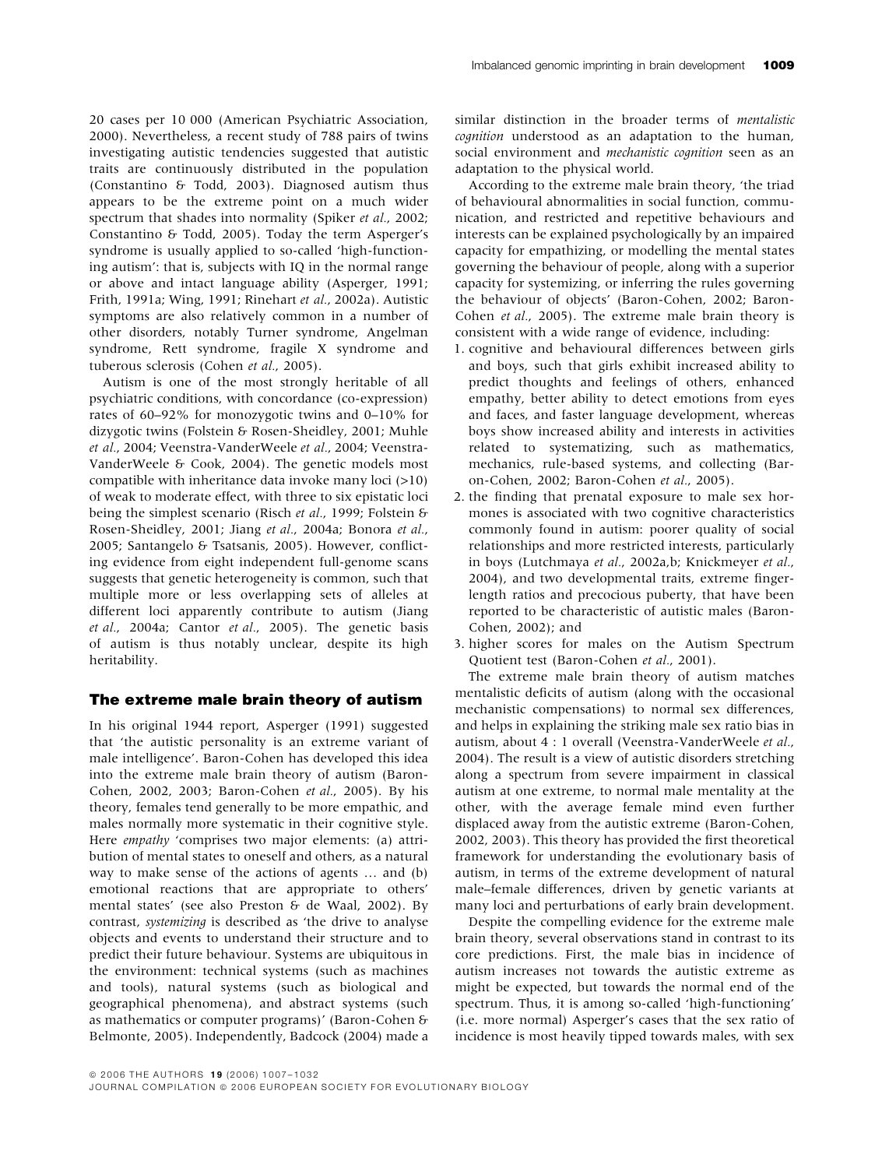20 cases per 10 000 (American Psychiatric Association, 2000). Nevertheless, a recent study of 788 pairs of twins investigating autistic tendencies suggested that autistic traits are continuously distributed in the population (Constantino & Todd, 2003). Diagnosed autism thus appears to be the extreme point on a much wider spectrum that shades into normality (Spiker et al., 2002; Constantino & Todd, 2005). Today the term Asperger's syndrome is usually applied to so-called 'high-functioning autism': that is, subjects with IQ in the normal range or above and intact language ability (Asperger, 1991; Frith, 1991a; Wing, 1991; Rinehart et al., 2002a). Autistic symptoms are also relatively common in a number of other disorders, notably Turner syndrome, Angelman syndrome, Rett syndrome, fragile X syndrome and tuberous sclerosis (Cohen et al., 2005).

Autism is one of the most strongly heritable of all psychiatric conditions, with concordance (co-expression) rates of 60–92% for monozygotic twins and 0–10% for dizygotic twins (Folstein & Rosen-Sheidley, 2001; Muhle et al., 2004; Veenstra-VanderWeele et al., 2004; Veenstra-VanderWeele & Cook, 2004). The genetic models most compatible with inheritance data invoke many loci (>10) of weak to moderate effect, with three to six epistatic loci being the simplest scenario (Risch et al., 1999; Folstein & Rosen-Sheidley, 2001; Jiang et al., 2004a; Bonora et al., 2005; Santangelo & Tsatsanis, 2005). However, conflicting evidence from eight independent full-genome scans suggests that genetic heterogeneity is common, such that multiple more or less overlapping sets of alleles at different loci apparently contribute to autism (Jiang et al., 2004a; Cantor et al., 2005). The genetic basis of autism is thus notably unclear, despite its high heritability.

## The extreme male brain theory of autism

In his original 1944 report, Asperger (1991) suggested that 'the autistic personality is an extreme variant of male intelligence'. Baron-Cohen has developed this idea into the extreme male brain theory of autism (Baron-Cohen, 2002, 2003; Baron-Cohen et al., 2005). By his theory, females tend generally to be more empathic, and males normally more systematic in their cognitive style. Here empathy 'comprises two major elements: (a) attribution of mental states to oneself and others, as a natural way to make sense of the actions of agents … and (b) emotional reactions that are appropriate to others' mental states' (see also Preston & de Waal, 2002). By contrast, systemizing is described as 'the drive to analyse objects and events to understand their structure and to predict their future behaviour. Systems are ubiquitous in the environment: technical systems (such as machines and tools), natural systems (such as biological and geographical phenomena), and abstract systems (such as mathematics or computer programs)' (Baron-Cohen & Belmonte, 2005). Independently, Badcock (2004) made a

similar distinction in the broader terms of mentalistic cognition understood as an adaptation to the human, social environment and *mechanistic cognition* seen as an adaptation to the physical world.

According to the extreme male brain theory, 'the triad of behavioural abnormalities in social function, communication, and restricted and repetitive behaviours and interests can be explained psychologically by an impaired capacity for empathizing, or modelling the mental states governing the behaviour of people, along with a superior capacity for systemizing, or inferring the rules governing the behaviour of objects' (Baron-Cohen, 2002; Baron-Cohen et al., 2005). The extreme male brain theory is consistent with a wide range of evidence, including:

- 1. cognitive and behavioural differences between girls and boys, such that girls exhibit increased ability to predict thoughts and feelings of others, enhanced empathy, better ability to detect emotions from eyes and faces, and faster language development, whereas boys show increased ability and interests in activities related to systematizing, such as mathematics, mechanics, rule-based systems, and collecting (Baron-Cohen, 2002; Baron-Cohen et al., 2005).
- 2. the finding that prenatal exposure to male sex hormones is associated with two cognitive characteristics commonly found in autism: poorer quality of social relationships and more restricted interests, particularly in boys (Lutchmaya et al., 2002a,b; Knickmeyer et al., 2004), and two developmental traits, extreme fingerlength ratios and precocious puberty, that have been reported to be characteristic of autistic males (Baron-Cohen, 2002); and
- 3. higher scores for males on the Autism Spectrum Quotient test (Baron-Cohen et al., 2001).

The extreme male brain theory of autism matches mentalistic deficits of autism (along with the occasional mechanistic compensations) to normal sex differences, and helps in explaining the striking male sex ratio bias in autism, about 4 : 1 overall (Veenstra-VanderWeele et al., 2004). The result is a view of autistic disorders stretching along a spectrum from severe impairment in classical autism at one extreme, to normal male mentality at the other, with the average female mind even further displaced away from the autistic extreme (Baron-Cohen, 2002, 2003). This theory has provided the first theoretical framework for understanding the evolutionary basis of autism, in terms of the extreme development of natural male–female differences, driven by genetic variants at many loci and perturbations of early brain development.

Despite the compelling evidence for the extreme male brain theory, several observations stand in contrast to its core predictions. First, the male bias in incidence of autism increases not towards the autistic extreme as might be expected, but towards the normal end of the spectrum. Thus, it is among so-called 'high-functioning' (i.e. more normal) Asperger's cases that the sex ratio of incidence is most heavily tipped towards males, with sex

ª 2006 THE AUTHORS 1 9 (2006) 1007–1032

JOURNAL COMPILATION @ 2006 EUROPEAN SOCIETY FOR EVOLUTIONARY BIOLOGY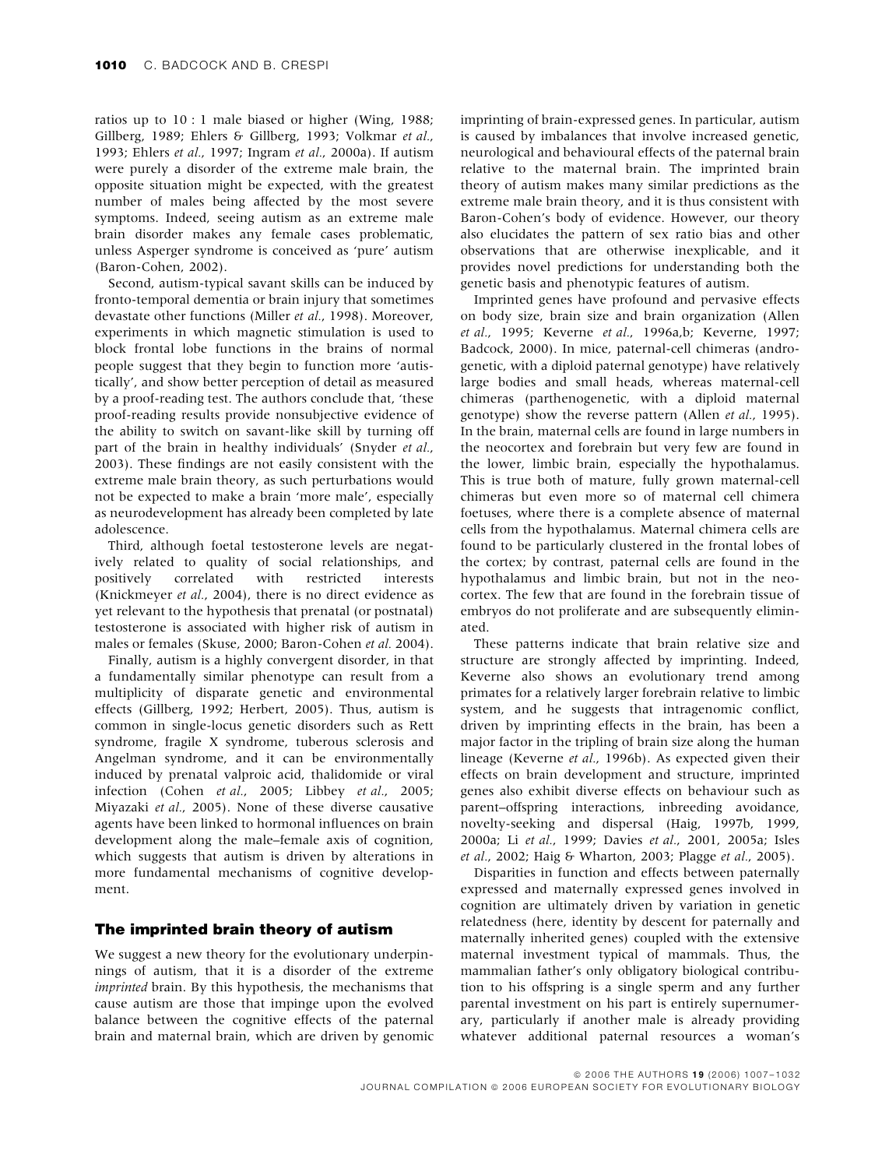ratios up to 10 : 1 male biased or higher (Wing, 1988; Gillberg, 1989; Ehlers & Gillberg, 1993; Volkmar et al., 1993; Ehlers et al., 1997; Ingram et al., 2000a). If autism were purely a disorder of the extreme male brain, the opposite situation might be expected, with the greatest number of males being affected by the most severe symptoms. Indeed, seeing autism as an extreme male brain disorder makes any female cases problematic, unless Asperger syndrome is conceived as 'pure' autism (Baron-Cohen, 2002).

Second, autism-typical savant skills can be induced by fronto-temporal dementia or brain injury that sometimes devastate other functions (Miller et al., 1998). Moreover, experiments in which magnetic stimulation is used to block frontal lobe functions in the brains of normal people suggest that they begin to function more 'autistically', and show better perception of detail as measured by a proof-reading test. The authors conclude that, 'these proof-reading results provide nonsubjective evidence of the ability to switch on savant-like skill by turning off part of the brain in healthy individuals' (Snyder et al., 2003). These findings are not easily consistent with the extreme male brain theory, as such perturbations would not be expected to make a brain 'more male', especially as neurodevelopment has already been completed by late adolescence.

Third, although foetal testosterone levels are negatively related to quality of social relationships, and positively correlated with restricted interests (Knickmeyer et al., 2004), there is no direct evidence as yet relevant to the hypothesis that prenatal (or postnatal) testosterone is associated with higher risk of autism in males or females (Skuse, 2000; Baron-Cohen et al. 2004).

Finally, autism is a highly convergent disorder, in that a fundamentally similar phenotype can result from a multiplicity of disparate genetic and environmental effects (Gillberg, 1992; Herbert, 2005). Thus, autism is common in single-locus genetic disorders such as Rett syndrome, fragile X syndrome, tuberous sclerosis and Angelman syndrome, and it can be environmentally induced by prenatal valproic acid, thalidomide or viral infection (Cohen et al., 2005; Libbey et al., 2005; Miyazaki et al., 2005). None of these diverse causative agents have been linked to hormonal influences on brain development along the male–female axis of cognition, which suggests that autism is driven by alterations in more fundamental mechanisms of cognitive development.

# The imprinted brain theory of autism

We suggest a new theory for the evolutionary underpinnings of autism, that it is a disorder of the extreme imprinted brain. By this hypothesis, the mechanisms that cause autism are those that impinge upon the evolved balance between the cognitive effects of the paternal brain and maternal brain, which are driven by genomic

imprinting of brain-expressed genes. In particular, autism is caused by imbalances that involve increased genetic, neurological and behavioural effects of the paternal brain relative to the maternal brain. The imprinted brain theory of autism makes many similar predictions as the extreme male brain theory, and it is thus consistent with Baron-Cohen's body of evidence. However, our theory also elucidates the pattern of sex ratio bias and other observations that are otherwise inexplicable, and it provides novel predictions for understanding both the genetic basis and phenotypic features of autism.

Imprinted genes have profound and pervasive effects on body size, brain size and brain organization (Allen et al., 1995; Keverne et al., 1996a,b; Keverne, 1997; Badcock, 2000). In mice, paternal-cell chimeras (androgenetic, with a diploid paternal genotype) have relatively large bodies and small heads, whereas maternal-cell chimeras (parthenogenetic, with a diploid maternal genotype) show the reverse pattern (Allen et al., 1995). In the brain, maternal cells are found in large numbers in the neocortex and forebrain but very few are found in the lower, limbic brain, especially the hypothalamus. This is true both of mature, fully grown maternal-cell chimeras but even more so of maternal cell chimera foetuses, where there is a complete absence of maternal cells from the hypothalamus. Maternal chimera cells are found to be particularly clustered in the frontal lobes of the cortex; by contrast, paternal cells are found in the hypothalamus and limbic brain, but not in the neocortex. The few that are found in the forebrain tissue of embryos do not proliferate and are subsequently eliminated.

These patterns indicate that brain relative size and structure are strongly affected by imprinting. Indeed, Keverne also shows an evolutionary trend among primates for a relatively larger forebrain relative to limbic system, and he suggests that intragenomic conflict, driven by imprinting effects in the brain, has been a major factor in the tripling of brain size along the human lineage (Keverne et al., 1996b). As expected given their effects on brain development and structure, imprinted genes also exhibit diverse effects on behaviour such as parent–offspring interactions, inbreeding avoidance, novelty-seeking and dispersal (Haig, 1997b, 1999, 2000a; Li et al., 1999; Davies et al., 2001, 2005a; Isles et al., 2002; Haig & Wharton, 2003; Plagge et al., 2005).

Disparities in function and effects between paternally expressed and maternally expressed genes involved in cognition are ultimately driven by variation in genetic relatedness (here, identity by descent for paternally and maternally inherited genes) coupled with the extensive maternal investment typical of mammals. Thus, the mammalian father's only obligatory biological contribution to his offspring is a single sperm and any further parental investment on his part is entirely supernumerary, particularly if another male is already providing whatever additional paternal resources a woman's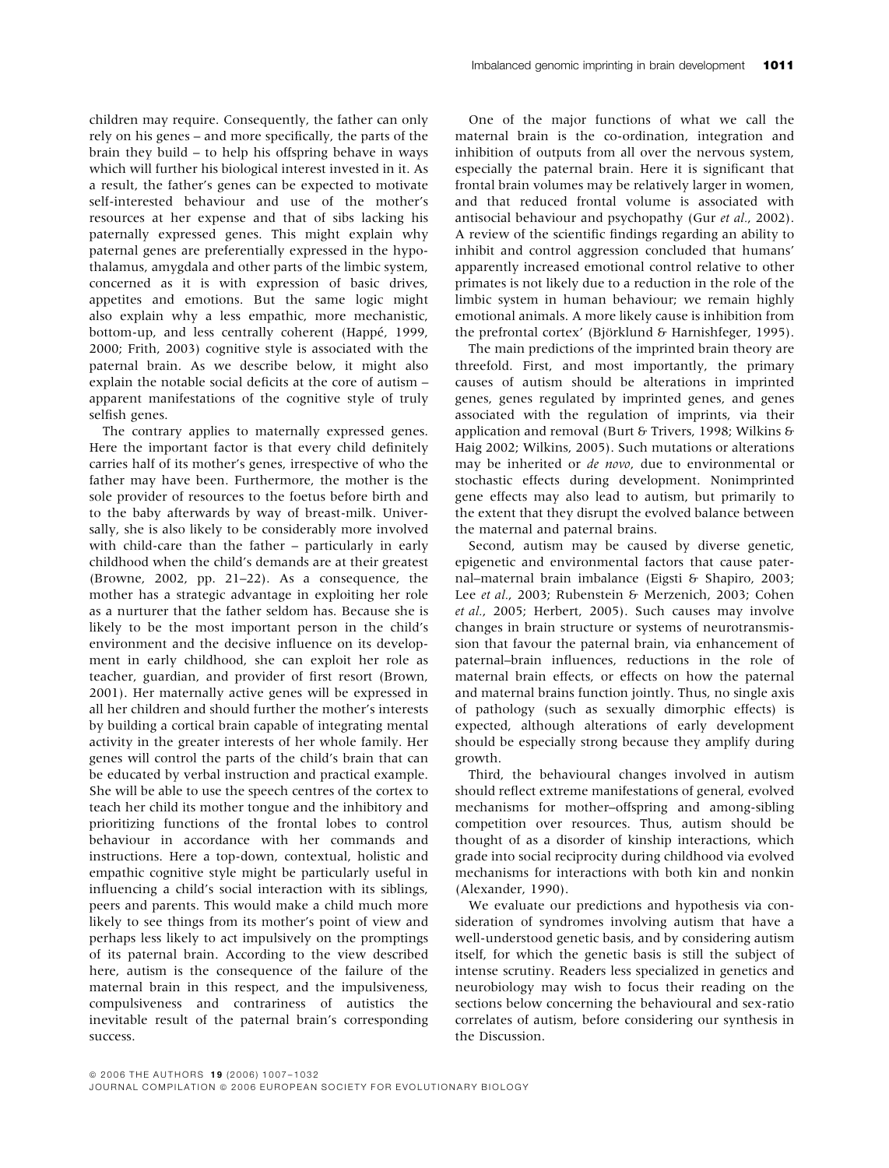children may require. Consequently, the father can only rely on his genes – and more specifically, the parts of the brain they build – to help his offspring behave in ways which will further his biological interest invested in it. As a result, the father's genes can be expected to motivate self-interested behaviour and use of the mother's resources at her expense and that of sibs lacking his paternally expressed genes. This might explain why paternal genes are preferentially expressed in the hypothalamus, amygdala and other parts of the limbic system, concerned as it is with expression of basic drives, appetites and emotions. But the same logic might also explain why a less empathic, more mechanistic, bottom-up, and less centrally coherent (Happé, 1999, 2000; Frith, 2003) cognitive style is associated with the paternal brain. As we describe below, it might also explain the notable social deficits at the core of autism – apparent manifestations of the cognitive style of truly selfish genes.

The contrary applies to maternally expressed genes. Here the important factor is that every child definitely carries half of its mother's genes, irrespective of who the father may have been. Furthermore, the mother is the sole provider of resources to the foetus before birth and to the baby afterwards by way of breast-milk. Universally, she is also likely to be considerably more involved with child-care than the father – particularly in early childhood when the child's demands are at their greatest (Browne, 2002, pp. 21–22). As a consequence, the mother has a strategic advantage in exploiting her role as a nurturer that the father seldom has. Because she is likely to be the most important person in the child's environment and the decisive influence on its development in early childhood, she can exploit her role as teacher, guardian, and provider of first resort (Brown, 2001). Her maternally active genes will be expressed in all her children and should further the mother's interests by building a cortical brain capable of integrating mental activity in the greater interests of her whole family. Her genes will control the parts of the child's brain that can be educated by verbal instruction and practical example. She will be able to use the speech centres of the cortex to teach her child its mother tongue and the inhibitory and prioritizing functions of the frontal lobes to control behaviour in accordance with her commands and instructions. Here a top-down, contextual, holistic and empathic cognitive style might be particularly useful in influencing a child's social interaction with its siblings, peers and parents. This would make a child much more likely to see things from its mother's point of view and perhaps less likely to act impulsively on the promptings of its paternal brain. According to the view described here, autism is the consequence of the failure of the maternal brain in this respect, and the impulsiveness, compulsiveness and contrariness of autistics the inevitable result of the paternal brain's corresponding success.

One of the major functions of what we call the maternal brain is the co-ordination, integration and inhibition of outputs from all over the nervous system, especially the paternal brain. Here it is significant that frontal brain volumes may be relatively larger in women, and that reduced frontal volume is associated with antisocial behaviour and psychopathy (Gur et al., 2002). A review of the scientific findings regarding an ability to inhibit and control aggression concluded that humans' apparently increased emotional control relative to other primates is not likely due to a reduction in the role of the limbic system in human behaviour; we remain highly emotional animals. A more likely cause is inhibition from the prefrontal cortex' (Björklund & Harnishfeger, 1995).

The main predictions of the imprinted brain theory are threefold. First, and most importantly, the primary causes of autism should be alterations in imprinted genes, genes regulated by imprinted genes, and genes associated with the regulation of imprints, via their application and removal (Burt & Trivers, 1998; Wilkins & Haig 2002; Wilkins, 2005). Such mutations or alterations may be inherited or *de novo*, due to environmental or stochastic effects during development. Nonimprinted gene effects may also lead to autism, but primarily to the extent that they disrupt the evolved balance between the maternal and paternal brains.

Second, autism may be caused by diverse genetic, epigenetic and environmental factors that cause paternal–maternal brain imbalance (Eigsti & Shapiro, 2003; Lee et al., 2003; Rubenstein & Merzenich, 2003; Cohen et al., 2005; Herbert, 2005). Such causes may involve changes in brain structure or systems of neurotransmission that favour the paternal brain, via enhancement of paternal–brain influences, reductions in the role of maternal brain effects, or effects on how the paternal and maternal brains function jointly. Thus, no single axis of pathology (such as sexually dimorphic effects) is expected, although alterations of early development should be especially strong because they amplify during growth.

Third, the behavioural changes involved in autism should reflect extreme manifestations of general, evolved mechanisms for mother–offspring and among-sibling competition over resources. Thus, autism should be thought of as a disorder of kinship interactions, which grade into social reciprocity during childhood via evolved mechanisms for interactions with both kin and nonkin (Alexander, 1990).

We evaluate our predictions and hypothesis via consideration of syndromes involving autism that have a well-understood genetic basis, and by considering autism itself, for which the genetic basis is still the subject of intense scrutiny. Readers less specialized in genetics and neurobiology may wish to focus their reading on the sections below concerning the behavioural and sex-ratio correlates of autism, before considering our synthesis in the Discussion.

<sup>© 2006</sup> THE AUTHORS 19 (2006) 1007-1032

JOURNAL COMPILATION @ 2006 EUROPEAN SOCIETY FOR EVOLUTIONARY BIOLOGY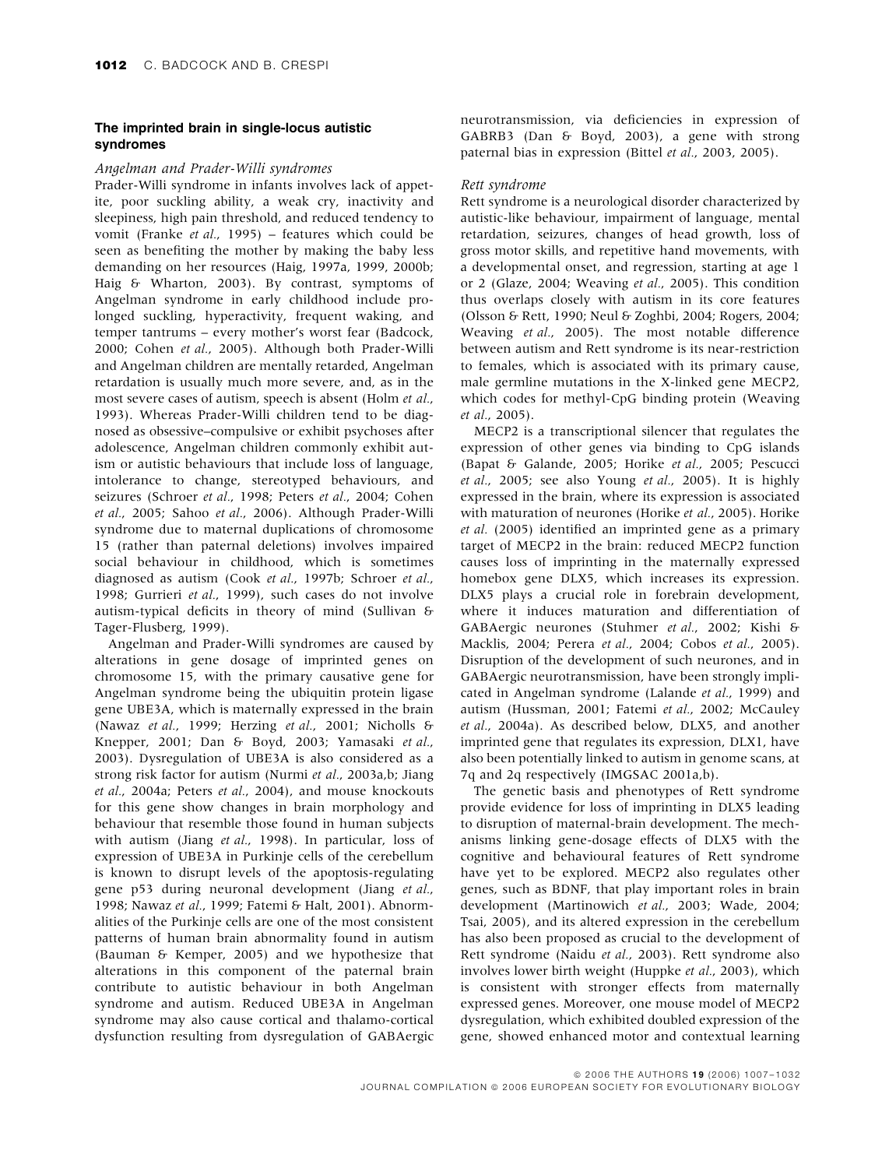# The imprinted brain in single-locus autistic syndromes

#### Angelman and Prader-Willi syndromes

Prader-Willi syndrome in infants involves lack of appetite, poor suckling ability, a weak cry, inactivity and sleepiness, high pain threshold, and reduced tendency to vomit (Franke et al., 1995) – features which could be seen as benefiting the mother by making the baby less demanding on her resources (Haig, 1997a, 1999, 2000b; Haig & Wharton, 2003). By contrast, symptoms of Angelman syndrome in early childhood include prolonged suckling, hyperactivity, frequent waking, and temper tantrums – every mother's worst fear (Badcock, 2000; Cohen et al., 2005). Although both Prader-Willi and Angelman children are mentally retarded, Angelman retardation is usually much more severe, and, as in the most severe cases of autism, speech is absent (Holm et al., 1993). Whereas Prader-Willi children tend to be diagnosed as obsessive–compulsive or exhibit psychoses after adolescence, Angelman children commonly exhibit autism or autistic behaviours that include loss of language, intolerance to change, stereotyped behaviours, and seizures (Schroer et al., 1998; Peters et al., 2004; Cohen et al., 2005; Sahoo et al., 2006). Although Prader-Willi syndrome due to maternal duplications of chromosome 15 (rather than paternal deletions) involves impaired social behaviour in childhood, which is sometimes diagnosed as autism (Cook et al., 1997b; Schroer et al., 1998; Gurrieri et al., 1999), such cases do not involve autism-typical deficits in theory of mind (Sullivan & Tager-Flusberg, 1999).

Angelman and Prader-Willi syndromes are caused by alterations in gene dosage of imprinted genes on chromosome 15, with the primary causative gene for Angelman syndrome being the ubiquitin protein ligase gene UBE3A, which is maternally expressed in the brain (Nawaz et al., 1999; Herzing et al., 2001; Nicholls & Knepper, 2001; Dan & Boyd, 2003; Yamasaki et al., 2003). Dysregulation of UBE3A is also considered as a strong risk factor for autism (Nurmi et al., 2003a,b; Jiang et al., 2004a; Peters et al., 2004), and mouse knockouts for this gene show changes in brain morphology and behaviour that resemble those found in human subjects with autism (Jiang et al., 1998). In particular, loss of expression of UBE3A in Purkinje cells of the cerebellum is known to disrupt levels of the apoptosis-regulating gene p53 during neuronal development (Jiang et al., 1998; Nawaz et al., 1999; Fatemi & Halt, 2001). Abnormalities of the Purkinje cells are one of the most consistent patterns of human brain abnormality found in autism (Bauman & Kemper, 2005) and we hypothesize that alterations in this component of the paternal brain contribute to autistic behaviour in both Angelman syndrome and autism. Reduced UBE3A in Angelman syndrome may also cause cortical and thalamo-cortical dysfunction resulting from dysregulation of GABAergic

neurotransmission, via deficiencies in expression of GABRB3 (Dan & Boyd, 2003), a gene with strong paternal bias in expression (Bittel et al., 2003, 2005).

### Rett syndrome

Rett syndrome is a neurological disorder characterized by autistic-like behaviour, impairment of language, mental retardation, seizures, changes of head growth, loss of gross motor skills, and repetitive hand movements, with a developmental onset, and regression, starting at age 1 or 2 (Glaze, 2004; Weaving et al., 2005). This condition thus overlaps closely with autism in its core features (Olsson & Rett, 1990; Neul & Zoghbi, 2004; Rogers, 2004; Weaving et al., 2005). The most notable difference between autism and Rett syndrome is its near-restriction to females, which is associated with its primary cause, male germline mutations in the X-linked gene MECP2, which codes for methyl-CpG binding protein (Weaving et al., 2005).

MECP2 is a transcriptional silencer that regulates the expression of other genes via binding to CpG islands (Bapat & Galande, 2005; Horike et al., 2005; Pescucci et al., 2005; see also Young et al., 2005). It is highly expressed in the brain, where its expression is associated with maturation of neurones (Horike et al., 2005). Horike et al. (2005) identified an imprinted gene as a primary target of MECP2 in the brain: reduced MECP2 function causes loss of imprinting in the maternally expressed homebox gene DLX5, which increases its expression. DLX5 plays a crucial role in forebrain development, where it induces maturation and differentiation of GABAergic neurones (Stuhmer et al., 2002; Kishi & Macklis, 2004; Perera et al., 2004; Cobos et al., 2005). Disruption of the development of such neurones, and in GABAergic neurotransmission, have been strongly implicated in Angelman syndrome (Lalande et al., 1999) and autism (Hussman, 2001; Fatemi et al., 2002; McCauley et al., 2004a). As described below, DLX5, and another imprinted gene that regulates its expression, DLX1, have also been potentially linked to autism in genome scans, at 7q and 2q respectively (IMGSAC 2001a,b).

The genetic basis and phenotypes of Rett syndrome provide evidence for loss of imprinting in DLX5 leading to disruption of maternal-brain development. The mechanisms linking gene-dosage effects of DLX5 with the cognitive and behavioural features of Rett syndrome have yet to be explored. MECP2 also regulates other genes, such as BDNF, that play important roles in brain development (Martinowich et al., 2003; Wade, 2004; Tsai, 2005), and its altered expression in the cerebellum has also been proposed as crucial to the development of Rett syndrome (Naidu et al., 2003). Rett syndrome also involves lower birth weight (Huppke et al., 2003), which is consistent with stronger effects from maternally expressed genes. Moreover, one mouse model of MECP2 dysregulation, which exhibited doubled expression of the gene, showed enhanced motor and contextual learning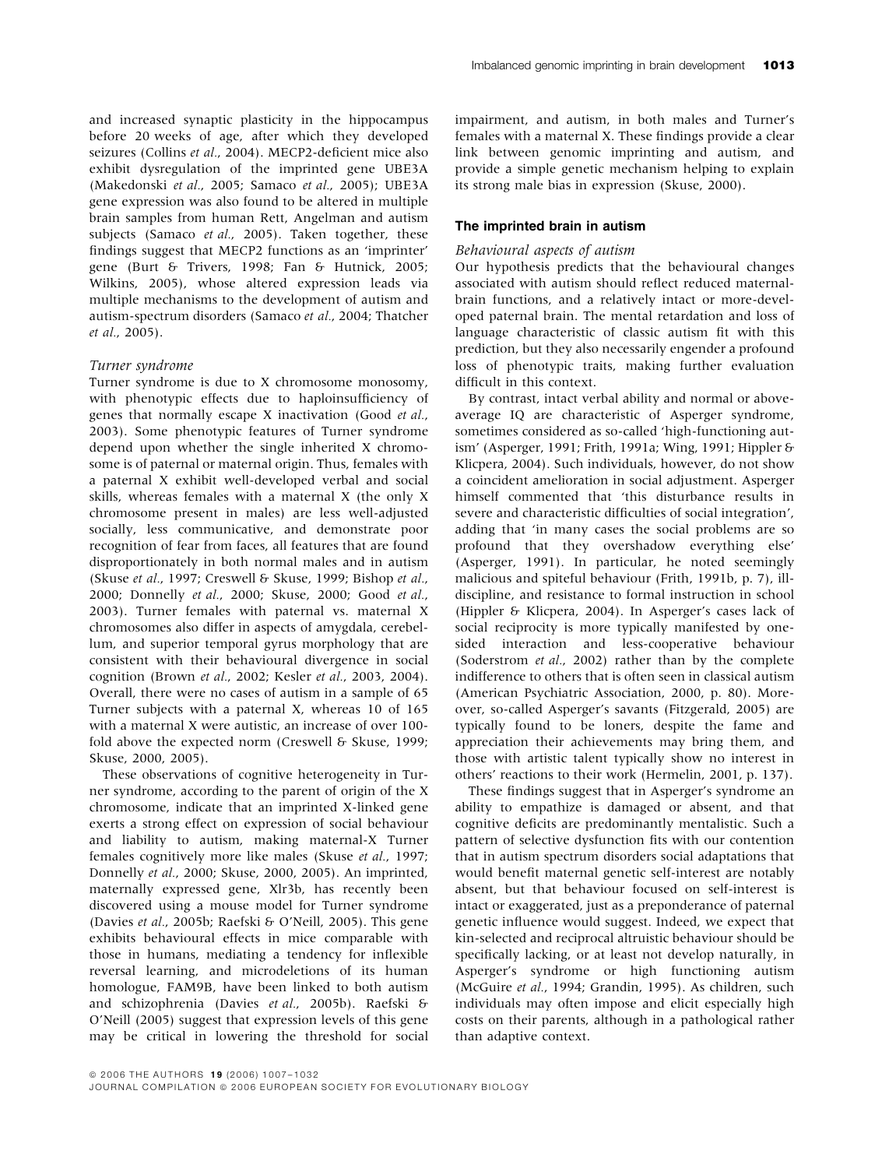and increased synaptic plasticity in the hippocampus before 20 weeks of age, after which they developed seizures (Collins et al., 2004). MECP2-deficient mice also exhibit dysregulation of the imprinted gene UBE3A (Makedonski et al., 2005; Samaco et al., 2005); UBE3A gene expression was also found to be altered in multiple brain samples from human Rett, Angelman and autism subjects (Samaco et al., 2005). Taken together, these findings suggest that MECP2 functions as an 'imprinter' gene (Burt & Trivers, 1998; Fan & Hutnick, 2005; Wilkins, 2005), whose altered expression leads via multiple mechanisms to the development of autism and autism-spectrum disorders (Samaco et al., 2004; Thatcher et al., 2005).

### Turner syndrome

Turner syndrome is due to X chromosome monosomy, with phenotypic effects due to haploinsufficiency of genes that normally escape X inactivation (Good et al., 2003). Some phenotypic features of Turner syndrome depend upon whether the single inherited X chromosome is of paternal or maternal origin. Thus, females with a paternal X exhibit well-developed verbal and social skills, whereas females with a maternal X (the only X chromosome present in males) are less well-adjusted socially, less communicative, and demonstrate poor recognition of fear from faces, all features that are found disproportionately in both normal males and in autism (Skuse et al., 1997; Creswell & Skuse, 1999; Bishop et al., 2000; Donnelly et al., 2000; Skuse, 2000; Good et al., 2003). Turner females with paternal vs. maternal X chromosomes also differ in aspects of amygdala, cerebellum, and superior temporal gyrus morphology that are consistent with their behavioural divergence in social cognition (Brown et al., 2002; Kesler et al., 2003, 2004). Overall, there were no cases of autism in a sample of 65 Turner subjects with a paternal X, whereas 10 of 165 with a maternal X were autistic, an increase of over 100 fold above the expected norm (Creswell & Skuse, 1999; Skuse, 2000, 2005).

These observations of cognitive heterogeneity in Turner syndrome, according to the parent of origin of the X chromosome, indicate that an imprinted X-linked gene exerts a strong effect on expression of social behaviour and liability to autism, making maternal-X Turner females cognitively more like males (Skuse et al., 1997; Donnelly et al., 2000; Skuse, 2000, 2005). An imprinted, maternally expressed gene, Xlr3b, has recently been discovered using a mouse model for Turner syndrome (Davies et al., 2005b; Raefski & O'Neill, 2005). This gene exhibits behavioural effects in mice comparable with those in humans, mediating a tendency for inflexible reversal learning, and microdeletions of its human homologue, FAM9B, have been linked to both autism and schizophrenia (Davies et al., 2005b). Raefski & O'Neill (2005) suggest that expression levels of this gene may be critical in lowering the threshold for social

impairment, and autism, in both males and Turner's females with a maternal X. These findings provide a clear link between genomic imprinting and autism, and provide a simple genetic mechanism helping to explain its strong male bias in expression (Skuse, 2000).

### The imprinted brain in autism

#### Behavioural aspects of autism

Our hypothesis predicts that the behavioural changes associated with autism should reflect reduced maternalbrain functions, and a relatively intact or more-developed paternal brain. The mental retardation and loss of language characteristic of classic autism fit with this prediction, but they also necessarily engender a profound loss of phenotypic traits, making further evaluation difficult in this context.

By contrast, intact verbal ability and normal or aboveaverage IQ are characteristic of Asperger syndrome, sometimes considered as so-called 'high-functioning autism' (Asperger, 1991; Frith, 1991a; Wing, 1991; Hippler & Klicpera, 2004). Such individuals, however, do not show a coincident amelioration in social adjustment. Asperger himself commented that 'this disturbance results in severe and characteristic difficulties of social integration', adding that 'in many cases the social problems are so profound that they overshadow everything else' (Asperger, 1991). In particular, he noted seemingly malicious and spiteful behaviour (Frith, 1991b, p. 7), illdiscipline, and resistance to formal instruction in school (Hippler & Klicpera, 2004). In Asperger's cases lack of social reciprocity is more typically manifested by onesided interaction and less-cooperative behaviour (Soderstrom et al., 2002) rather than by the complete indifference to others that is often seen in classical autism (American Psychiatric Association, 2000, p. 80). Moreover, so-called Asperger's savants (Fitzgerald, 2005) are typically found to be loners, despite the fame and appreciation their achievements may bring them, and those with artistic talent typically show no interest in others' reactions to their work (Hermelin, 2001, p. 137).

These findings suggest that in Asperger's syndrome an ability to empathize is damaged or absent, and that cognitive deficits are predominantly mentalistic. Such a pattern of selective dysfunction fits with our contention that in autism spectrum disorders social adaptations that would benefit maternal genetic self-interest are notably absent, but that behaviour focused on self-interest is intact or exaggerated, just as a preponderance of paternal genetic influence would suggest. Indeed, we expect that kin-selected and reciprocal altruistic behaviour should be specifically lacking, or at least not develop naturally, in Asperger's syndrome or high functioning autism (McGuire et al., 1994; Grandin, 1995). As children, such individuals may often impose and elicit especially high costs on their parents, although in a pathological rather than adaptive context.

ª 2006 THE AUTHORS 1 9 (2006) 1007–1032

JOURNAL COMPILATION @ 2006 EUROPEAN SOCIETY FOR EVOLUTIONARY BIOLOGY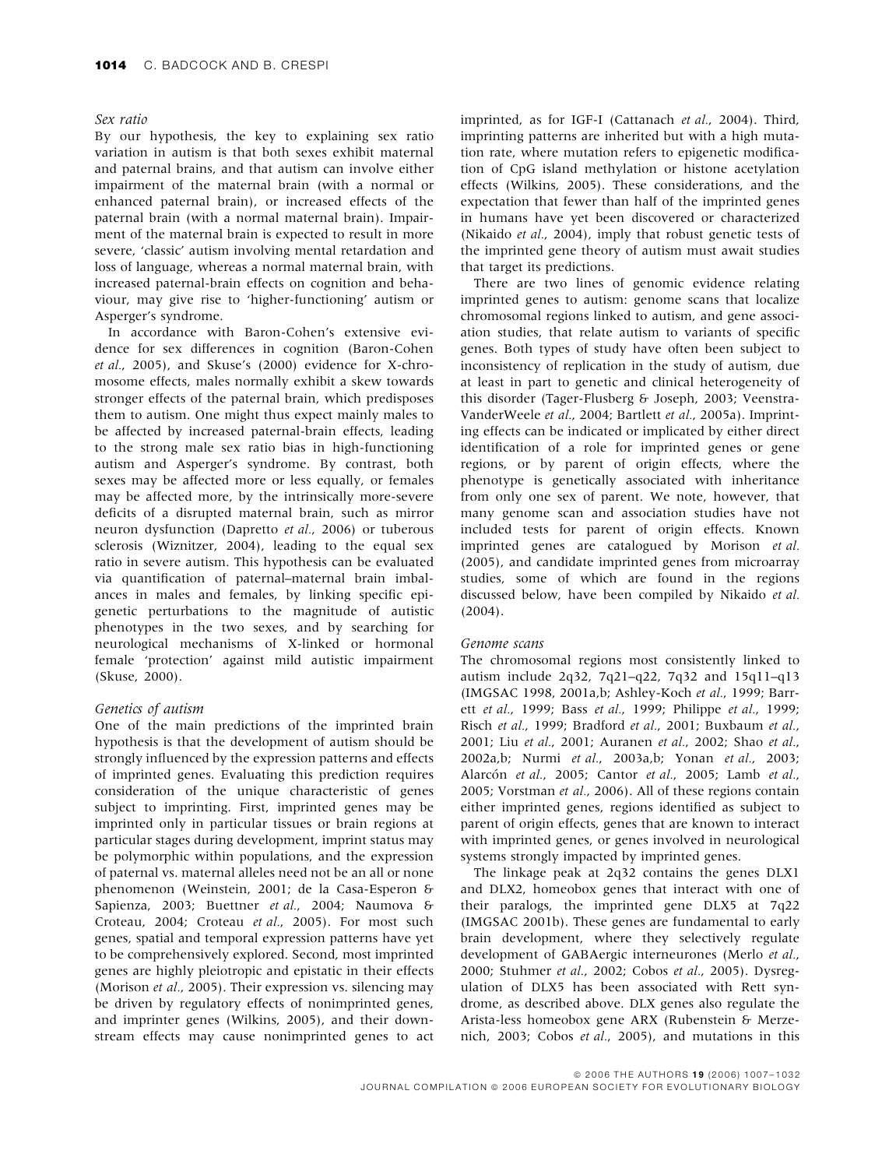#### Sex ratio

By our hypothesis, the key to explaining sex ratio variation in autism is that both sexes exhibit maternal and paternal brains, and that autism can involve either impairment of the maternal brain (with a normal or enhanced paternal brain), or increased effects of the paternal brain (with a normal maternal brain). Impairment of the maternal brain is expected to result in more severe, 'classic' autism involving mental retardation and loss of language, whereas a normal maternal brain, with increased paternal-brain effects on cognition and behaviour, may give rise to 'higher-functioning' autism or Asperger's syndrome.

In accordance with Baron-Cohen's extensive evidence for sex differences in cognition (Baron-Cohen et al., 2005), and Skuse's (2000) evidence for X-chromosome effects, males normally exhibit a skew towards stronger effects of the paternal brain, which predisposes them to autism. One might thus expect mainly males to be affected by increased paternal-brain effects, leading to the strong male sex ratio bias in high-functioning autism and Asperger's syndrome. By contrast, both sexes may be affected more or less equally, or females may be affected more, by the intrinsically more-severe deficits of a disrupted maternal brain, such as mirror neuron dysfunction (Dapretto et al., 2006) or tuberous sclerosis (Wiznitzer, 2004), leading to the equal sex ratio in severe autism. This hypothesis can be evaluated via quantification of paternal–maternal brain imbalances in males and females, by linking specific epigenetic perturbations to the magnitude of autistic phenotypes in the two sexes, and by searching for neurological mechanisms of X-linked or hormonal female 'protection' against mild autistic impairment (Skuse, 2000).

### Genetics of autism

One of the main predictions of the imprinted brain hypothesis is that the development of autism should be strongly influenced by the expression patterns and effects of imprinted genes. Evaluating this prediction requires consideration of the unique characteristic of genes subject to imprinting. First, imprinted genes may be imprinted only in particular tissues or brain regions at particular stages during development, imprint status may be polymorphic within populations, and the expression of paternal vs. maternal alleles need not be an all or none phenomenon (Weinstein, 2001; de la Casa-Esperon & Sapienza, 2003; Buettner et al., 2004; Naumova & Croteau, 2004; Croteau et al., 2005). For most such genes, spatial and temporal expression patterns have yet to be comprehensively explored. Second, most imprinted genes are highly pleiotropic and epistatic in their effects (Morison et al., 2005). Their expression vs. silencing may be driven by regulatory effects of nonimprinted genes, and imprinter genes (Wilkins, 2005), and their downstream effects may cause nonimprinted genes to act imprinted, as for IGF-I (Cattanach et al., 2004). Third, imprinting patterns are inherited but with a high mutation rate, where mutation refers to epigenetic modification of CpG island methylation or histone acetylation effects (Wilkins, 2005). These considerations, and the expectation that fewer than half of the imprinted genes in humans have yet been discovered or characterized (Nikaido et al., 2004), imply that robust genetic tests of the imprinted gene theory of autism must await studies that target its predictions.

There are two lines of genomic evidence relating imprinted genes to autism: genome scans that localize chromosomal regions linked to autism, and gene association studies, that relate autism to variants of specific genes. Both types of study have often been subject to inconsistency of replication in the study of autism, due at least in part to genetic and clinical heterogeneity of this disorder (Tager-Flusberg & Joseph, 2003; Veenstra-VanderWeele et al., 2004; Bartlett et al., 2005a). Imprinting effects can be indicated or implicated by either direct identification of a role for imprinted genes or gene regions, or by parent of origin effects, where the phenotype is genetically associated with inheritance from only one sex of parent. We note, however, that many genome scan and association studies have not included tests for parent of origin effects. Known imprinted genes are catalogued by Morison et al. (2005), and candidate imprinted genes from microarray studies, some of which are found in the regions discussed below, have been compiled by Nikaido et al. (2004).

#### Genome scans

The chromosomal regions most consistently linked to autism include 2q32, 7q21–q22, 7q32 and 15q11–q13 (IMGSAC 1998, 2001a,b; Ashley-Koch et al., 1999; Barrett et al., 1999; Bass et al., 1999; Philippe et al., 1999; Risch et al., 1999; Bradford et al., 2001; Buxbaum et al., 2001; Liu et al., 2001; Auranen et al., 2002; Shao et al., 2002a,b; Nurmi et al., 2003a,b; Yonan et al., 2003; Alarcón et al., 2005; Cantor et al., 2005; Lamb et al., 2005; Vorstman et al., 2006). All of these regions contain either imprinted genes, regions identified as subject to parent of origin effects, genes that are known to interact with imprinted genes, or genes involved in neurological systems strongly impacted by imprinted genes.

The linkage peak at 2q32 contains the genes DLX1 and DLX2, homeobox genes that interact with one of their paralogs, the imprinted gene DLX5 at 7q22 (IMGSAC 2001b). These genes are fundamental to early brain development, where they selectively regulate development of GABAergic interneurones (Merlo et al., 2000; Stuhmer et al., 2002; Cobos et al., 2005). Dysregulation of DLX5 has been associated with Rett syndrome, as described above. DLX genes also regulate the Arista-less homeobox gene ARX (Rubenstein & Merzenich, 2003; Cobos et al., 2005), and mutations in this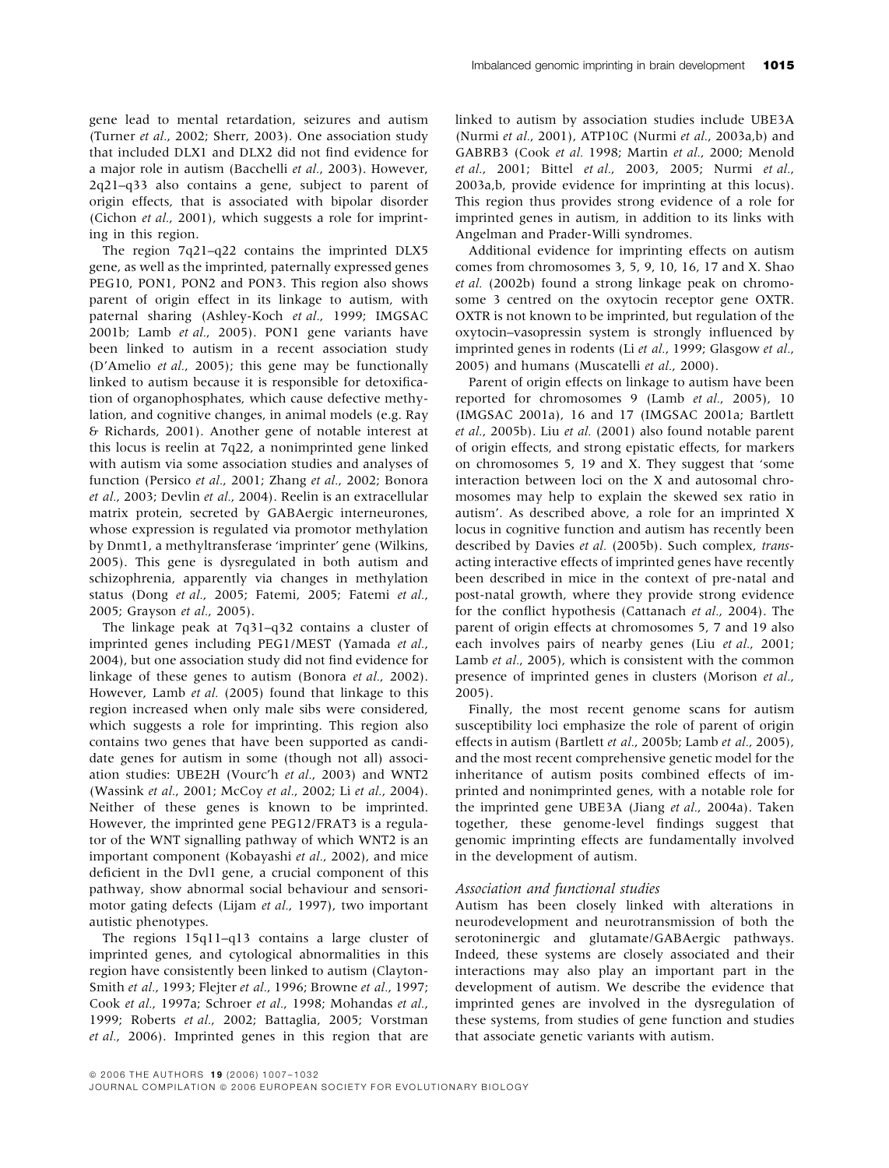gene lead to mental retardation, seizures and autism (Turner et al., 2002; Sherr, 2003). One association study that included DLX1 and DLX2 did not find evidence for a major role in autism (Bacchelli et al., 2003). However, 2q21–q33 also contains a gene, subject to parent of origin effects, that is associated with bipolar disorder (Cichon et al., 2001), which suggests a role for imprinting in this region.

The region 7q21–q22 contains the imprinted DLX5 gene, as well as the imprinted, paternally expressed genes PEG10, PON1, PON2 and PON3. This region also shows parent of origin effect in its linkage to autism, with paternal sharing (Ashley-Koch et al., 1999; IMGSAC 2001b; Lamb et al., 2005). PON1 gene variants have been linked to autism in a recent association study (D'Amelio et al., 2005); this gene may be functionally linked to autism because it is responsible for detoxification of organophosphates, which cause defective methylation, and cognitive changes, in animal models (e.g. Ray & Richards, 2001). Another gene of notable interest at this locus is reelin at 7q22, a nonimprinted gene linked with autism via some association studies and analyses of function (Persico et al., 2001; Zhang et al., 2002; Bonora et al., 2003; Devlin et al., 2004). Reelin is an extracellular matrix protein, secreted by GABAergic interneurones, whose expression is regulated via promotor methylation by Dnmt1, a methyltransferase 'imprinter' gene (Wilkins, 2005). This gene is dysregulated in both autism and schizophrenia, apparently via changes in methylation status (Dong et al., 2005; Fatemi, 2005; Fatemi et al., 2005; Grayson et al., 2005).

The linkage peak at 7q31–q32 contains a cluster of imprinted genes including PEG1/MEST (Yamada et al., 2004), but one association study did not find evidence for linkage of these genes to autism (Bonora et al., 2002). However, Lamb et al. (2005) found that linkage to this region increased when only male sibs were considered, which suggests a role for imprinting. This region also contains two genes that have been supported as candidate genes for autism in some (though not all) association studies: UBE2H (Vourc'h et al., 2003) and WNT2 (Wassink et al., 2001; McCoy et al., 2002; Li et al., 2004). Neither of these genes is known to be imprinted. However, the imprinted gene PEG12/FRAT3 is a regulator of the WNT signalling pathway of which WNT2 is an important component (Kobayashi et al., 2002), and mice deficient in the Dvl1 gene, a crucial component of this pathway, show abnormal social behaviour and sensorimotor gating defects (Lijam et al., 1997), two important autistic phenotypes.

The regions 15q11–q13 contains a large cluster of imprinted genes, and cytological abnormalities in this region have consistently been linked to autism (Clayton-Smith et al., 1993; Flejter et al., 1996; Browne et al., 1997; Cook et al., 1997a; Schroer et al., 1998; Mohandas et al., 1999; Roberts et al., 2002; Battaglia, 2005; Vorstman et al., 2006). Imprinted genes in this region that are

linked to autism by association studies include UBE3A (Nurmi et al., 2001), ATP10C (Nurmi et al., 2003a,b) and GABRB3 (Cook et al. 1998; Martin et al., 2000; Menold et al., 2001; Bittel et al., 2003, 2005; Nurmi et al., 2003a,b, provide evidence for imprinting at this locus). This region thus provides strong evidence of a role for imprinted genes in autism, in addition to its links with Angelman and Prader-Willi syndromes.

Additional evidence for imprinting effects on autism comes from chromosomes 3, 5, 9, 10, 16, 17 and X. Shao et al. (2002b) found a strong linkage peak on chromosome 3 centred on the oxytocin receptor gene OXTR. OXTR is not known to be imprinted, but regulation of the oxytocin–vasopressin system is strongly influenced by imprinted genes in rodents (Li et al., 1999; Glasgow et al., 2005) and humans (Muscatelli et al., 2000).

Parent of origin effects on linkage to autism have been reported for chromosomes 9 (Lamb et al., 2005), 10 (IMGSAC 2001a), 16 and 17 (IMGSAC 2001a; Bartlett et al., 2005b). Liu et al. (2001) also found notable parent of origin effects, and strong epistatic effects, for markers on chromosomes 5, 19 and X. They suggest that 'some interaction between loci on the X and autosomal chromosomes may help to explain the skewed sex ratio in autism'. As described above, a role for an imprinted X locus in cognitive function and autism has recently been described by Davies et al. (2005b). Such complex, transacting interactive effects of imprinted genes have recently been described in mice in the context of pre-natal and post-natal growth, where they provide strong evidence for the conflict hypothesis (Cattanach et al., 2004). The parent of origin effects at chromosomes 5, 7 and 19 also each involves pairs of nearby genes (Liu et al., 2001; Lamb et al., 2005), which is consistent with the common presence of imprinted genes in clusters (Morison et al., 2005).

Finally, the most recent genome scans for autism susceptibility loci emphasize the role of parent of origin effects in autism (Bartlett et al., 2005b; Lamb et al., 2005), and the most recent comprehensive genetic model for the inheritance of autism posits combined effects of imprinted and nonimprinted genes, with a notable role for the imprinted gene UBE3A (Jiang et al., 2004a). Taken together, these genome-level findings suggest that genomic imprinting effects are fundamentally involved in the development of autism.

#### Association and functional studies

Autism has been closely linked with alterations in neurodevelopment and neurotransmission of both the serotoninergic and glutamate/GABAergic pathways. Indeed, these systems are closely associated and their interactions may also play an important part in the development of autism. We describe the evidence that imprinted genes are involved in the dysregulation of these systems, from studies of gene function and studies that associate genetic variants with autism.

ª 2006 THE AUTHORS 1 9 (2006) 1007–1032

JOURNAL COMPILATION @ 2006 EUROPEAN SOCIETY FOR EVOLUTIONARY BIOLOGY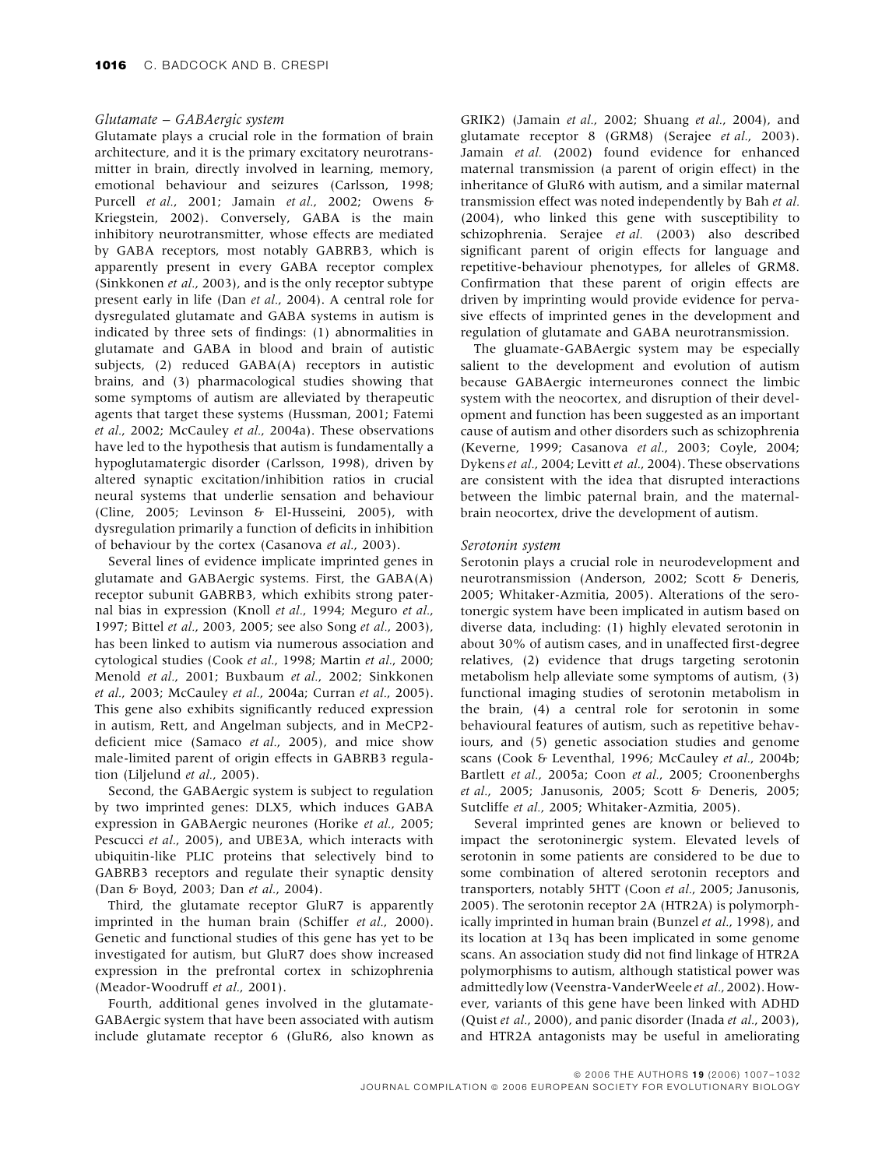## Glutamate – GABAergic system

Glutamate plays a crucial role in the formation of brain architecture, and it is the primary excitatory neurotransmitter in brain, directly involved in learning, memory, emotional behaviour and seizures (Carlsson, 1998; Purcell et al., 2001; Jamain et al., 2002; Owens & Kriegstein, 2002). Conversely, GABA is the main inhibitory neurotransmitter, whose effects are mediated by GABA receptors, most notably GABRB3, which is apparently present in every GABA receptor complex (Sinkkonen et al., 2003), and is the only receptor subtype present early in life (Dan et al., 2004). A central role for dysregulated glutamate and GABA systems in autism is indicated by three sets of findings: (1) abnormalities in glutamate and GABA in blood and brain of autistic subjects, (2) reduced GABA(A) receptors in autistic brains, and (3) pharmacological studies showing that some symptoms of autism are alleviated by therapeutic agents that target these systems (Hussman, 2001; Fatemi et al., 2002; McCauley et al., 2004a). These observations have led to the hypothesis that autism is fundamentally a hypoglutamatergic disorder (Carlsson, 1998), driven by altered synaptic excitation/inhibition ratios in crucial neural systems that underlie sensation and behaviour (Cline, 2005; Levinson & El-Husseini, 2005), with dysregulation primarily a function of deficits in inhibition of behaviour by the cortex (Casanova et al., 2003).

Several lines of evidence implicate imprinted genes in glutamate and GABAergic systems. First, the GABA(A) receptor subunit GABRB3, which exhibits strong paternal bias in expression (Knoll et al., 1994; Meguro et al., 1997; Bittel et al., 2003, 2005; see also Song et al., 2003), has been linked to autism via numerous association and cytological studies (Cook et al., 1998; Martin et al., 2000; Menold et al., 2001; Buxbaum et al., 2002; Sinkkonen et al., 2003; McCauley et al., 2004a; Curran et al., 2005). This gene also exhibits significantly reduced expression in autism, Rett, and Angelman subjects, and in MeCP2 deficient mice (Samaco et al., 2005), and mice show male-limited parent of origin effects in GABRB3 regulation (Liljelund et al., 2005).

Second, the GABAergic system is subject to regulation by two imprinted genes: DLX5, which induces GABA expression in GABAergic neurones (Horike et al., 2005; Pescucci et al., 2005), and UBE3A, which interacts with ubiquitin-like PLIC proteins that selectively bind to GABRB3 receptors and regulate their synaptic density (Dan & Boyd, 2003; Dan et al., 2004).

Third, the glutamate receptor GluR7 is apparently imprinted in the human brain (Schiffer et al., 2000). Genetic and functional studies of this gene has yet to be investigated for autism, but GluR7 does show increased expression in the prefrontal cortex in schizophrenia (Meador-Woodruff et al., 2001).

Fourth, additional genes involved in the glutamate-GABAergic system that have been associated with autism include glutamate receptor 6 (GluR6, also known as

GRIK2) (Jamain et al., 2002; Shuang et al., 2004), and glutamate receptor 8 (GRM8) (Serajee et al., 2003). Jamain et al. (2002) found evidence for enhanced maternal transmission (a parent of origin effect) in the inheritance of GluR6 with autism, and a similar maternal transmission effect was noted independently by Bah et al. (2004), who linked this gene with susceptibility to schizophrenia. Serajee et al. (2003) also described significant parent of origin effects for language and repetitive-behaviour phenotypes, for alleles of GRM8. Confirmation that these parent of origin effects are driven by imprinting would provide evidence for pervasive effects of imprinted genes in the development and regulation of glutamate and GABA neurotransmission.

The gluamate-GABAergic system may be especially salient to the development and evolution of autism because GABAergic interneurones connect the limbic system with the neocortex, and disruption of their development and function has been suggested as an important cause of autism and other disorders such as schizophrenia (Keverne, 1999; Casanova et al., 2003; Coyle, 2004; Dykens et al., 2004; Levitt et al., 2004). These observations are consistent with the idea that disrupted interactions between the limbic paternal brain, and the maternalbrain neocortex, drive the development of autism.

#### Serotonin system

Serotonin plays a crucial role in neurodevelopment and neurotransmission (Anderson, 2002; Scott & Deneris, 2005; Whitaker-Azmitia, 2005). Alterations of the serotonergic system have been implicated in autism based on diverse data, including: (1) highly elevated serotonin in about 30% of autism cases, and in unaffected first-degree relatives, (2) evidence that drugs targeting serotonin metabolism help alleviate some symptoms of autism, (3) functional imaging studies of serotonin metabolism in the brain, (4) a central role for serotonin in some behavioural features of autism, such as repetitive behaviours, and (5) genetic association studies and genome scans (Cook & Leventhal, 1996; McCauley et al., 2004b; Bartlett et al., 2005a; Coon et al., 2005; Croonenberghs et al., 2005; Janusonis, 2005; Scott & Deneris, 2005; Sutcliffe et al., 2005; Whitaker-Azmitia, 2005).

Several imprinted genes are known or believed to impact the serotoninergic system. Elevated levels of serotonin in some patients are considered to be due to some combination of altered serotonin receptors and transporters, notably 5HTT (Coon et al., 2005; Janusonis, 2005). The serotonin receptor 2A (HTR2A) is polymorphically imprinted in human brain (Bunzel et al., 1998), and its location at 13q has been implicated in some genome scans. An association study did not find linkage of HTR2A polymorphisms to autism, although statistical power was admittedly low (Veenstra-VanderWeele et al., 2002). However, variants of this gene have been linked with ADHD (Quist et al., 2000), and panic disorder (Inada et al., 2003), and HTR2A antagonists may be useful in ameliorating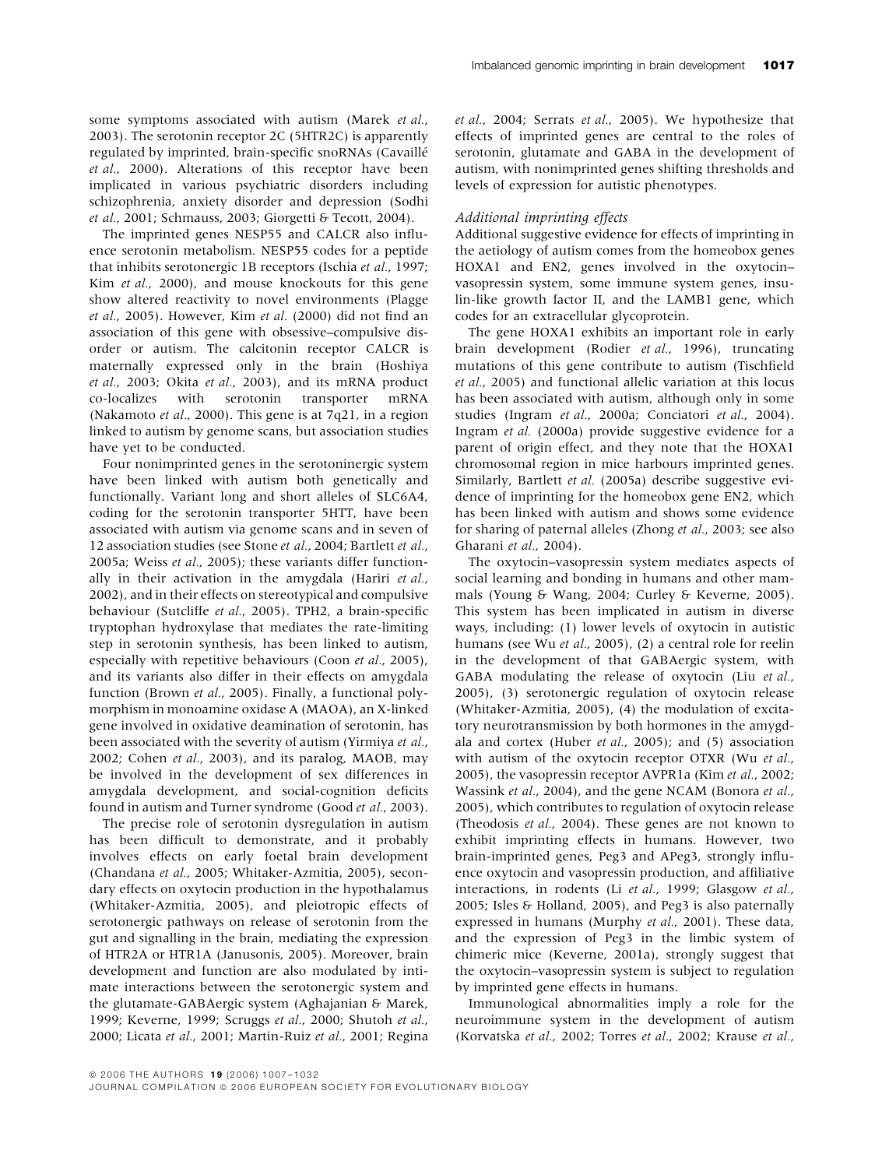some symptoms associated with autism (Marek et al., 2003). The serotonin receptor 2C (5HTR2C) is apparently regulated by imprinted, brain-specific snoRNAs (Cavaille´ et al., 2000). Alterations of this receptor have been implicated in various psychiatric disorders including schizophrenia, anxiety disorder and depression (Sodhi et al., 2001; Schmauss, 2003; Giorgetti & Tecott, 2004).

The imprinted genes NESP55 and CALCR also influence serotonin metabolism. NESP55 codes for a peptide that inhibits serotonergic 1B receptors (Ischia et al., 1997; Kim et al., 2000), and mouse knockouts for this gene show altered reactivity to novel environments (Plagge et al., 2005). However, Kim et al. (2000) did not find an association of this gene with obsessive–compulsive disorder or autism. The calcitonin receptor CALCR is maternally expressed only in the brain (Hoshiya et al., 2003; Okita et al., 2003), and its mRNA product co-localizes with serotonin transporter mRNA (Nakamoto et al., 2000). This gene is at 7q21, in a region linked to autism by genome scans, but association studies have yet to be conducted.

Four nonimprinted genes in the serotoninergic system have been linked with autism both genetically and functionally. Variant long and short alleles of SLC6A4, coding for the serotonin transporter 5HTT, have been associated with autism via genome scans and in seven of 12 association studies (see Stone et al., 2004; Bartlett et al., 2005a; Weiss et al., 2005); these variants differ functionally in their activation in the amygdala (Hariri et al., 2002), and in their effects on stereotypical and compulsive behaviour (Sutcliffe et al., 2005). TPH2, a brain-specific tryptophan hydroxylase that mediates the rate-limiting step in serotonin synthesis, has been linked to autism, especially with repetitive behaviours (Coon et al., 2005), and its variants also differ in their effects on amygdala function (Brown et al., 2005). Finally, a functional polymorphism in monoamine oxidase A (MAOA), an X-linked gene involved in oxidative deamination of serotonin, has been associated with the severity of autism (Yirmiya et al., 2002; Cohen et al., 2003), and its paralog, MAOB, may be involved in the development of sex differences in amygdala development, and social-cognition deficits found in autism and Turner syndrome (Good et al., 2003).

The precise role of serotonin dysregulation in autism has been difficult to demonstrate, and it probably involves effects on early foetal brain development (Chandana et al., 2005; Whitaker-Azmitia, 2005), secondary effects on oxytocin production in the hypothalamus (Whitaker-Azmitia, 2005), and pleiotropic effects of serotonergic pathways on release of serotonin from the gut and signalling in the brain, mediating the expression of HTR2A or HTR1A (Janusonis, 2005). Moreover, brain development and function are also modulated by intimate interactions between the serotonergic system and the glutamate-GABAergic system (Aghajanian & Marek, 1999; Keverne, 1999; Scruggs et al., 2000; Shutoh et al., 2000; Licata et al., 2001; Martin-Ruiz et al., 2001; Regina

et al., 2004; Serrats et al., 2005). We hypothesize that effects of imprinted genes are central to the roles of serotonin, glutamate and GABA in the development of autism, with nonimprinted genes shifting thresholds and levels of expression for autistic phenotypes.

#### Additional imprinting effects

Additional suggestive evidence for effects of imprinting in the aetiology of autism comes from the homeobox genes HOXA1 and EN2, genes involved in the oxytocin– vasopressin system, some immune system genes, insulin-like growth factor II, and the LAMB1 gene, which codes for an extracellular glycoprotein.

The gene HOXA1 exhibits an important role in early brain development (Rodier et al., 1996), truncating mutations of this gene contribute to autism (Tischfield et al., 2005) and functional allelic variation at this locus has been associated with autism, although only in some studies (Ingram et al., 2000a; Conciatori et al., 2004). Ingram et al. (2000a) provide suggestive evidence for a parent of origin effect, and they note that the HOXA1 chromosomal region in mice harbours imprinted genes. Similarly, Bartlett et al. (2005a) describe suggestive evidence of imprinting for the homeobox gene EN2, which has been linked with autism and shows some evidence for sharing of paternal alleles (Zhong et al., 2003; see also Gharani et al., 2004).

The oxytocin–vasopressin system mediates aspects of social learning and bonding in humans and other mammals (Young & Wang, 2004; Curley & Keverne, 2005). This system has been implicated in autism in diverse ways, including: (1) lower levels of oxytocin in autistic humans (see Wu et al., 2005), (2) a central role for reelin in the development of that GABAergic system, with GABA modulating the release of oxytocin (Liu et al., 2005), (3) serotonergic regulation of oxytocin release (Whitaker-Azmitia, 2005), (4) the modulation of excitatory neurotransmission by both hormones in the amygdala and cortex (Huber et al., 2005); and (5) association with autism of the oxytocin receptor OTXR (Wu et al., 2005), the vasopressin receptor AVPR1a (Kim et al., 2002; Wassink et al., 2004), and the gene NCAM (Bonora et al., 2005), which contributes to regulation of oxytocin release (Theodosis et al., 2004). These genes are not known to exhibit imprinting effects in humans. However, two brain-imprinted genes, Peg3 and APeg3, strongly influence oxytocin and vasopressin production, and affiliative interactions, in rodents (Li et al., 1999; Glasgow et al., 2005; Isles & Holland, 2005), and Peg3 is also paternally expressed in humans (Murphy et al., 2001). These data, and the expression of Peg3 in the limbic system of chimeric mice (Keverne, 2001a), strongly suggest that the oxytocin–vasopressin system is subject to regulation by imprinted gene effects in humans.

Immunological abnormalities imply a role for the neuroimmune system in the development of autism (Korvatska et al., 2002; Torres et al., 2002; Krause et al.,

ª 2006 THE AUTHORS 1 9 (2006) 1007–1032

JOURNAL COMPILATION @ 2006 EUROPEAN SOCIETY FOR EVOLUTIONARY BIOLOGY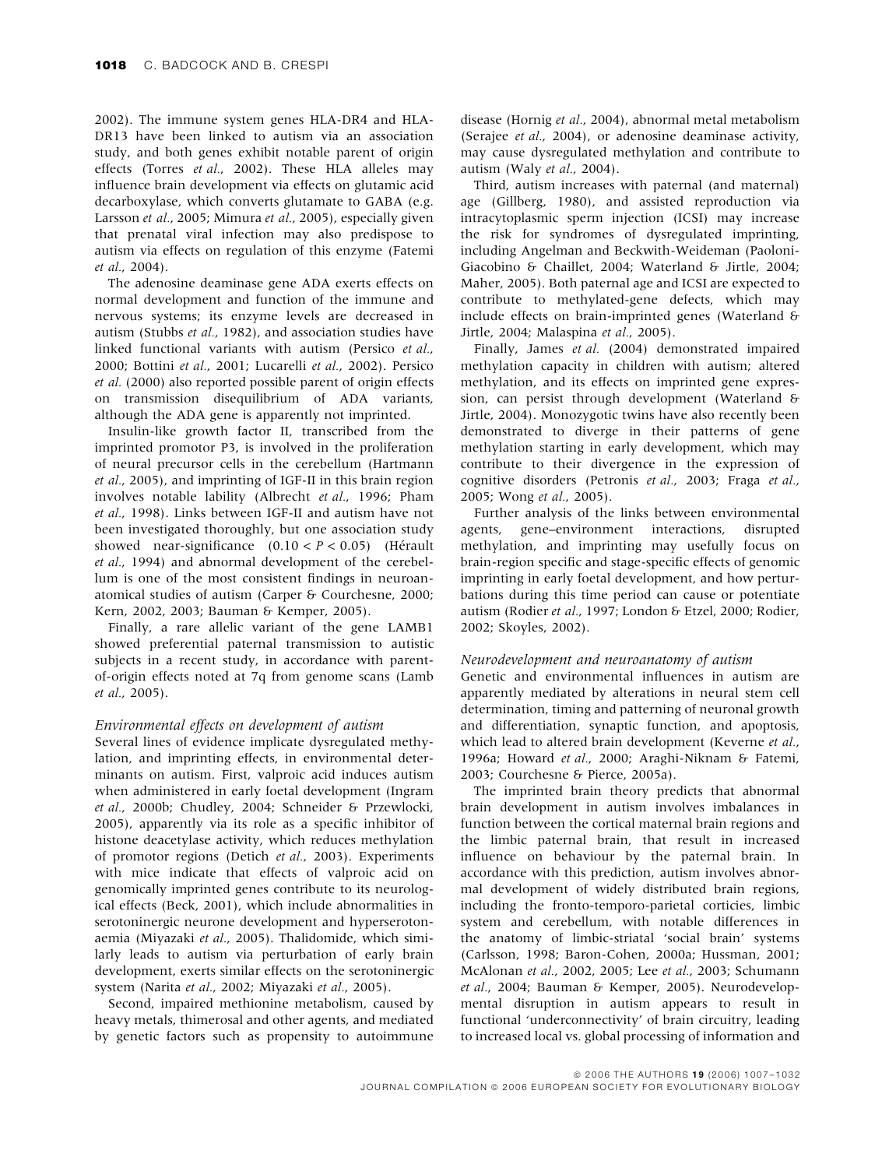2002). The immune system genes HLA-DR4 and HLA-DR13 have been linked to autism via an association study, and both genes exhibit notable parent of origin effects (Torres et al., 2002). These HLA alleles may influence brain development via effects on glutamic acid decarboxylase, which converts glutamate to GABA (e.g. Larsson et al., 2005; Mimura et al., 2005), especially given that prenatal viral infection may also predispose to autism via effects on regulation of this enzyme (Fatemi et al., 2004).

The adenosine deaminase gene ADA exerts effects on normal development and function of the immune and nervous systems; its enzyme levels are decreased in autism (Stubbs et al., 1982), and association studies have linked functional variants with autism (Persico et al., 2000; Bottini et al., 2001; Lucarelli et al., 2002). Persico et al. (2000) also reported possible parent of origin effects on transmission disequilibrium of ADA variants, although the ADA gene is apparently not imprinted.

Insulin-like growth factor II, transcribed from the imprinted promotor P3, is involved in the proliferation of neural precursor cells in the cerebellum (Hartmann et al., 2005), and imprinting of IGF-II in this brain region involves notable lability (Albrecht et al., 1996; Pham et al., 1998). Links between IGF-II and autism have not been investigated thoroughly, but one association study showed near-significance  $(0.10 < P < 0.05)$  (Hérault et al., 1994) and abnormal development of the cerebellum is one of the most consistent findings in neuroanatomical studies of autism (Carper & Courchesne, 2000; Kern, 2002, 2003; Bauman & Kemper, 2005).

Finally, a rare allelic variant of the gene LAMB1 showed preferential paternal transmission to autistic subjects in a recent study, in accordance with parentof-origin effects noted at 7q from genome scans (Lamb et al., 2005).

### Environmental effects on development of autism

Several lines of evidence implicate dysregulated methylation, and imprinting effects, in environmental determinants on autism. First, valproic acid induces autism when administered in early foetal development (Ingram et al., 2000b; Chudley, 2004; Schneider & Przewlocki, 2005), apparently via its role as a specific inhibitor of histone deacetylase activity, which reduces methylation of promotor regions (Detich et al., 2003). Experiments with mice indicate that effects of valproic acid on genomically imprinted genes contribute to its neurological effects (Beck, 2001), which include abnormalities in serotoninergic neurone development and hyperserotonaemia (Miyazaki et al., 2005). Thalidomide, which similarly leads to autism via perturbation of early brain development, exerts similar effects on the serotoninergic system (Narita et al., 2002; Miyazaki et al., 2005).

Second, impaired methionine metabolism, caused by heavy metals, thimerosal and other agents, and mediated by genetic factors such as propensity to autoimmune disease (Hornig et al., 2004), abnormal metal metabolism (Serajee et al., 2004), or adenosine deaminase activity, may cause dysregulated methylation and contribute to autism (Waly et al., 2004).

Third, autism increases with paternal (and maternal) age (Gillberg, 1980), and assisted reproduction via intracytoplasmic sperm injection (ICSI) may increase the risk for syndromes of dysregulated imprinting, including Angelman and Beckwith-Weideman (Paoloni-Giacobino & Chaillet, 2004; Waterland & Jirtle, 2004; Maher, 2005). Both paternal age and ICSI are expected to contribute to methylated-gene defects, which may include effects on brain-imprinted genes (Waterland & Jirtle, 2004; Malaspina et al., 2005).

Finally, James et al. (2004) demonstrated impaired methylation capacity in children with autism; altered methylation, and its effects on imprinted gene expression, can persist through development (Waterland & Jirtle, 2004). Monozygotic twins have also recently been demonstrated to diverge in their patterns of gene methylation starting in early development, which may contribute to their divergence in the expression of cognitive disorders (Petronis et al., 2003; Fraga et al., 2005; Wong et al., 2005).

Further analysis of the links between environmental agents, gene–environment interactions, disrupted methylation, and imprinting may usefully focus on brain-region specific and stage-specific effects of genomic imprinting in early foetal development, and how perturbations during this time period can cause or potentiate autism (Rodier et al., 1997; London & Etzel, 2000; Rodier, 2002; Skoyles, 2002).

#### Neurodevelopment and neuroanatomy of autism

Genetic and environmental influences in autism are apparently mediated by alterations in neural stem cell determination, timing and patterning of neuronal growth and differentiation, synaptic function, and apoptosis, which lead to altered brain development (Keverne et al., 1996a; Howard et al., 2000; Araghi-Niknam & Fatemi, 2003; Courchesne & Pierce, 2005a).

The imprinted brain theory predicts that abnormal brain development in autism involves imbalances in function between the cortical maternal brain regions and the limbic paternal brain, that result in increased influence on behaviour by the paternal brain. In accordance with this prediction, autism involves abnormal development of widely distributed brain regions, including the fronto-temporo-parietal corticies, limbic system and cerebellum, with notable differences in the anatomy of limbic-striatal 'social brain' systems (Carlsson, 1998; Baron-Cohen, 2000a; Hussman, 2001; McAlonan et al., 2002, 2005; Lee et al., 2003; Schumann et al., 2004; Bauman & Kemper, 2005). Neurodevelopmental disruption in autism appears to result in functional 'underconnectivity' of brain circuitry, leading to increased local vs. global processing of information and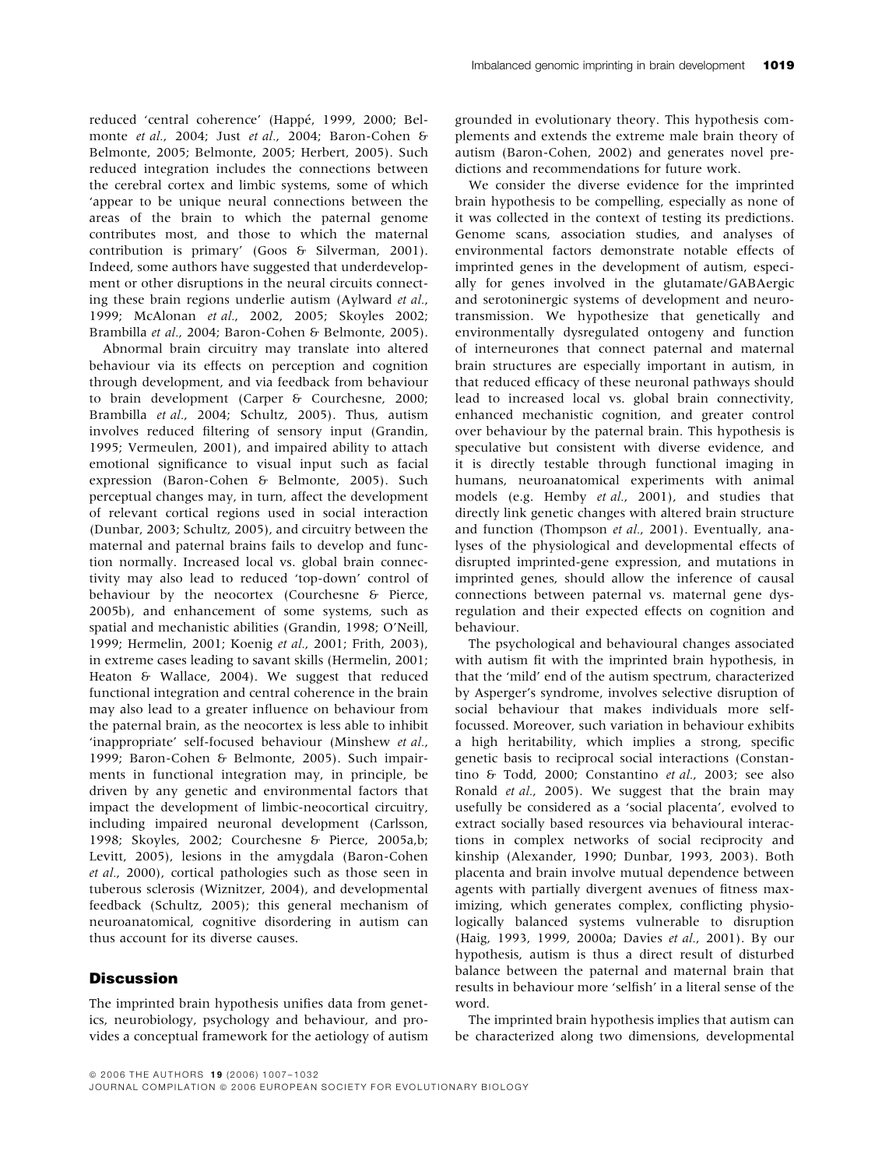reduced 'central coherence' (Happé, 1999, 2000; Belmonte et al., 2004; Just et al., 2004; Baron-Cohen & Belmonte, 2005; Belmonte, 2005; Herbert, 2005). Such reduced integration includes the connections between the cerebral cortex and limbic systems, some of which 'appear to be unique neural connections between the areas of the brain to which the paternal genome contributes most, and those to which the maternal contribution is primary' (Goos & Silverman, 2001). Indeed, some authors have suggested that underdevelopment or other disruptions in the neural circuits connecting these brain regions underlie autism (Aylward et al., 1999; McAlonan et al., 2002, 2005; Skoyles 2002; Brambilla et al., 2004; Baron-Cohen & Belmonte, 2005).

Abnormal brain circuitry may translate into altered behaviour via its effects on perception and cognition through development, and via feedback from behaviour to brain development (Carper & Courchesne, 2000; Brambilla et al., 2004; Schultz, 2005). Thus, autism involves reduced filtering of sensory input (Grandin, 1995; Vermeulen, 2001), and impaired ability to attach emotional significance to visual input such as facial expression (Baron-Cohen & Belmonte, 2005). Such perceptual changes may, in turn, affect the development of relevant cortical regions used in social interaction (Dunbar, 2003; Schultz, 2005), and circuitry between the maternal and paternal brains fails to develop and function normally. Increased local vs. global brain connectivity may also lead to reduced 'top-down' control of behaviour by the neocortex (Courchesne & Pierce, 2005b), and enhancement of some systems, such as spatial and mechanistic abilities (Grandin, 1998; O'Neill, 1999; Hermelin, 2001; Koenig et al., 2001; Frith, 2003), in extreme cases leading to savant skills (Hermelin, 2001; Heaton & Wallace, 2004). We suggest that reduced functional integration and central coherence in the brain may also lead to a greater influence on behaviour from the paternal brain, as the neocortex is less able to inhibit 'inappropriate' self-focused behaviour (Minshew et al., 1999; Baron-Cohen & Belmonte, 2005). Such impairments in functional integration may, in principle, be driven by any genetic and environmental factors that impact the development of limbic-neocortical circuitry, including impaired neuronal development (Carlsson, 1998; Skoyles, 2002; Courchesne & Pierce, 2005a,b; Levitt, 2005), lesions in the amygdala (Baron-Cohen et al., 2000), cortical pathologies such as those seen in tuberous sclerosis (Wiznitzer, 2004), and developmental feedback (Schultz, 2005); this general mechanism of neuroanatomical, cognitive disordering in autism can thus account for its diverse causes.

# **Discussion**

The imprinted brain hypothesis unifies data from genetics, neurobiology, psychology and behaviour, and provides a conceptual framework for the aetiology of autism grounded in evolutionary theory. This hypothesis complements and extends the extreme male brain theory of autism (Baron-Cohen, 2002) and generates novel predictions and recommendations for future work.

We consider the diverse evidence for the imprinted brain hypothesis to be compelling, especially as none of it was collected in the context of testing its predictions. Genome scans, association studies, and analyses of environmental factors demonstrate notable effects of imprinted genes in the development of autism, especially for genes involved in the glutamate/GABAergic and serotoninergic systems of development and neurotransmission. We hypothesize that genetically and environmentally dysregulated ontogeny and function of interneurones that connect paternal and maternal brain structures are especially important in autism, in that reduced efficacy of these neuronal pathways should lead to increased local vs. global brain connectivity, enhanced mechanistic cognition, and greater control over behaviour by the paternal brain. This hypothesis is speculative but consistent with diverse evidence, and it is directly testable through functional imaging in humans, neuroanatomical experiments with animal models (e.g. Hemby et al., 2001), and studies that directly link genetic changes with altered brain structure and function (Thompson et al., 2001). Eventually, analyses of the physiological and developmental effects of disrupted imprinted-gene expression, and mutations in imprinted genes, should allow the inference of causal connections between paternal vs. maternal gene dysregulation and their expected effects on cognition and behaviour.

The psychological and behavioural changes associated with autism fit with the imprinted brain hypothesis, in that the 'mild' end of the autism spectrum, characterized by Asperger's syndrome, involves selective disruption of social behaviour that makes individuals more selffocussed. Moreover, such variation in behaviour exhibits a high heritability, which implies a strong, specific genetic basis to reciprocal social interactions (Constantino & Todd, 2000; Constantino et al., 2003; see also Ronald et al., 2005). We suggest that the brain may usefully be considered as a 'social placenta', evolved to extract socially based resources via behavioural interactions in complex networks of social reciprocity and kinship (Alexander, 1990; Dunbar, 1993, 2003). Both placenta and brain involve mutual dependence between agents with partially divergent avenues of fitness maximizing, which generates complex, conflicting physiologically balanced systems vulnerable to disruption (Haig, 1993, 1999, 2000a; Davies et al., 2001). By our hypothesis, autism is thus a direct result of disturbed balance between the paternal and maternal brain that results in behaviour more 'selfish' in a literal sense of the word.

The imprinted brain hypothesis implies that autism can be characterized along two dimensions, developmental

ª 2006 THE AUTHORS 1 9 (2006) 1007–1032

JOURNAL COMPILATION @ 2006 EUROPEAN SOCIETY FOR EVOLUTIONARY BIOLOGY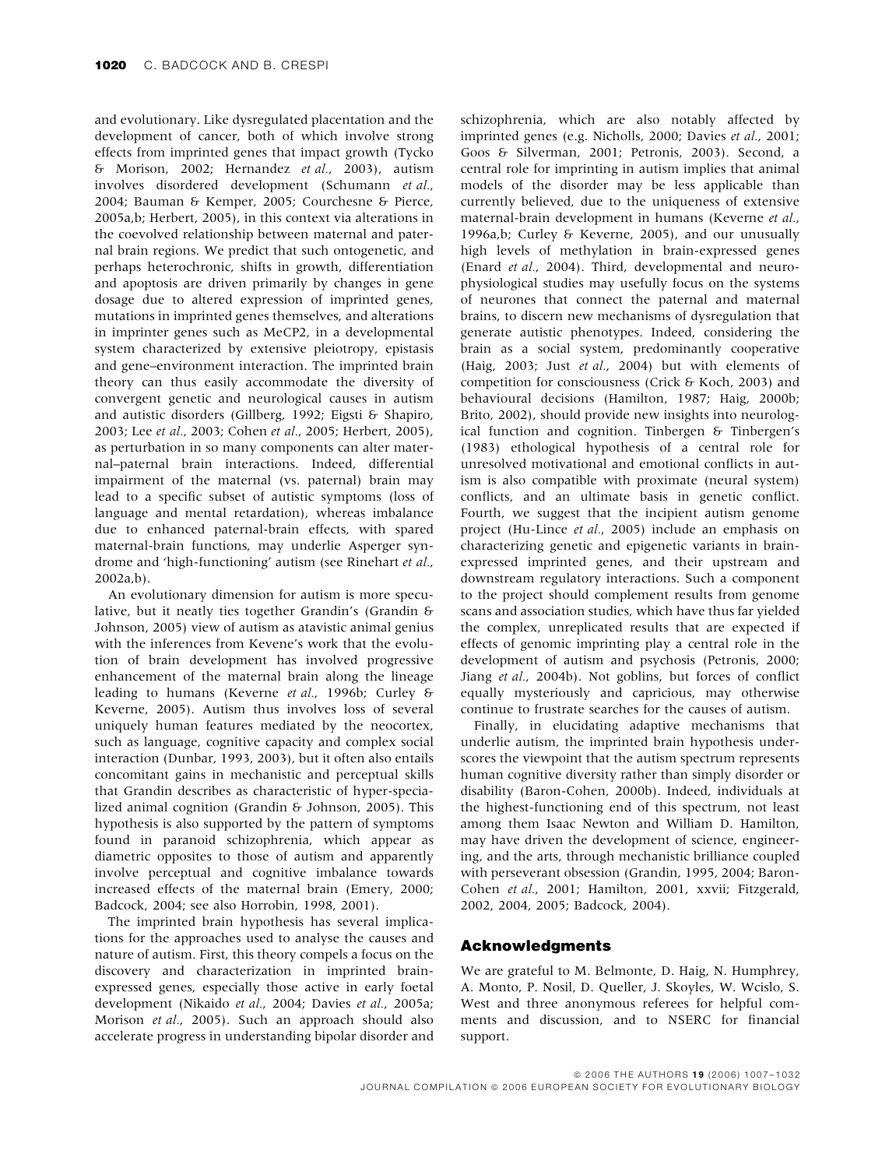and evolutionary. Like dysregulated placentation and the development of cancer, both of which involve strong effects from imprinted genes that impact growth (Tycko & Morison, 2002; Hernandez et al., 2003), autism involves disordered development (Schumann et al., 2004; Bauman & Kemper, 2005; Courchesne & Pierce, 2005a,b; Herbert, 2005), in this context via alterations in the coevolved relationship between maternal and paternal brain regions. We predict that such ontogenetic, and perhaps heterochronic, shifts in growth, differentiation and apoptosis are driven primarily by changes in gene dosage due to altered expression of imprinted genes, mutations in imprinted genes themselves, and alterations in imprinter genes such as MeCP2, in a developmental system characterized by extensive pleiotropy, epistasis and gene–environment interaction. The imprinted brain theory can thus easily accommodate the diversity of convergent genetic and neurological causes in autism and autistic disorders (Gillberg, 1992; Eigsti & Shapiro, 2003; Lee et al., 2003; Cohen et al., 2005; Herbert, 2005), as perturbation in so many components can alter maternal–paternal brain interactions. Indeed, differential impairment of the maternal (vs. paternal) brain may lead to a specific subset of autistic symptoms (loss of language and mental retardation), whereas imbalance due to enhanced paternal-brain effects, with spared maternal-brain functions, may underlie Asperger syndrome and 'high-functioning' autism (see Rinehart et al., 2002a,b).

An evolutionary dimension for autism is more speculative, but it neatly ties together Grandin's (Grandin & Johnson, 2005) view of autism as atavistic animal genius with the inferences from Kevene's work that the evolution of brain development has involved progressive enhancement of the maternal brain along the lineage leading to humans (Keverne et al., 1996b; Curley & Keverne, 2005). Autism thus involves loss of several uniquely human features mediated by the neocortex, such as language, cognitive capacity and complex social interaction (Dunbar, 1993, 2003), but it often also entails concomitant gains in mechanistic and perceptual skills that Grandin describes as characteristic of hyper-specialized animal cognition (Grandin & Johnson, 2005). This hypothesis is also supported by the pattern of symptoms found in paranoid schizophrenia, which appear as diametric opposites to those of autism and apparently involve perceptual and cognitive imbalance towards increased effects of the maternal brain (Emery, 2000; Badcock, 2004; see also Horrobin, 1998, 2001).

The imprinted brain hypothesis has several implications for the approaches used to analyse the causes and nature of autism. First, this theory compels a focus on the discovery and characterization in imprinted brainexpressed genes, especially those active in early foetal development (Nikaido et al., 2004; Davies et al., 2005a; Morison et al., 2005). Such an approach should also accelerate progress in understanding bipolar disorder and

schizophrenia, which are also notably affected by imprinted genes (e.g. Nicholls, 2000; Davies et al., 2001; Goos & Silverman, 2001; Petronis, 2003). Second, a central role for imprinting in autism implies that animal models of the disorder may be less applicable than currently believed, due to the uniqueness of extensive maternal-brain development in humans (Keverne et al., 1996a,b; Curley & Keverne, 2005), and our unusually high levels of methylation in brain-expressed genes (Enard et al., 2004). Third, developmental and neurophysiological studies may usefully focus on the systems of neurones that connect the paternal and maternal brains, to discern new mechanisms of dysregulation that generate autistic phenotypes. Indeed, considering the brain as a social system, predominantly cooperative (Haig, 2003; Just et al., 2004) but with elements of competition for consciousness (Crick & Koch, 2003) and behavioural decisions (Hamilton, 1987; Haig, 2000b; Brito, 2002), should provide new insights into neurological function and cognition. Tinbergen & Tinbergen's (1983) ethological hypothesis of a central role for unresolved motivational and emotional conflicts in autism is also compatible with proximate (neural system) conflicts, and an ultimate basis in genetic conflict. Fourth, we suggest that the incipient autism genome project (Hu-Lince et al., 2005) include an emphasis on characterizing genetic and epigenetic variants in brainexpressed imprinted genes, and their upstream and downstream regulatory interactions. Such a component to the project should complement results from genome scans and association studies, which have thus far yielded the complex, unreplicated results that are expected if effects of genomic imprinting play a central role in the development of autism and psychosis (Petronis, 2000; Jiang et al., 2004b). Not goblins, but forces of conflict equally mysteriously and capricious, may otherwise continue to frustrate searches for the causes of autism.

Finally, in elucidating adaptive mechanisms that underlie autism, the imprinted brain hypothesis underscores the viewpoint that the autism spectrum represents human cognitive diversity rather than simply disorder or disability (Baron-Cohen, 2000b). Indeed, individuals at the highest-functioning end of this spectrum, not least among them Isaac Newton and William D. Hamilton, may have driven the development of science, engineering, and the arts, through mechanistic brilliance coupled with perseverant obsession (Grandin, 1995, 2004; Baron-Cohen et al., 2001; Hamilton, 2001, xxvii; Fitzgerald, 2002, 2004, 2005; Badcock, 2004).

# Acknowledgments

We are grateful to M. Belmonte, D. Haig, N. Humphrey, A. Monto, P. Nosil, D. Queller, J. Skoyles, W. Wcislo, S. West and three anonymous referees for helpful comments and discussion, and to NSERC for financial support.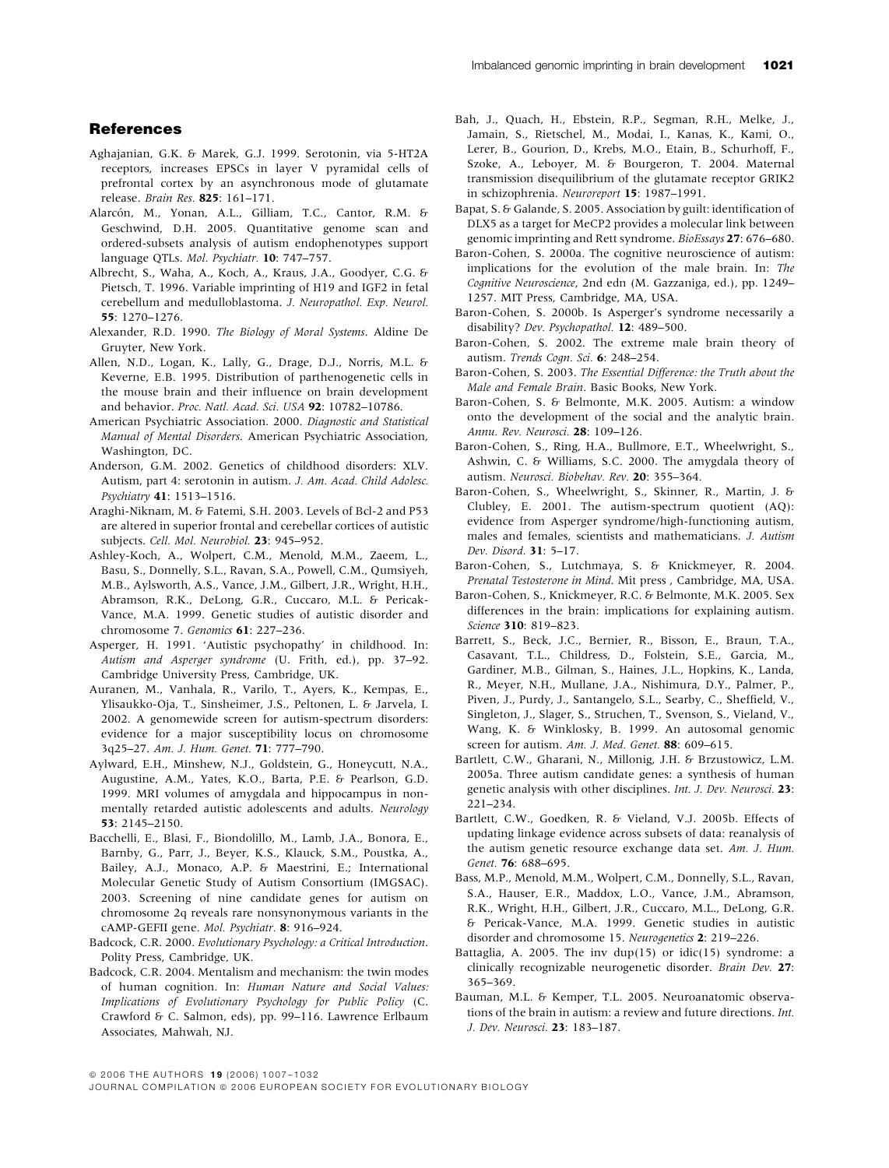# References

- Aghajanian, G.K. & Marek, G.J. 1999. Serotonin, via 5-HT2A receptors, increases EPSCs in layer V pyramidal cells of prefrontal cortex by an asynchronous mode of glutamate release. Brain Res. 825: 161–171.
- Alarcón, M., Yonan, A.L., Gilliam, T.C., Cantor, R.M. & Geschwind, D.H. 2005. Quantitative genome scan and ordered-subsets analysis of autism endophenotypes support language QTLs. Mol. Psychiatr. 10: 747-757.
- Albrecht, S., Waha, A., Koch, A., Kraus, J.A., Goodyer, C.G. & Pietsch, T. 1996. Variable imprinting of H19 and IGF2 in fetal cerebellum and medulloblastoma. J. Neuropathol. Exp. Neurol. 55: 1270–1276.
- Alexander, R.D. 1990. The Biology of Moral Systems. Aldine De Gruyter, New York.
- Allen, N.D., Logan, K., Lally, G., Drage, D.J., Norris, M.L. & Keverne, E.B. 1995. Distribution of parthenogenetic cells in the mouse brain and their influence on brain development and behavior. Proc. Natl. Acad. Sci. USA 92: 10782–10786.
- American Psychiatric Association. 2000. Diagnostic and Statistical Manual of Mental Disorders. American Psychiatric Association, Washington, DC.
- Anderson, G.M. 2002. Genetics of childhood disorders: XLV. Autism, part 4: serotonin in autism. J. Am. Acad. Child Adolesc. Psychiatry 41: 1513–1516.
- Araghi-Niknam, M. & Fatemi, S.H. 2003. Levels of Bcl-2 and P53 are altered in superior frontal and cerebellar cortices of autistic subjects. Cell. Mol. Neurobiol. 23: 945-952.
- Ashley-Koch, A., Wolpert, C.M., Menold, M.M., Zaeem, L., Basu, S., Donnelly, S.L., Ravan, S.A., Powell, C.M., Qumsiyeh, M.B., Aylsworth, A.S., Vance, J.M., Gilbert, J.R., Wright, H.H., Abramson, R.K., DeLong, G.R., Cuccaro, M.L. & Pericak-Vance, M.A. 1999. Genetic studies of autistic disorder and chromosome 7. Genomics 61: 227-236.
- Asperger, H. 1991. 'Autistic psychopathy' in childhood. In: Autism and Asperger syndrome (U. Frith, ed.), pp. 37–92. Cambridge University Press, Cambridge, UK.
- Auranen, M., Vanhala, R., Varilo, T., Ayers, K., Kempas, E., Ylisaukko-Oja, T., Sinsheimer, J.S., Peltonen, L. & Jarvela, I. 2002. A genomewide screen for autism-spectrum disorders: evidence for a major susceptibility locus on chromosome 3q25–27. Am. J. Hum. Genet. 71: 777–790.
- Aylward, E.H., Minshew, N.J., Goldstein, G., Honeycutt, N.A., Augustine, A.M., Yates, K.O., Barta, P.E. & Pearlson, G.D. 1999. MRI volumes of amygdala and hippocampus in nonmentally retarded autistic adolescents and adults. Neurology 53: 2145–2150.
- Bacchelli, E., Blasi, F., Biondolillo, M., Lamb, J.A., Bonora, E., Barnby, G., Parr, J., Beyer, K.S., Klauck, S.M., Poustka, A., Bailey, A.J., Monaco, A.P. & Maestrini, E.; International Molecular Genetic Study of Autism Consortium (IMGSAC). 2003. Screening of nine candidate genes for autism on chromosome 2q reveals rare nonsynonymous variants in the cAMP-GEFII gene. Mol. Psychiatr. 8: 916–924.
- Badcock, C.R. 2000. Evolutionary Psychology: a Critical Introduction. Polity Press, Cambridge, UK.
- Badcock, C.R. 2004. Mentalism and mechanism: the twin modes of human cognition. In: Human Nature and Social Values: Implications of Evolutionary Psychology for Public Policy (C. Crawford & C. Salmon, eds), pp. 99–116. Lawrence Erlbaum Associates, Mahwah, NJ.
- Bah, J., Quach, H., Ebstein, R.P., Segman, R.H., Melke, J., Jamain, S., Rietschel, M., Modai, I., Kanas, K., Kami, O., Lerer, B., Gourion, D., Krebs, M.O., Etain, B., Schurhoff, F., Szoke, A., Leboyer, M. & Bourgeron, T. 2004. Maternal transmission disequilibrium of the glutamate receptor GRIK2 in schizophrenia. Neuroreport 15: 1987–1991.
- Bapat, S. & Galande, S. 2005. Association by guilt: identification of DLX5 as a target for MeCP2 provides a molecular link between genomic imprinting and Rett syndrome. BioEssays 27: 676–680.
- Baron-Cohen, S. 2000a. The cognitive neuroscience of autism: implications for the evolution of the male brain. In: The Cognitive Neuroscience, 2nd edn (M. Gazzaniga, ed.), pp. 1249– 1257. MIT Press, Cambridge, MA, USA.
- Baron-Cohen, S. 2000b. Is Asperger's syndrome necessarily a disability? Dev. Psychopathol. 12: 489-500.
- Baron-Cohen, S. 2002. The extreme male brain theory of autism. Trends Cogn. Sci. 6: 248-254.
- Baron-Cohen, S. 2003. The Essential Difference: the Truth about the Male and Female Brain. Basic Books, New York.
- Baron-Cohen, S. & Belmonte, M.K. 2005. Autism: a window onto the development of the social and the analytic brain. Annu. Rev. Neurosci. 28: 109–126.
- Baron-Cohen, S., Ring, H.A., Bullmore, E.T., Wheelwright, S., Ashwin, C. & Williams, S.C. 2000. The amygdala theory of autism. Neurosci. Biobehav. Rev. 20: 355–364.
- Baron-Cohen, S., Wheelwright, S., Skinner, R., Martin, J. & Clubley, E. 2001. The autism-spectrum quotient (AQ): evidence from Asperger syndrome/high-functioning autism, males and females, scientists and mathematicians. J. Autism Dev. Disord. 31: 5–17.
- Baron-Cohen, S., Lutchmaya, S. & Knickmeyer, R. 2004. Prenatal Testosterone in Mind. Mit press , Cambridge, MA, USA.
- Baron-Cohen, S., Knickmeyer, R.C. & Belmonte, M.K. 2005. Sex differences in the brain: implications for explaining autism. Science 310: 819–823.
- Barrett, S., Beck, J.C., Bernier, R., Bisson, E., Braun, T.A., Casavant, T.L., Childress, D., Folstein, S.E., Garcia, M., Gardiner, M.B., Gilman, S., Haines, J.L., Hopkins, K., Landa, R., Meyer, N.H., Mullane, J.A., Nishimura, D.Y., Palmer, P., Piven, J., Purdy, J., Santangelo, S.L., Searby, C., Sheffield, V., Singleton, J., Slager, S., Struchen, T., Svenson, S., Vieland, V., Wang, K. & Winklosky, B. 1999. An autosomal genomic screen for autism. Am. J. Med. Genet. 88: 609-615.
- Bartlett, C.W., Gharani, N., Millonig, J.H. & Brzustowicz, L.M. 2005a. Three autism candidate genes: a synthesis of human genetic analysis with other disciplines. Int. J. Dev. Neurosci. 23: 221–234.
- Bartlett, C.W., Goedken, R. & Vieland, V.J. 2005b. Effects of updating linkage evidence across subsets of data: reanalysis of the autism genetic resource exchange data set. Am. J. Hum. Genet. 76: 688–695.
- Bass, M.P., Menold, M.M., Wolpert, C.M., Donnelly, S.L., Ravan, S.A., Hauser, E.R., Maddox, L.O., Vance, J.M., Abramson, R.K., Wright, H.H., Gilbert, J.R., Cuccaro, M.L., DeLong, G.R. & Pericak-Vance, M.A. 1999. Genetic studies in autistic disorder and chromosome 15. Neurogenetics 2: 219–226.
- Battaglia, A. 2005. The inv dup(15) or idic(15) syndrome: a clinically recognizable neurogenetic disorder. Brain Dev. 27: 365–369.
- Bauman, M.L. & Kemper, T.L. 2005. Neuroanatomic observations of the brain in autism: a review and future directions. Int. J. Dev. Neurosci. 23: 183–187.

<sup>© 2006</sup> THE AUTHORS 19 (2006) 1007-1032

JOURNAL COMPILATION @ 2006 EUROPEAN SOCIETY FOR EVOLUTIONARY BIOLOGY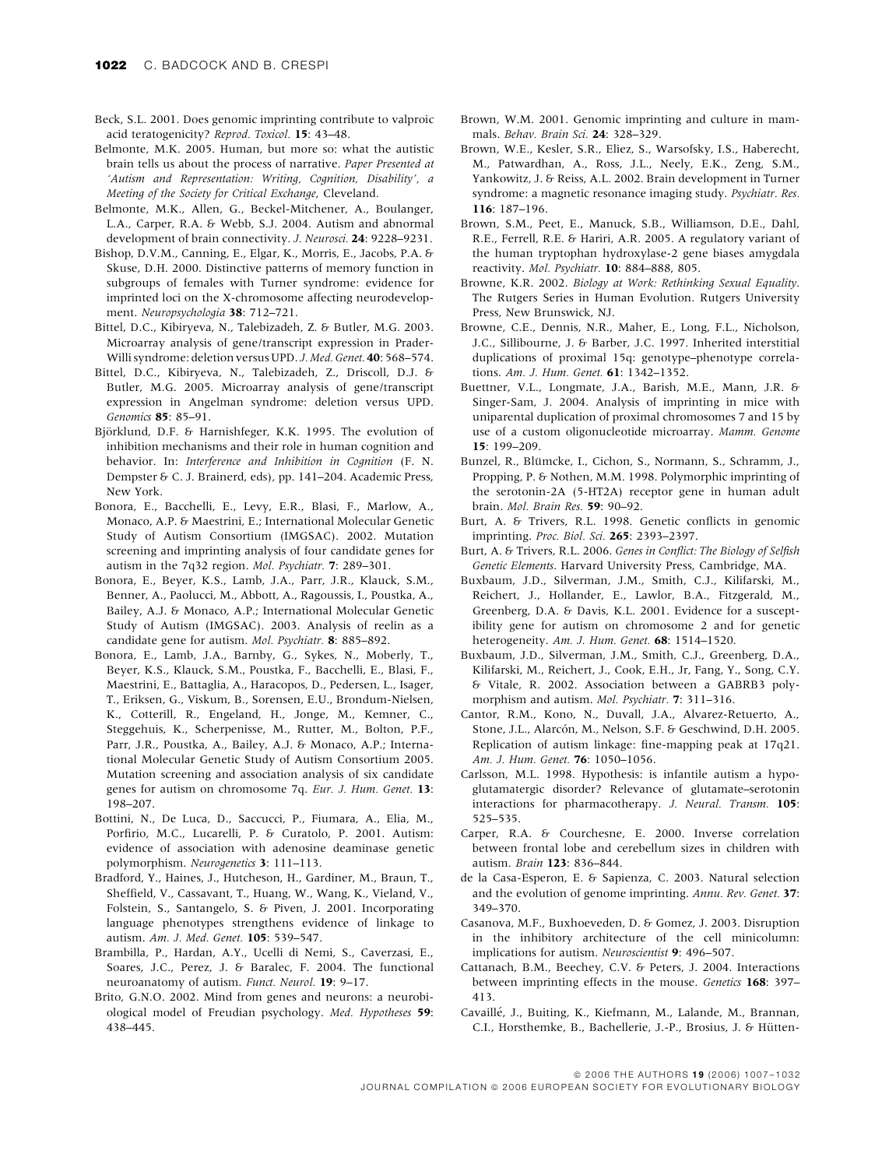- Beck, S.L. 2001. Does genomic imprinting contribute to valproic acid teratogenicity? Reprod. Toxicol. 15: 43–48.
- Belmonte, M.K. 2005. Human, but more so: what the autistic brain tells us about the process of narrative. Paper Presented at 'Autism and Representation: Writing, Cognition, Disability', a Meeting of the Society for Critical Exchange, Cleveland.
- Belmonte, M.K., Allen, G., Beckel-Mitchener, A., Boulanger, L.A., Carper, R.A. & Webb, S.J. 2004. Autism and abnormal development of brain connectivity. J. Neurosci. 24: 9228-9231.
- Bishop, D.V.M., Canning, E., Elgar, K., Morris, E., Jacobs, P.A. & Skuse, D.H. 2000. Distinctive patterns of memory function in subgroups of females with Turner syndrome: evidence for imprinted loci on the X-chromosome affecting neurodevelopment. Neuropsychologia 38: 712–721.
- Bittel, D.C., Kibiryeva, N., Talebizadeh, Z. & Butler, M.G. 2003. Microarray analysis of gene/transcript expression in Prader-Willi syndrome: deletion versus UPD. J. Med. Genet. 40: 568–574.
- Bittel, D.C., Kibiryeva, N., Talebizadeh, Z., Driscoll, D.J. & Butler, M.G. 2005. Microarray analysis of gene/transcript expression in Angelman syndrome: deletion versus UPD. Genomics 85: 85–91.
- Björklund, D.F. & Harnishfeger, K.K. 1995. The evolution of inhibition mechanisms and their role in human cognition and behavior. In: Interference and Inhibition in Cognition (F. N. Dempster & C. J. Brainerd, eds), pp. 141–204. Academic Press, New York.
- Bonora, E., Bacchelli, E., Levy, E.R., Blasi, F., Marlow, A., Monaco, A.P. & Maestrini, E.; International Molecular Genetic Study of Autism Consortium (IMGSAC). 2002. Mutation screening and imprinting analysis of four candidate genes for autism in the 7q32 region. Mol. Psychiatr. 7: 289–301.
- Bonora, E., Beyer, K.S., Lamb, J.A., Parr, J.R., Klauck, S.M., Benner, A., Paolucci, M., Abbott, A., Ragoussis, I., Poustka, A., Bailey, A.J. & Monaco, A.P.; International Molecular Genetic Study of Autism (IMGSAC). 2003. Analysis of reelin as a candidate gene for autism. Mol. Psychiatr. 8: 885–892.
- Bonora, E., Lamb, J.A., Barnby, G., Sykes, N., Moberly, T., Beyer, K.S., Klauck, S.M., Poustka, F., Bacchelli, E., Blasi, F., Maestrini, E., Battaglia, A., Haracopos, D., Pedersen, L., Isager, T., Eriksen, G., Viskum, B., Sorensen, E.U., Brondum-Nielsen, K., Cotterill, R., Engeland, H., Jonge, M., Kemner, C., Steggehuis, K., Scherpenisse, M., Rutter, M., Bolton, P.F., Parr, J.R., Poustka, A., Bailey, A.J. & Monaco, A.P.; International Molecular Genetic Study of Autism Consortium 2005. Mutation screening and association analysis of six candidate genes for autism on chromosome 7q. Eur. J. Hum. Genet. 13: 198–207.
- Bottini, N., De Luca, D., Saccucci, P., Fiumara, A., Elia, M., Porfirio, M.C., Lucarelli, P. & Curatolo, P. 2001. Autism: evidence of association with adenosine deaminase genetic polymorphism. Neurogenetics 3: 111–113.
- Bradford, Y., Haines, J., Hutcheson, H., Gardiner, M., Braun, T., Sheffield, V., Cassavant, T., Huang, W., Wang, K., Vieland, V., Folstein, S., Santangelo, S. & Piven, J. 2001. Incorporating language phenotypes strengthens evidence of linkage to autism. Am. J. Med. Genet. 105: 539–547.
- Brambilla, P., Hardan, A.Y., Ucelli di Nemi, S., Caverzasi, E., Soares, J.C., Perez, J. & Baralec, F. 2004. The functional neuroanatomy of autism. Funct. Neurol. 19: 9–17.
- Brito, G.N.O. 2002. Mind from genes and neurons: a neurobiological model of Freudian psychology. Med. Hypotheses 59: 438–445.
- Brown, W.M. 2001. Genomic imprinting and culture in mammals. Behav. Brain Sci. 24: 328–329.
- Brown, W.E., Kesler, S.R., Eliez, S., Warsofsky, I.S., Haberecht, M., Patwardhan, A., Ross, J.L., Neely, E.K., Zeng, S.M., Yankowitz, J. & Reiss, A.L. 2002. Brain development in Turner syndrome: a magnetic resonance imaging study. Psychiatr. Res. 116: 187–196.
- Brown, S.M., Peet, E., Manuck, S.B., Williamson, D.E., Dahl, R.E., Ferrell, R.E. & Hariri, A.R. 2005. A regulatory variant of the human tryptophan hydroxylase-2 gene biases amygdala reactivity. Mol. Psychiatr. 10: 884–888, 805.
- Browne, K.R. 2002. Biology at Work: Rethinking Sexual Equality. The Rutgers Series in Human Evolution. Rutgers University Press, New Brunswick, NJ.
- Browne, C.E., Dennis, N.R., Maher, E., Long, F.L., Nicholson, J.C., Sillibourne, J. & Barber, J.C. 1997. Inherited interstitial duplications of proximal 15q: genotype–phenotype correlations. Am. J. Hum. Genet. 61: 1342–1352.
- Buettner, V.L., Longmate, J.A., Barish, M.E., Mann, J.R. & Singer-Sam, J. 2004. Analysis of imprinting in mice with uniparental duplication of proximal chromosomes 7 and 15 by use of a custom oligonucleotide microarray. Mamm. Genome  $15:199-209$ .
- Bunzel, R., Blümcke, I., Cichon, S., Normann, S., Schramm, J., Propping, P. & Nothen, M.M. 1998. Polymorphic imprinting of the serotonin-2A (5-HT2A) receptor gene in human adult brain. Mol. Brain Res. 59: 90–92.
- Burt, A. & Trivers, R.L. 1998. Genetic conflicts in genomic imprinting. Proc. Biol. Sci. 265: 2393–2397.
- Burt, A. & Trivers, R.L. 2006. Genes in Conflict: The Biology of Selfish Genetic Elements. Harvard University Press, Cambridge, MA.
- Buxbaum, J.D., Silverman, J.M., Smith, C.J., Kilifarski, M., Reichert, J., Hollander, E., Lawlor, B.A., Fitzgerald, M., Greenberg, D.A. & Davis, K.L. 2001. Evidence for a susceptibility gene for autism on chromosome 2 and for genetic heterogeneity. Am. J. Hum. Genet. 68: 1514-1520.
- Buxbaum, J.D., Silverman, J.M., Smith, C.J., Greenberg, D.A., Kilifarski, M., Reichert, J., Cook, E.H., Jr, Fang, Y., Song, C.Y. & Vitale, R. 2002. Association between a GABRB3 polymorphism and autism. Mol. Psychiatr. 7: 311–316.
- Cantor, R.M., Kono, N., Duvall, J.A., Alvarez-Retuerto, A., Stone, J.L., Alarcón, M., Nelson, S.F. & Geschwind, D.H. 2005. Replication of autism linkage: fine-mapping peak at 17q21. Am. J. Hum. Genet. 76: 1050–1056.
- Carlsson, M.L. 1998. Hypothesis: is infantile autism a hypoglutamatergic disorder? Relevance of glutamate–serotonin interactions for pharmacotherapy. J. Neural. Transm. 105: 525–535.
- Carper, R.A. & Courchesne, E. 2000. Inverse correlation between frontal lobe and cerebellum sizes in children with autism. Brain 123: 836–844.
- de la Casa-Esperon, E. & Sapienza, C. 2003. Natural selection and the evolution of genome imprinting. Annu. Rev. Genet. 37: 349–370.
- Casanova, M.F., Buxhoeveden, D. & Gomez, J. 2003. Disruption in the inhibitory architecture of the cell minicolumn: implications for autism. Neuroscientist 9: 496–507.
- Cattanach, B.M., Beechey, C.V. & Peters, J. 2004. Interactions between imprinting effects in the mouse. Genetics 168: 397– 413.
- Cavaillé, J., Buiting, K., Kiefmann, M., Lalande, M., Brannan, C.I., Horsthemke, B., Bachellerie, J.-P., Brosius, J. & Hütten-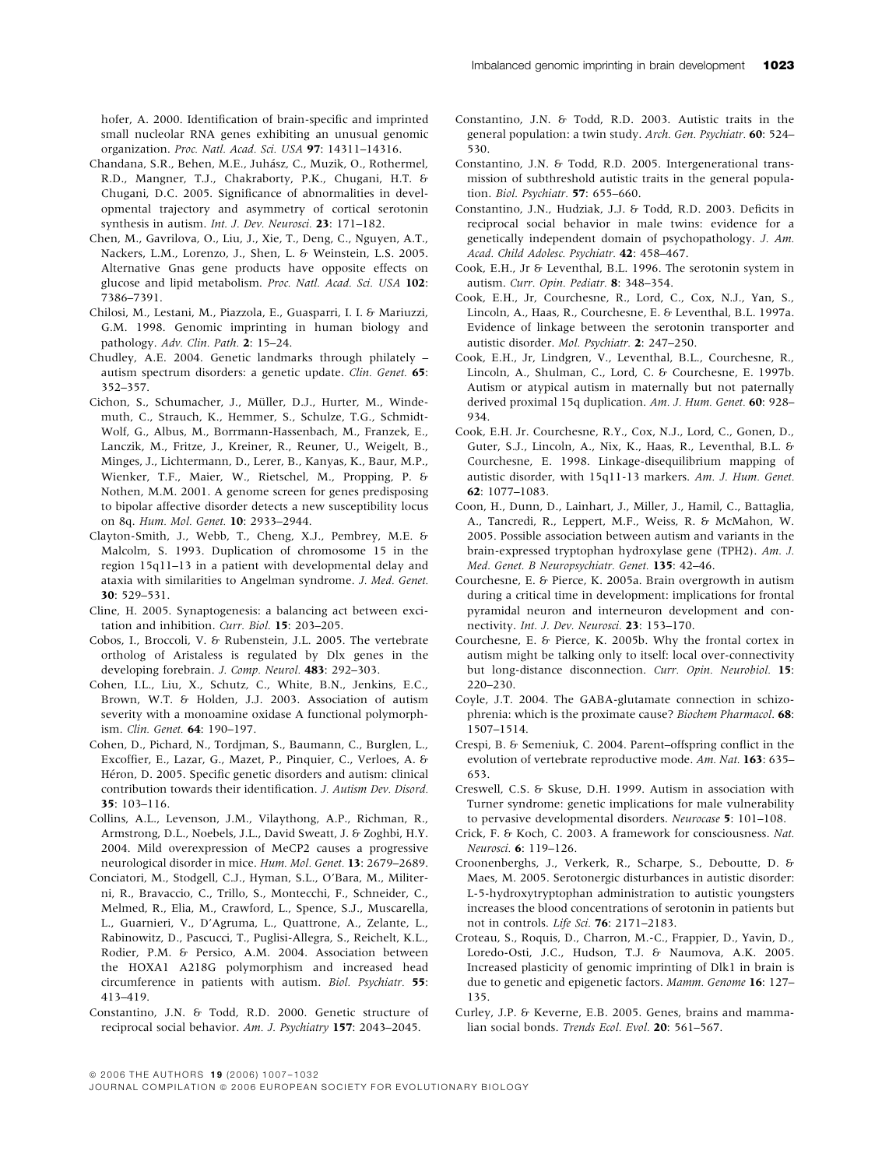hofer, A. 2000. Identification of brain-specific and imprinted small nucleolar RNA genes exhibiting an unusual genomic organization. Proc. Natl. Acad. Sci. USA 97: 14311–14316.

- Chandana, S.R., Behen, M.E., Juhász, C., Muzik, O., Rothermel, R.D., Mangner, T.J., Chakraborty, P.K., Chugani, H.T. & Chugani, D.C. 2005. Significance of abnormalities in developmental trajectory and asymmetry of cortical serotonin synthesis in autism. Int. J. Dev. Neurosci. 23: 171-182.
- Chen, M., Gavrilova, O., Liu, J., Xie, T., Deng, C., Nguyen, A.T., Nackers, L.M., Lorenzo, J., Shen, L. & Weinstein, L.S. 2005. Alternative Gnas gene products have opposite effects on glucose and lipid metabolism. Proc. Natl. Acad. Sci. USA 102: 7386–7391.
- Chilosi, M., Lestani, M., Piazzola, E., Guasparri, I. I. & Mariuzzi, G.M. 1998. Genomic imprinting in human biology and pathology. Adv. Clin. Path. 2: 15-24.
- Chudley, A.E. 2004. Genetic landmarks through philately autism spectrum disorders: a genetic update. Clin. Genet. 65: 352–357.
- Cichon, S., Schumacher, J., Müller, D.J., Hurter, M., Windemuth, C., Strauch, K., Hemmer, S., Schulze, T.G., Schmidt-Wolf, G., Albus, M., Borrmann-Hassenbach, M., Franzek, E., Lanczik, M., Fritze, J., Kreiner, R., Reuner, U., Weigelt, B., Minges, J., Lichtermann, D., Lerer, B., Kanyas, K., Baur, M.P., Wienker, T.F., Maier, W., Rietschel, M., Propping, P. & Nothen, M.M. 2001. A genome screen for genes predisposing to bipolar affective disorder detects a new susceptibility locus on 8q. Hum. Mol. Genet. 10: 2933–2944.
- Clayton-Smith, J., Webb, T., Cheng, X.J., Pembrey, M.E. & Malcolm, S. 1993. Duplication of chromosome 15 in the region 15q11–13 in a patient with developmental delay and ataxia with similarities to Angelman syndrome. J. Med. Genet. 30: 529–531.
- Cline, H. 2005. Synaptogenesis: a balancing act between excitation and inhibition. Curr. Biol. 15: 203–205.
- Cobos, I., Broccoli, V. & Rubenstein, J.L. 2005. The vertebrate ortholog of Aristaless is regulated by Dlx genes in the developing forebrain. J. Comp. Neurol. 483: 292-303.
- Cohen, I.L., Liu, X., Schutz, C., White, B.N., Jenkins, E.C., Brown, W.T. & Holden, J.J. 2003. Association of autism severity with a monoamine oxidase A functional polymorphism. Clin. Genet. 64: 190–197.
- Cohen, D., Pichard, N., Tordjman, S., Baumann, C., Burglen, L., Excoffier, E., Lazar, G., Mazet, P., Pinquier, C., Verloes, A. & Héron, D. 2005. Specific genetic disorders and autism: clinical contribution towards their identification. J. Autism Dev. Disord. 35: 103–116.
- Collins, A.L., Levenson, J.M., Vilaythong, A.P., Richman, R., Armstrong, D.L., Noebels, J.L., David Sweatt, J. & Zoghbi, H.Y. 2004. Mild overexpression of MeCP2 causes a progressive neurological disorder in mice. Hum. Mol. Genet. 13: 2679–2689.
- Conciatori, M., Stodgell, C.J., Hyman, S.L., O'Bara, M., Militerni, R., Bravaccio, C., Trillo, S., Montecchi, F., Schneider, C., Melmed, R., Elia, M., Crawford, L., Spence, S.J., Muscarella, L., Guarnieri, V., D'Agruma, L., Quattrone, A., Zelante, L., Rabinowitz, D., Pascucci, T., Puglisi-Allegra, S., Reichelt, K.L., Rodier, P.M. & Persico, A.M. 2004. Association between the HOXA1 A218G polymorphism and increased head circumference in patients with autism. Biol. Psychiatr. 55: 413–419.
- Constantino, J.N. & Todd, R.D. 2000. Genetic structure of reciprocal social behavior. Am. J. Psychiatry 157: 2043–2045.
- Constantino, J.N. & Todd, R.D. 2003. Autistic traits in the general population: a twin study. Arch. Gen. Psychiatr. 60: 524-530.
- Constantino, J.N. & Todd, R.D. 2005. Intergenerational transmission of subthreshold autistic traits in the general population. Biol. Psychiatr. 57: 655-660.
- Constantino, J.N., Hudziak, J.J. & Todd, R.D. 2003. Deficits in reciprocal social behavior in male twins: evidence for a genetically independent domain of psychopathology. J. Am. Acad. Child Adolesc. Psychiatr. 42: 458–467.
- Cook, E.H., Jr & Leventhal, B.L. 1996. The serotonin system in autism. Curr. Opin. Pediatr. 8: 348–354.
- Cook, E.H., Jr, Courchesne, R., Lord, C., Cox, N.J., Yan, S., Lincoln, A., Haas, R., Courchesne, E. & Leventhal, B.L. 1997a. Evidence of linkage between the serotonin transporter and autistic disorder. Mol. Psychiatr. 2: 247–250.
- Cook, E.H., Jr, Lindgren, V., Leventhal, B.L., Courchesne, R., Lincoln, A., Shulman, C., Lord, C. & Courchesne, E. 1997b. Autism or atypical autism in maternally but not paternally derived proximal 15q duplication. Am. J. Hum. Genet. 60: 928-934.
- Cook, E.H. Jr. Courchesne, R.Y., Cox, N.J., Lord, C., Gonen, D., Guter, S.J., Lincoln, A., Nix, K., Haas, R., Leventhal, B.L. & Courchesne, E. 1998. Linkage-disequilibrium mapping of autistic disorder, with 15q11-13 markers. Am. J. Hum. Genet. 62: 1077–1083.
- Coon, H., Dunn, D., Lainhart, J., Miller, J., Hamil, C., Battaglia, A., Tancredi, R., Leppert, M.F., Weiss, R. & McMahon, W. 2005. Possible association between autism and variants in the brain-expressed tryptophan hydroxylase gene (TPH2). Am. J. Med. Genet. B Neuropsychiatr. Genet. 135: 42-46.
- Courchesne, E. & Pierce, K. 2005a. Brain overgrowth in autism during a critical time in development: implications for frontal pyramidal neuron and interneuron development and connectivity. Int. J. Dev. Neurosci. 23: 153-170.
- Courchesne, E. & Pierce, K. 2005b. Why the frontal cortex in autism might be talking only to itself: local over-connectivity but long-distance disconnection. Curr. Opin. Neurobiol. 15: 220–230.
- Coyle, J.T. 2004. The GABA-glutamate connection in schizophrenia: which is the proximate cause? Biochem Pharmacol. 68: 1507–1514.
- Crespi, B. & Semeniuk, C. 2004. Parent–offspring conflict in the evolution of vertebrate reproductive mode. Am. Nat. 163: 635-653.
- Creswell, C.S. & Skuse, D.H. 1999. Autism in association with Turner syndrome: genetic implications for male vulnerability to pervasive developmental disorders. Neurocase 5: 101-108.
- Crick, F. & Koch, C. 2003. A framework for consciousness. Nat. Neurosci. 6: 119–126.
- Croonenberghs, J., Verkerk, R., Scharpe, S., Deboutte, D. & Maes, M. 2005. Serotonergic disturbances in autistic disorder: L-5-hydroxytryptophan administration to autistic youngsters increases the blood concentrations of serotonin in patients but not in controls. Life Sci. 76: 2171–2183.
- Croteau, S., Roquis, D., Charron, M.-C., Frappier, D., Yavin, D., Loredo-Osti, J.C., Hudson, T.J. & Naumova, A.K. 2005. Increased plasticity of genomic imprinting of Dlk1 in brain is due to genetic and epigenetic factors. Mamm. Genome 16: 127– 135.
- Curley, J.P. & Keverne, E.B. 2005. Genes, brains and mammalian social bonds. Trends Ecol. Evol. 20: 561-567.

<sup>© 2006</sup> THE AUTHORS 19 (2006) 1007-1032

JOURNAL COMPILATION @ 2006 EUROPEAN SOCIETY FOR EVOLUTIONARY BIOLOGY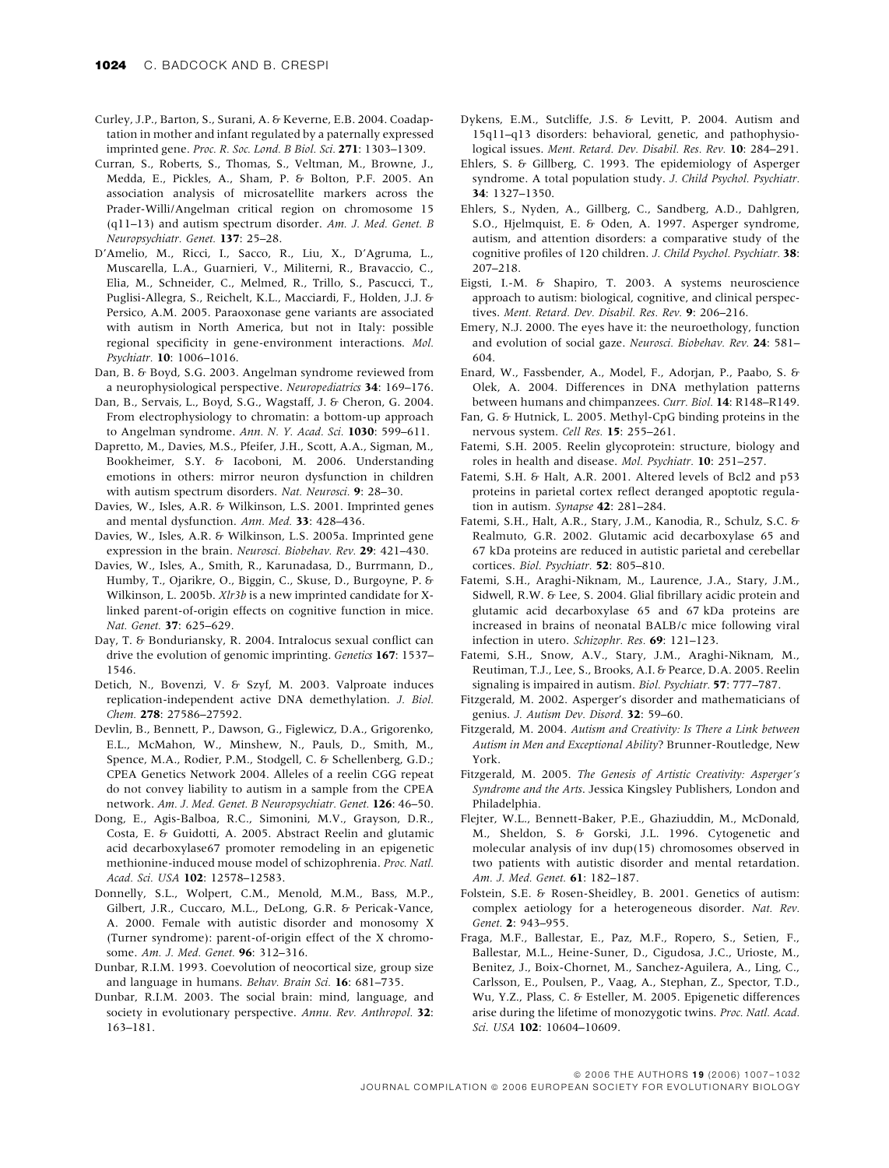- Curley, J.P., Barton, S., Surani, A. & Keverne, E.B. 2004. Coadaptation in mother and infant regulated by a paternally expressed imprinted gene. Proc. R. Soc. Lond. B Biol. Sci. 271: 1303–1309.
- Curran, S., Roberts, S., Thomas, S., Veltman, M., Browne, J., Medda, E., Pickles, A., Sham, P. & Bolton, P.F. 2005. An association analysis of microsatellite markers across the Prader-Willi/Angelman critical region on chromosome 15 (q11–13) and autism spectrum disorder. Am. J. Med. Genet. B Neuropsychiatr. Genet. 137: 25–28.
- D'Amelio, M., Ricci, I., Sacco, R., Liu, X., D'Agruma, L., Muscarella, L.A., Guarnieri, V., Militerni, R., Bravaccio, C., Elia, M., Schneider, C., Melmed, R., Trillo, S., Pascucci, T., Puglisi-Allegra, S., Reichelt, K.L., Macciardi, F., Holden, J.J. & Persico, A.M. 2005. Paraoxonase gene variants are associated with autism in North America, but not in Italy: possible regional specificity in gene-environment interactions. Mol. Psychiatr. 10: 1006–1016.
- Dan, B. & Boyd, S.G. 2003. Angelman syndrome reviewed from a neurophysiological perspective. Neuropediatrics 34: 169–176.
- Dan, B., Servais, L., Boyd, S.G., Wagstaff, J. & Cheron, G. 2004. From electrophysiology to chromatin: a bottom-up approach to Angelman syndrome. Ann. N. Y. Acad. Sci. 1030: 599-611.
- Dapretto, M., Davies, M.S., Pfeifer, J.H., Scott, A.A., Sigman, M., Bookheimer, S.Y. & Iacoboni, M. 2006. Understanding emotions in others: mirror neuron dysfunction in children with autism spectrum disorders. Nat. Neurosci. 9: 28–30.
- Davies, W., Isles, A.R. & Wilkinson, L.S. 2001. Imprinted genes and mental dysfunction. Ann. Med. 33: 428–436.
- Davies, W., Isles, A.R. & Wilkinson, L.S. 2005a. Imprinted gene expression in the brain. Neurosci. Biobehav. Rev. 29: 421-430.
- Davies, W., Isles, A., Smith, R., Karunadasa, D., Burrmann, D., Humby, T., Ojarikre, O., Biggin, C., Skuse, D., Burgoyne, P. & Wilkinson, L. 2005b. Xlr3b is a new imprinted candidate for Xlinked parent-of-origin effects on cognitive function in mice. Nat. Genet. 37: 625–629.
- Day, T. & Bonduriansky, R. 2004. Intralocus sexual conflict can drive the evolution of genomic imprinting. Genetics 167: 1537-1546.
- Detich, N., Bovenzi, V. & Szyf, M. 2003. Valproate induces replication-independent active DNA demethylation. J. Biol. Chem. 278: 27586–27592.
- Devlin, B., Bennett, P., Dawson, G., Figlewicz, D.A., Grigorenko, E.L., McMahon, W., Minshew, N., Pauls, D., Smith, M., Spence, M.A., Rodier, P.M., Stodgell, C. & Schellenberg, G.D.; CPEA Genetics Network 2004. Alleles of a reelin CGG repeat do not convey liability to autism in a sample from the CPEA network. Am. J. Med. Genet. B Neuropsychiatr. Genet. 126: 46–50.
- Dong, E., Agis-Balboa, R.C., Simonini, M.V., Grayson, D.R., Costa, E. & Guidotti, A. 2005. Abstract Reelin and glutamic acid decarboxylase67 promoter remodeling in an epigenetic methionine-induced mouse model of schizophrenia. Proc. Natl. Acad. Sci. USA 102: 12578–12583.
- Donnelly, S.L., Wolpert, C.M., Menold, M.M., Bass, M.P., Gilbert, J.R., Cuccaro, M.L., DeLong, G.R. & Pericak-Vance, A. 2000. Female with autistic disorder and monosomy X (Turner syndrome): parent-of-origin effect of the X chromosome. Am. J. Med. Genet. 96: 312-316.
- Dunbar, R.I.M. 1993. Coevolution of neocortical size, group size and language in humans. Behav. Brain Sci. 16: 681–735.
- Dunbar, R.I.M. 2003. The social brain: mind, language, and society in evolutionary perspective. Annu. Rev. Anthropol. 32: 163–181.
- Dykens, E.M., Sutcliffe, J.S. & Levitt, P. 2004. Autism and 15q11–q13 disorders: behavioral, genetic, and pathophysiological issues. Ment. Retard. Dev. Disabil. Res. Rev. 10: 284–291.
- Ehlers, S. & Gillberg, C. 1993. The epidemiology of Asperger syndrome. A total population study. J. Child Psychol. Psychiatr. 34: 1327–1350.
- Ehlers, S., Nyden, A., Gillberg, C., Sandberg, A.D., Dahlgren, S.O., Hjelmquist, E. & Oden, A. 1997. Asperger syndrome, autism, and attention disorders: a comparative study of the cognitive profiles of 120 children. J. Child Psychol. Psychiatr. 38: 207–218.
- Eigsti, I.-M. & Shapiro, T. 2003. A systems neuroscience approach to autism: biological, cognitive, and clinical perspectives. Ment. Retard. Dev. Disabil. Res. Rev. 9: 206–216.
- Emery, N.J. 2000. The eyes have it: the neuroethology, function and evolution of social gaze. Neurosci. Biobehav. Rev. 24: 581– 604.
- Enard, W., Fassbender, A., Model, F., Adorjan, P., Paabo, S. & Olek, A. 2004. Differences in DNA methylation patterns between humans and chimpanzees. Curr. Biol. 14: R148–R149.
- Fan, G. & Hutnick, L. 2005. Methyl-CpG binding proteins in the nervous system. Cell Res. 15: 255–261.
- Fatemi, S.H. 2005. Reelin glycoprotein: structure, biology and roles in health and disease. Mol. Psychiatr. 10: 251–257.
- Fatemi, S.H. & Halt, A.R. 2001. Altered levels of Bcl2 and p53 proteins in parietal cortex reflect deranged apoptotic regulation in autism. Synapse 42: 281-284.
- Fatemi, S.H., Halt, A.R., Stary, J.M., Kanodia, R., Schulz, S.C. & Realmuto, G.R. 2002. Glutamic acid decarboxylase 65 and 67 kDa proteins are reduced in autistic parietal and cerebellar cortices. Biol. Psychiatr. 52: 805–810.
- Fatemi, S.H., Araghi-Niknam, M., Laurence, J.A., Stary, J.M., Sidwell, R.W. & Lee, S. 2004. Glial fibrillary acidic protein and glutamic acid decarboxylase 65 and 67 kDa proteins are increased in brains of neonatal BALB/c mice following viral infection in utero. Schizophr. Res. 69: 121–123.
- Fatemi, S.H., Snow, A.V., Stary, J.M., Araghi-Niknam, M., Reutiman, T.J., Lee, S., Brooks, A.I. & Pearce, D.A. 2005. Reelin signaling is impaired in autism. Biol. Psychiatr. 57: 777–787.
- Fitzgerald, M. 2002. Asperger's disorder and mathematicians of genius. J. Autism Dev. Disord. 32: 59–60.
- Fitzgerald, M. 2004. Autism and Creativity: Is There a Link between Autism in Men and Exceptional Ability? Brunner-Routledge, New York.
- Fitzgerald, M. 2005. The Genesis of Artistic Creativity: Asperger's Syndrome and the Arts. Jessica Kingsley Publishers, London and Philadelphia.
- Flejter, W.L., Bennett-Baker, P.E., Ghaziuddin, M., McDonald, M., Sheldon, S. & Gorski, J.L. 1996. Cytogenetic and molecular analysis of inv dup(15) chromosomes observed in two patients with autistic disorder and mental retardation. Am. J. Med. Genet. 61: 182–187.
- Folstein, S.E. & Rosen-Sheidley, B. 2001. Genetics of autism: complex aetiology for a heterogeneous disorder. Nat. Rev. Genet. 2: 943–955.
- Fraga, M.F., Ballestar, E., Paz, M.F., Ropero, S., Setien, F., Ballestar, M.L., Heine-Suner, D., Cigudosa, J.C., Urioste, M., Benitez, J., Boix-Chornet, M., Sanchez-Aguilera, A., Ling, C., Carlsson, E., Poulsen, P., Vaag, A., Stephan, Z., Spector, T.D., Wu, Y.Z., Plass, C. & Esteller, M. 2005. Epigenetic differences arise during the lifetime of monozygotic twins. Proc. Natl. Acad. Sci. USA 102: 10604–10609.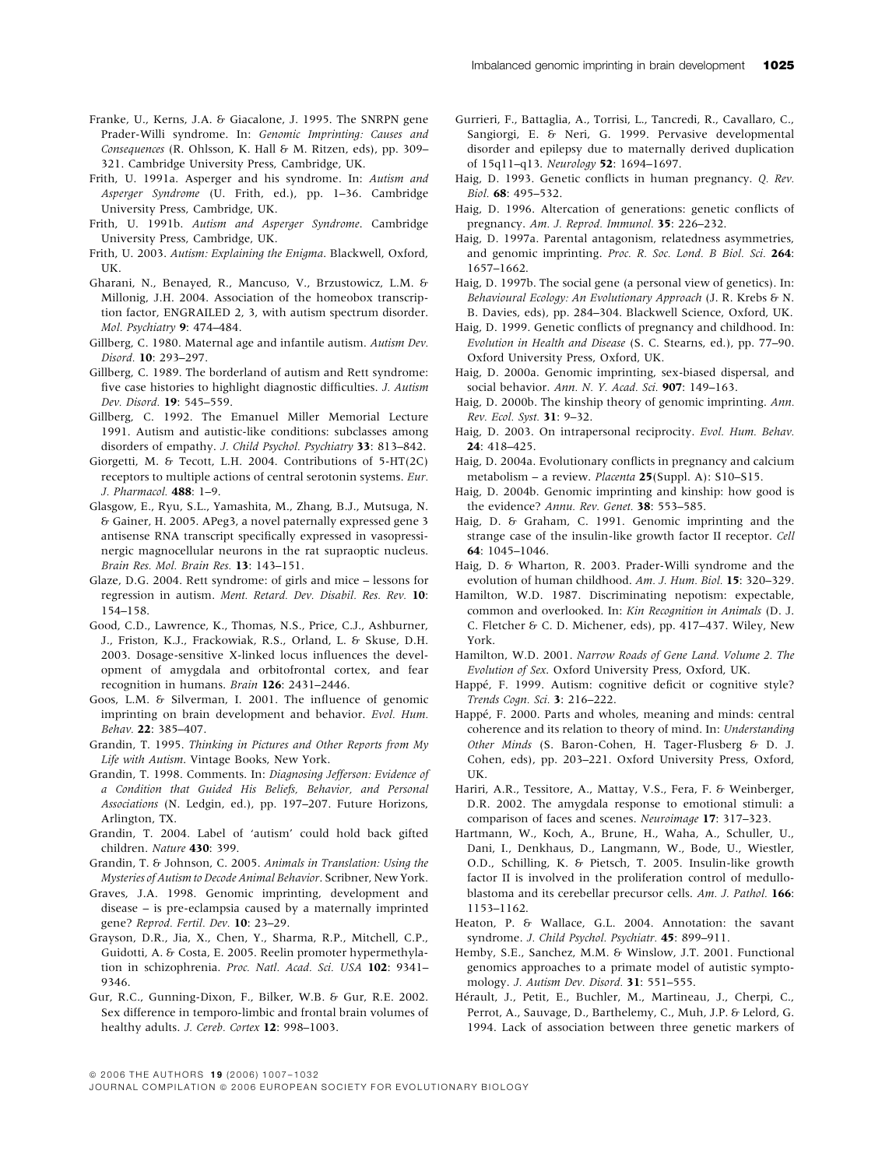- Franke, U., Kerns, J.A. & Giacalone, J. 1995. The SNRPN gene Prader-Willi syndrome. In: Genomic Imprinting: Causes and Consequences (R. Ohlsson, K. Hall & M. Ritzen, eds), pp. 309-321. Cambridge University Press, Cambridge, UK.
- Frith, U. 1991a. Asperger and his syndrome. In: Autism and Asperger Syndrome (U. Frith, ed.), pp. 1–36. Cambridge University Press, Cambridge, UK.
- Frith, U. 1991b. Autism and Asperger Syndrome. Cambridge University Press, Cambridge, UK.
- Frith, U. 2003. Autism: Explaining the Enigma. Blackwell, Oxford, UK.
- Gharani, N., Benayed, R., Mancuso, V., Brzustowicz, L.M. & Millonig, J.H. 2004. Association of the homeobox transcription factor, ENGRAILED 2, 3, with autism spectrum disorder. Mol. Psychiatry 9: 474–484.
- Gillberg, C. 1980. Maternal age and infantile autism. Autism Dev. Disord. 10: 293–297.
- Gillberg, C. 1989. The borderland of autism and Rett syndrome: five case histories to highlight diagnostic difficulties. J. Autism Dev. Disord. 19: 545–559.
- Gillberg, C. 1992. The Emanuel Miller Memorial Lecture 1991. Autism and autistic-like conditions: subclasses among disorders of empathy. J. Child Psychol. Psychiatry 33: 813-842.
- Giorgetti, M. & Tecott, L.H. 2004. Contributions of 5-HT(2C) receptors to multiple actions of central serotonin systems. Eur. J. Pharmacol. 488: 1–9.
- Glasgow, E., Ryu, S.L., Yamashita, M., Zhang, B.J., Mutsuga, N. & Gainer, H. 2005. APeg3, a novel paternally expressed gene 3 antisense RNA transcript specifically expressed in vasopressinergic magnocellular neurons in the rat supraoptic nucleus. Brain Res. Mol. Brain Res. 13: 143–151.
- Glaze, D.G. 2004. Rett syndrome: of girls and mice lessons for regression in autism. Ment. Retard. Dev. Disabil. Res. Rev. 10: 154–158.
- Good, C.D., Lawrence, K., Thomas, N.S., Price, C.J., Ashburner, J., Friston, K.J., Frackowiak, R.S., Orland, L. & Skuse, D.H. 2003. Dosage-sensitive X-linked locus influences the development of amygdala and orbitofrontal cortex, and fear recognition in humans. Brain 126: 2431–2446.
- Goos, L.M. & Silverman, I. 2001. The influence of genomic imprinting on brain development and behavior. Evol. Hum. Behav. 22: 385–407.
- Grandin, T. 1995. Thinking in Pictures and Other Reports from My Life with Autism. Vintage Books, New York.
- Grandin, T. 1998. Comments. In: Diagnosing Jefferson: Evidence of a Condition that Guided His Beliefs, Behavior, and Personal Associations (N. Ledgin, ed.), pp. 197–207. Future Horizons, Arlington, TX.
- Grandin, T. 2004. Label of 'autism' could hold back gifted children. Nature 430: 399.
- Grandin, T. & Johnson, C. 2005. Animals in Translation: Using the Mysteries of Autism to Decode Animal Behavior. Scribner, New York.
- Graves, J.A. 1998. Genomic imprinting, development and disease – is pre-eclampsia caused by a maternally imprinted gene? Reprod. Fertil. Dev. 10: 23–29.
- Grayson, D.R., Jia, X., Chen, Y., Sharma, R.P., Mitchell, C.P., Guidotti, A. & Costa, E. 2005. Reelin promoter hypermethylation in schizophrenia. Proc. Natl. Acad. Sci. USA 102: 9341-9346.
- Gur, R.C., Gunning-Dixon, F., Bilker, W.B. & Gur, R.E. 2002. Sex difference in temporo-limbic and frontal brain volumes of healthy adults. J. Cereb. Cortex 12: 998-1003.
- Gurrieri, F., Battaglia, A., Torrisi, L., Tancredi, R., Cavallaro, C., Sangiorgi, E. & Neri, G. 1999. Pervasive developmental disorder and epilepsy due to maternally derived duplication of 15q11–q13. Neurology 52: 1694–1697.
- Haig, D. 1993. Genetic conflicts in human pregnancy. Q. Rev. Biol. 68: 495–532.
- Haig, D. 1996. Altercation of generations: genetic conflicts of pregnancy. Am. J. Reprod. Immunol. 35: 226–232.
- Haig, D. 1997a. Parental antagonism, relatedness asymmetries, and genomic imprinting. Proc. R. Soc. Lond. B Biol. Sci. 264: 1657–1662.
- Haig, D. 1997b. The social gene (a personal view of genetics). In: Behavioural Ecology: An Evolutionary Approach (J. R. Krebs & N. B. Davies, eds), pp. 284–304. Blackwell Science, Oxford, UK.
- Haig, D. 1999. Genetic conflicts of pregnancy and childhood. In: Evolution in Health and Disease (S. C. Stearns, ed.), pp. 77–90. Oxford University Press, Oxford, UK.
- Haig, D. 2000a. Genomic imprinting, sex-biased dispersal, and social behavior. Ann. N. Y. Acad. Sci. 907: 149-163.
- Haig, D. 2000b. The kinship theory of genomic imprinting. Ann. Rev. Ecol. Syst. 31: 9–32.
- Haig, D. 2003. On intrapersonal reciprocity. Evol. Hum. Behav. 24: 418–425.
- Haig, D. 2004a. Evolutionary conflicts in pregnancy and calcium metabolism – a review. Placenta 25(Suppl. A): S10–S15.
- Haig, D. 2004b. Genomic imprinting and kinship: how good is the evidence? Annu. Rev. Genet. 38: 553-585.
- Haig, D. & Graham, C. 1991. Genomic imprinting and the strange case of the insulin-like growth factor II receptor. Cell 64: 1045–1046.
- Haig, D. & Wharton, R. 2003. Prader-Willi syndrome and the evolution of human childhood. Am. J. Hum. Biol. 15: 320–329.
- Hamilton, W.D. 1987. Discriminating nepotism: expectable, common and overlooked. In: Kin Recognition in Animals (D. J. C. Fletcher & C. D. Michener, eds), pp. 417–437. Wiley, New York.
- Hamilton, W.D. 2001. Narrow Roads of Gene Land. Volume 2. The Evolution of Sex. Oxford University Press, Oxford, UK.
- Happé, F. 1999. Autism: cognitive deficit or cognitive style? Trends Cogn. Sci. 3: 216–222.
- Happé, F. 2000. Parts and wholes, meaning and minds: central coherence and its relation to theory of mind. In: Understanding Other Minds (S. Baron-Cohen, H. Tager-Flusberg & D. J. Cohen, eds), pp. 203–221. Oxford University Press, Oxford, UK.
- Hariri, A.R., Tessitore, A., Mattay, V.S., Fera, F. & Weinberger, D.R. 2002. The amygdala response to emotional stimuli: a comparison of faces and scenes. Neuroimage 17: 317–323.
- Hartmann, W., Koch, A., Brune, H., Waha, A., Schuller, U., Dani, I., Denkhaus, D., Langmann, W., Bode, U., Wiestler, O.D., Schilling, K. & Pietsch, T. 2005. Insulin-like growth factor II is involved in the proliferation control of medulloblastoma and its cerebellar precursor cells. Am. J. Pathol. 166: 1153–1162.
- Heaton, P. & Wallace, G.L. 2004. Annotation: the savant syndrome. J. Child Psychol. Psychiatr. 45: 899-911.
- Hemby, S.E., Sanchez, M.M. & Winslow, J.T. 2001. Functional genomics approaches to a primate model of autistic symptomology. J. Autism Dev. Disord. 31: 551–555.
- Hérault, J., Petit, E., Buchler, M., Martineau, J., Cherpi, C., Perrot, A., Sauvage, D., Barthelemy, C., Muh, J.P. & Lelord, G. 1994. Lack of association between three genetic markers of

<sup>© 2006</sup> THE AUTHORS 19 (2006) 1007-1032

JOURNAL COMPILATION @ 2006 EUROPEAN SOCIETY FOR EVOLUTIONARY BIOLOGY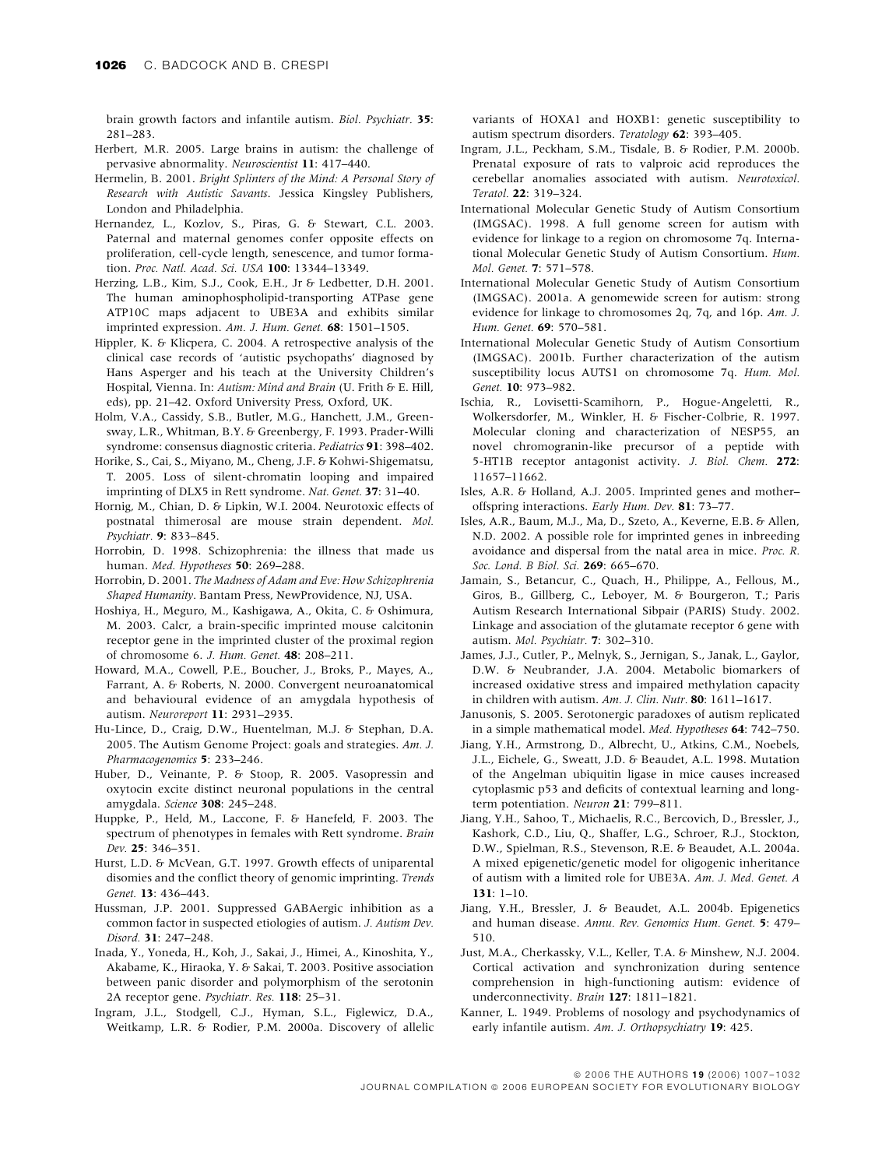brain growth factors and infantile autism. Biol. Psychiatr. 35: 281–283.

- Herbert, M.R. 2005. Large brains in autism: the challenge of pervasive abnormality. Neuroscientist 11: 417–440.
- Hermelin, B. 2001. Bright Splinters of the Mind: A Personal Story of Research with Autistic Savants. Jessica Kingsley Publishers, London and Philadelphia.
- Hernandez, L., Kozlov, S., Piras, G. & Stewart, C.L. 2003. Paternal and maternal genomes confer opposite effects on proliferation, cell-cycle length, senescence, and tumor formation. Proc. Natl. Acad. Sci. USA 100: 13344–13349.
- Herzing, L.B., Kim, S.J., Cook, E.H., Jr & Ledbetter, D.H. 2001. The human aminophospholipid-transporting ATPase gene ATP10C maps adjacent to UBE3A and exhibits similar imprinted expression. Am. J. Hum. Genet. 68: 1501–1505.
- Hippler, K. & Klicpera, C. 2004. A retrospective analysis of the clinical case records of 'autistic psychopaths' diagnosed by Hans Asperger and his teach at the University Children's Hospital, Vienna. In: Autism: Mind and Brain (U. Frith & E. Hill, eds), pp. 21–42. Oxford University Press, Oxford, UK.
- Holm, V.A., Cassidy, S.B., Butler, M.G., Hanchett, J.M., Greensway, L.R., Whitman, B.Y. & Greenbergy, F. 1993. Prader-Willi syndrome: consensus diagnostic criteria. Pediatrics 91: 398–402.
- Horike, S., Cai, S., Miyano, M., Cheng, J.F. & Kohwi-Shigematsu, T. 2005. Loss of silent-chromatin looping and impaired imprinting of DLX5 in Rett syndrome. Nat. Genet. 37: 31–40.
- Hornig, M., Chian, D. & Lipkin, W.I. 2004. Neurotoxic effects of postnatal thimerosal are mouse strain dependent. Mol. Psychiatr. 9: 833–845.
- Horrobin, D. 1998. Schizophrenia: the illness that made us human. Med. Hypotheses 50: 269-288.
- Horrobin, D. 2001. The Madness of Adam and Eve: How Schizophrenia Shaped Humanity. Bantam Press, NewProvidence, NJ, USA.
- Hoshiya, H., Meguro, M., Kashigawa, A., Okita, C. & Oshimura, M. 2003. Calcr, a brain-specific imprinted mouse calcitonin receptor gene in the imprinted cluster of the proximal region of chromosome 6. J. Hum. Genet. 48: 208–211.
- Howard, M.A., Cowell, P.E., Boucher, J., Broks, P., Mayes, A., Farrant, A. & Roberts, N. 2000. Convergent neuroanatomical and behavioural evidence of an amygdala hypothesis of autism. Neuroreport 11: 2931–2935.
- Hu-Lince, D., Craig, D.W., Huentelman, M.J. & Stephan, D.A. 2005. The Autism Genome Project: goals and strategies. Am. J. Pharmacogenomics 5: 233-246.
- Huber, D., Veinante, P. & Stoop, R. 2005. Vasopressin and oxytocin excite distinct neuronal populations in the central amygdala. Science 308: 245–248.
- Huppke, P., Held, M., Laccone, F. & Hanefeld, F. 2003. The spectrum of phenotypes in females with Rett syndrome. Brain Dev. 25: 346–351.
- Hurst, L.D. & McVean, G.T. 1997. Growth effects of uniparental disomies and the conflict theory of genomic imprinting. Trends Genet. 13: 436–443.
- Hussman, J.P. 2001. Suppressed GABAergic inhibition as a common factor in suspected etiologies of autism. J. Autism Dev. Disord. 31: 247–248.
- Inada, Y., Yoneda, H., Koh, J., Sakai, J., Himei, A., Kinoshita, Y., Akabame, K., Hiraoka, Y. & Sakai, T. 2003. Positive association between panic disorder and polymorphism of the serotonin 2A receptor gene. Psychiatr. Res. 118: 25–31.
- Ingram, J.L., Stodgell, C.J., Hyman, S.L., Figlewicz, D.A., Weitkamp, L.R. & Rodier, P.M. 2000a. Discovery of allelic

variants of HOXA1 and HOXB1: genetic susceptibility to autism spectrum disorders. Teratology 62: 393–405.

- Ingram, J.L., Peckham, S.M., Tisdale, B. & Rodier, P.M. 2000b. Prenatal exposure of rats to valproic acid reproduces the cerebellar anomalies associated with autism. Neurotoxicol. Teratol. 22: 319-324.
- International Molecular Genetic Study of Autism Consortium (IMGSAC). 1998. A full genome screen for autism with evidence for linkage to a region on chromosome 7q. International Molecular Genetic Study of Autism Consortium. Hum. Mol. Genet. 7: 571–578.
- International Molecular Genetic Study of Autism Consortium (IMGSAC). 2001a. A genomewide screen for autism: strong evidence for linkage to chromosomes 2q, 7q, and 16p. Am. J. Hum. Genet. 69: 570–581.
- International Molecular Genetic Study of Autism Consortium (IMGSAC). 2001b. Further characterization of the autism susceptibility locus AUTS1 on chromosome 7q. Hum. Mol. Genet. 10: 973–982.
- Ischia, R., Lovisetti-Scamihorn, P., Hogue-Angeletti, R., Wolkersdorfer, M., Winkler, H. & Fischer-Colbrie, R. 1997. Molecular cloning and characterization of NESP55, an novel chromogranin-like precursor of a peptide with 5-HT1B receptor antagonist activity. J. Biol. Chem. 272: 11657–11662.
- Isles, A.R. & Holland, A.J. 2005. Imprinted genes and mother– offspring interactions. Early Hum. Dev. 81: 73–77.
- Isles, A.R., Baum, M.J., Ma, D., Szeto, A., Keverne, E.B. & Allen, N.D. 2002. A possible role for imprinted genes in inbreeding avoidance and dispersal from the natal area in mice. Proc. R. Soc. Lond. B Biol. Sci. 269: 665-670.
- Jamain, S., Betancur, C., Quach, H., Philippe, A., Fellous, M., Giros, B., Gillberg, C., Leboyer, M. & Bourgeron, T.; Paris Autism Research International Sibpair (PARIS) Study. 2002. Linkage and association of the glutamate receptor 6 gene with autism. Mol. Psychiatr. 7: 302–310.
- James, J.J., Cutler, P., Melnyk, S., Jernigan, S., Janak, L., Gaylor, D.W. & Neubrander, J.A. 2004. Metabolic biomarkers of increased oxidative stress and impaired methylation capacity in children with autism. Am. J. Clin. Nutr. 80: 1611-1617.
- Janusonis, S. 2005. Serotonergic paradoxes of autism replicated in a simple mathematical model. Med. Hypotheses 64: 742–750.
- Jiang, Y.H., Armstrong, D., Albrecht, U., Atkins, C.M., Noebels, J.L., Eichele, G., Sweatt, J.D. & Beaudet, A.L. 1998. Mutation of the Angelman ubiquitin ligase in mice causes increased cytoplasmic p53 and deficits of contextual learning and longterm potentiation. Neuron 21: 799-811.
- Jiang, Y.H., Sahoo, T., Michaelis, R.C., Bercovich, D., Bressler, J., Kashork, C.D., Liu, Q., Shaffer, L.G., Schroer, R.J., Stockton, D.W., Spielman, R.S., Stevenson, R.E. & Beaudet, A.L. 2004a. A mixed epigenetic/genetic model for oligogenic inheritance of autism with a limited role for UBE3A. Am. J. Med. Genet. A 131: 1–10.
- Jiang, Y.H., Bressler, J. & Beaudet, A.L. 2004b. Epigenetics and human disease. Annu. Rev. Genomics Hum. Genet. 5: 479– 510.
- Just, M.A., Cherkassky, V.L., Keller, T.A. & Minshew, N.J. 2004. Cortical activation and synchronization during sentence comprehension in high-functioning autism: evidence of underconnectivity. Brain 127: 1811-1821.
- Kanner, L. 1949. Problems of nosology and psychodynamics of early infantile autism. Am. J. Orthopsychiatry 19: 425.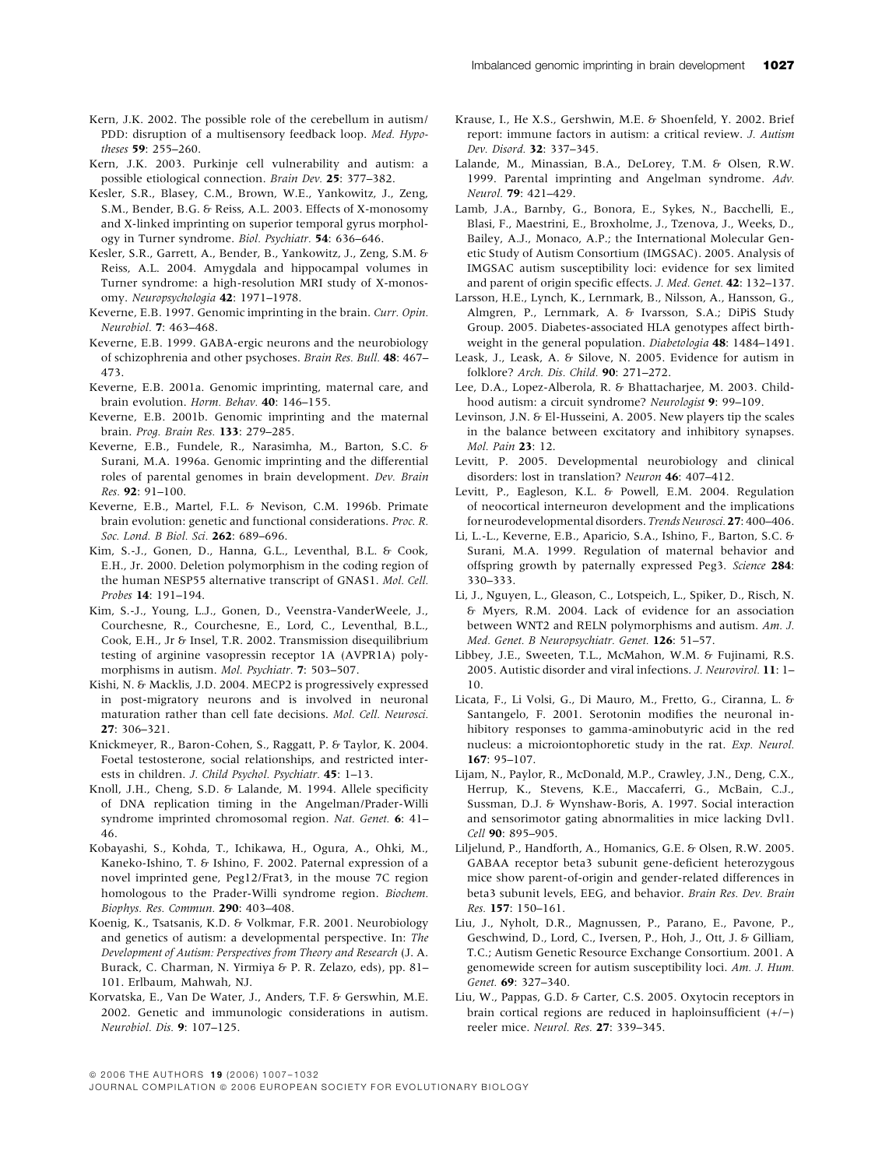- Kern, J.K. 2002. The possible role of the cerebellum in autism/ PDD: disruption of a multisensory feedback loop. Med. Hypotheses 59: 255–260.
- Kern, J.K. 2003. Purkinje cell vulnerability and autism: a possible etiological connection. Brain Dev. 25: 377–382.
- Kesler, S.R., Blasey, C.M., Brown, W.E., Yankowitz, J., Zeng, S.M., Bender, B.G. & Reiss, A.L. 2003. Effects of X-monosomy and X-linked imprinting on superior temporal gyrus morphology in Turner syndrome. Biol. Psychiatr. 54: 636–646.
- Kesler, S.R., Garrett, A., Bender, B., Yankowitz, J., Zeng, S.M. & Reiss, A.L. 2004. Amygdala and hippocampal volumes in Turner syndrome: a high-resolution MRI study of X-monosomy. Neuropsychologia 42: 1971–1978.
- Keverne, E.B. 1997. Genomic imprinting in the brain. Curr. Opin. Neurobiol. 7: 463–468.
- Keverne, E.B. 1999. GABA-ergic neurons and the neurobiology of schizophrenia and other psychoses. Brain Res. Bull. 48: 467– 473.
- Keverne, E.B. 2001a. Genomic imprinting, maternal care, and brain evolution. Horm. Behav. 40: 146–155.
- Keverne, E.B. 2001b. Genomic imprinting and the maternal brain. Prog. Brain Res. 133: 279–285.
- Keverne, E.B., Fundele, R., Narasimha, M., Barton, S.C. & Surani, M.A. 1996a. Genomic imprinting and the differential roles of parental genomes in brain development. Dev. Brain Res. 92: 91–100.
- Keverne, E.B., Martel, F.L. & Nevison, C.M. 1996b. Primate brain evolution: genetic and functional considerations. Proc. R. Soc. Lond. B Biol. Sci. 262: 689-696.
- Kim, S.-J., Gonen, D., Hanna, G.L., Leventhal, B.L. & Cook, E.H., Jr. 2000. Deletion polymorphism in the coding region of the human NESP55 alternative transcript of GNAS1. Mol. Cell. Probes 14: 191–194.
- Kim, S.-J., Young, L.J., Gonen, D., Veenstra-VanderWeele, J., Courchesne, R., Courchesne, E., Lord, C., Leventhal, B.L., Cook, E.H., Jr & Insel, T.R. 2002. Transmission disequilibrium testing of arginine vasopressin receptor 1A (AVPR1A) polymorphisms in autism. Mol. Psychiatr. 7: 503–507.
- Kishi, N. & Macklis, J.D. 2004. MECP2 is progressively expressed in post-migratory neurons and is involved in neuronal maturation rather than cell fate decisions. Mol. Cell. Neurosci.  $27 \cdot 306 - 321$
- Knickmeyer, R., Baron-Cohen, S., Raggatt, P. & Taylor, K. 2004. Foetal testosterone, social relationships, and restricted interests in children. J. Child Psychol. Psychiatr. 45: 1–13.
- Knoll, J.H., Cheng, S.D. & Lalande, M. 1994. Allele specificity of DNA replication timing in the Angelman/Prader-Willi syndrome imprinted chromosomal region. Nat. Genet. 6: 41-46.
- Kobayashi, S., Kohda, T., Ichikawa, H., Ogura, A., Ohki, M., Kaneko-Ishino, T. & Ishino, F. 2002. Paternal expression of a novel imprinted gene, Peg12/Frat3, in the mouse 7C region homologous to the Prader-Willi syndrome region. Biochem. Biophys. Res. Commun. 290: 403–408.
- Koenig, K., Tsatsanis, K.D. & Volkmar, F.R. 2001. Neurobiology and genetics of autism: a developmental perspective. In: The Development of Autism: Perspectives from Theory and Research (J. A. Burack, C. Charman, N. Yirmiya & P. R. Zelazo, eds), pp. 81– 101. Erlbaum, Mahwah, NJ.
- Korvatska, E., Van De Water, J., Anders, T.F. & Gerswhin, M.E. 2002. Genetic and immunologic considerations in autism. Neurobiol. Dis. 9: 107–125.
- Krause, I., He X.S., Gershwin, M.E. & Shoenfeld, Y. 2002. Brief report: immune factors in autism: a critical review. J. Autism Dev. Disord. 32: 337–345.
- Lalande, M., Minassian, B.A., DeLorey, T.M. & Olsen, R.W. 1999. Parental imprinting and Angelman syndrome. Adv. Neurol. 79: 421–429.
- Lamb, J.A., Barnby, G., Bonora, E., Sykes, N., Bacchelli, E., Blasi, F., Maestrini, E., Broxholme, J., Tzenova, J., Weeks, D., Bailey, A.J., Monaco, A.P.; the International Molecular Genetic Study of Autism Consortium (IMGSAC). 2005. Analysis of IMGSAC autism susceptibility loci: evidence for sex limited and parent of origin specific effects. J. Med. Genet. 42: 132–137.
- Larsson, H.E., Lynch, K., Lernmark, B., Nilsson, A., Hansson, G., Almgren, P., Lernmark, A. & Ivarsson, S.A.; DiPiS Study Group. 2005. Diabetes-associated HLA genotypes affect birthweight in the general population. Diabetologia 48: 1484-1491.
- Leask, J., Leask, A. & Silove, N. 2005. Evidence for autism in folklore? Arch. Dis. Child. 90: 271–272.
- Lee, D.A., Lopez-Alberola, R. & Bhattacharjee, M. 2003. Childhood autism: a circuit syndrome? Neurologist 9: 99–109.
- Levinson, J.N. & El-Husseini, A. 2005. New players tip the scales in the balance between excitatory and inhibitory synapses. Mol. Pain 23: 12.
- Levitt, P. 2005. Developmental neurobiology and clinical disorders: lost in translation? Neuron 46: 407–412.
- Levitt, P., Eagleson, K.L. & Powell, E.M. 2004. Regulation of neocortical interneuron development and the implications for neurodevelopmental disorders. Trends Neurosci. 27: 400–406.
- Li, L.-L., Keverne, E.B., Aparicio, S.A., Ishino, F., Barton, S.C. & Surani, M.A. 1999. Regulation of maternal behavior and offspring growth by paternally expressed Peg3. Science 284: 330–333.
- Li, J., Nguyen, L., Gleason, C., Lotspeich, L., Spiker, D., Risch, N. & Myers, R.M. 2004. Lack of evidence for an association between WNT2 and RELN polymorphisms and autism. Am. J. Med. Genet. B Neuropsychiatr. Genet. 126: 51–57.
- Libbey, J.E., Sweeten, T.L., McMahon, W.M. & Fujinami, R.S. 2005. Autistic disorder and viral infections. J. Neurovirol. 11: 1– 10.
- Licata, F., Li Volsi, G., Di Mauro, M., Fretto, G., Ciranna, L. & Santangelo, F. 2001. Serotonin modifies the neuronal inhibitory responses to gamma-aminobutyric acid in the red nucleus: a microiontophoretic study in the rat. Exp. Neurol. 167: 95–107.
- Lijam, N., Paylor, R., McDonald, M.P., Crawley, J.N., Deng, C.X., Herrup, K., Stevens, K.E., Maccaferri, G., McBain, C.J., Sussman, D.J. & Wynshaw-Boris, A. 1997. Social interaction and sensorimotor gating abnormalities in mice lacking Dvl1. Cell 90: 895-905.
- Liljelund, P., Handforth, A., Homanics, G.E. & Olsen, R.W. 2005. GABAA receptor beta3 subunit gene-deficient heterozygous mice show parent-of-origin and gender-related differences in beta3 subunit levels, EEG, and behavior. Brain Res. Dev. Brain Res. 157: 150–161.
- Liu, J., Nyholt, D.R., Magnussen, P., Parano, E., Pavone, P., Geschwind, D., Lord, C., Iversen, P., Hoh, J., Ott, J. & Gilliam, T.C.; Autism Genetic Resource Exchange Consortium. 2001. A genomewide screen for autism susceptibility loci. Am. J. Hum. Genet. 69: 327–340.
- Liu, W., Pappas, G.D. & Carter, C.S. 2005. Oxytocin receptors in brain cortical regions are reduced in haploinsufficient  $(+/-)$ reeler mice. Neurol. Res. 27: 339–345.

<sup>© 2006</sup> THE AUTHORS 19 (2006) 1007-1032

JOURNAL COMPILATION @ 2006 EUROPEAN SOCIETY FOR EVOLUTIONARY BIOLOGY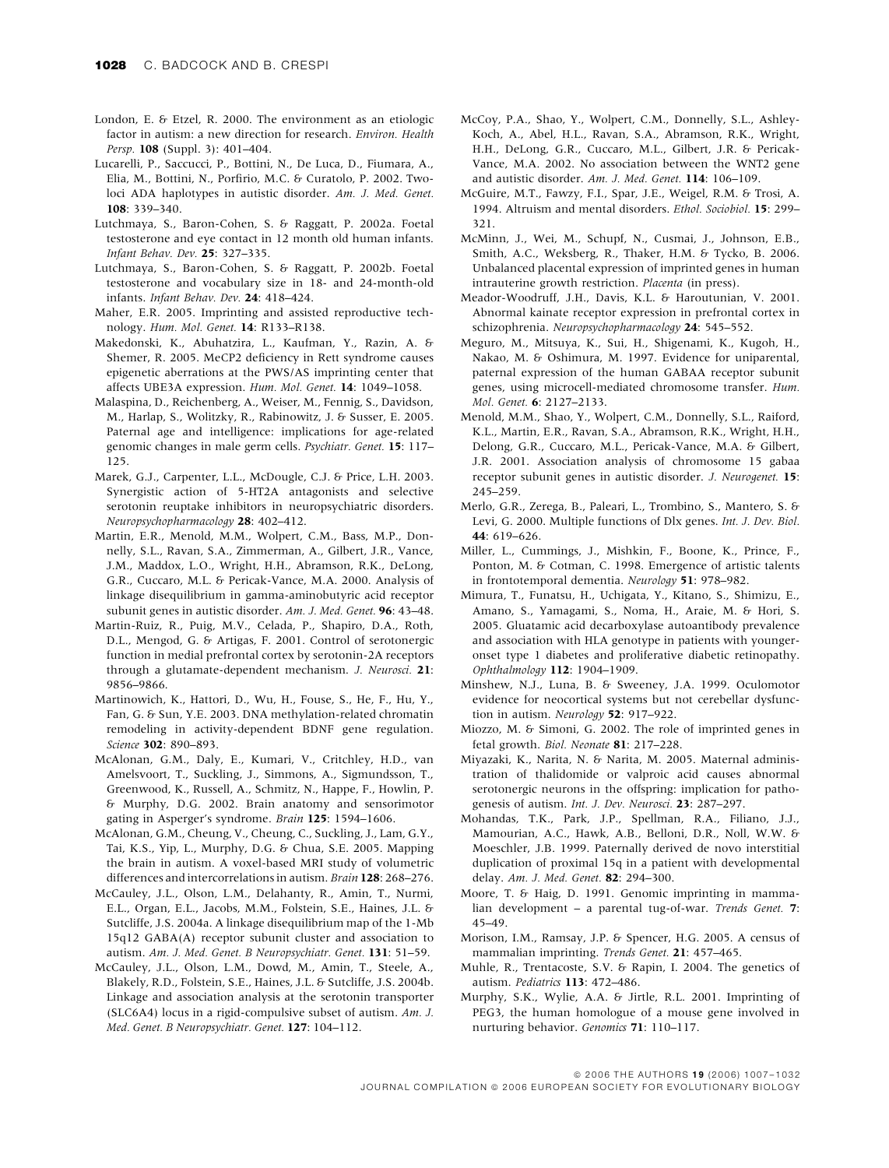- London, E. & Etzel, R. 2000. The environment as an etiologic factor in autism: a new direction for research. Environ. Health Persp. 108 (Suppl. 3): 401–404.
- Lucarelli, P., Saccucci, P., Bottini, N., De Luca, D., Fiumara, A., Elia, M., Bottini, N., Porfirio, M.C. & Curatolo, P. 2002. Twoloci ADA haplotypes in autistic disorder. Am. J. Med. Genet. 108: 339–340.
- Lutchmaya, S., Baron-Cohen, S. & Raggatt, P. 2002a. Foetal testosterone and eye contact in 12 month old human infants. Infant Behav. Dev. 25: 327–335.
- Lutchmaya, S., Baron-Cohen, S. & Raggatt, P. 2002b. Foetal testosterone and vocabulary size in 18- and 24-month-old infants. Infant Behav. Dev. 24: 418–424.
- Maher, E.R. 2005. Imprinting and assisted reproductive technology. Hum. Mol. Genet. 14: R133–R138.
- Makedonski, K., Abuhatzira, L., Kaufman, Y., Razin, A. & Shemer, R. 2005. MeCP2 deficiency in Rett syndrome causes epigenetic aberrations at the PWS/AS imprinting center that affects UBE3A expression. Hum. Mol. Genet. 14: 1049–1058.
- Malaspina, D., Reichenberg, A., Weiser, M., Fennig, S., Davidson, M., Harlap, S., Wolitzky, R., Rabinowitz, J. & Susser, E. 2005. Paternal age and intelligence: implications for age-related genomic changes in male germ cells. Psychiatr. Genet. 15: 117– 125.
- Marek, G.J., Carpenter, L.L., McDougle, C.J. & Price, L.H. 2003. Synergistic action of 5-HT2A antagonists and selective serotonin reuptake inhibitors in neuropsychiatric disorders. Neuropsychopharmacology 28: 402–412.
- Martin, E.R., Menold, M.M., Wolpert, C.M., Bass, M.P., Donnelly, S.L., Ravan, S.A., Zimmerman, A., Gilbert, J.R., Vance, J.M., Maddox, L.O., Wright, H.H., Abramson, R.K., DeLong, G.R., Cuccaro, M.L. & Pericak-Vance, M.A. 2000. Analysis of linkage disequilibrium in gamma-aminobutyric acid receptor subunit genes in autistic disorder. Am. J. Med. Genet. 96: 43–48.
- Martin-Ruiz, R., Puig, M.V., Celada, P., Shapiro, D.A., Roth, D.L., Mengod, G. & Artigas, F. 2001. Control of serotonergic function in medial prefrontal cortex by serotonin-2A receptors through a glutamate-dependent mechanism. J. Neurosci. 21: 9856–9866.
- Martinowich, K., Hattori, D., Wu, H., Fouse, S., He, F., Hu, Y., Fan, G. & Sun, Y.E. 2003. DNA methylation-related chromatin remodeling in activity-dependent BDNF gene regulation. Science 302: 890-893.
- McAlonan, G.M., Daly, E., Kumari, V., Critchley, H.D., van Amelsvoort, T., Suckling, J., Simmons, A., Sigmundsson, T., Greenwood, K., Russell, A., Schmitz, N., Happe, F., Howlin, P. & Murphy, D.G. 2002. Brain anatomy and sensorimotor gating in Asperger's syndrome. Brain 125: 1594–1606.
- McAlonan, G.M., Cheung, V., Cheung, C., Suckling, J., Lam, G.Y., Tai, K.S., Yip, L., Murphy, D.G. & Chua, S.E. 2005. Mapping the brain in autism. A voxel-based MRI study of volumetric differences and intercorrelations in autism. Brain 128: 268–276.
- McCauley, J.L., Olson, L.M., Delahanty, R., Amin, T., Nurmi, E.L., Organ, E.L., Jacobs, M.M., Folstein, S.E., Haines, J.L. & Sutcliffe, J.S. 2004a. A linkage disequilibrium map of the 1-Mb 15q12 GABA(A) receptor subunit cluster and association to autism. Am. J. Med. Genet. B Neuropsychiatr. Genet. 131: 51–59.
- McCauley, J.L., Olson, L.M., Dowd, M., Amin, T., Steele, A., Blakely, R.D., Folstein, S.E., Haines, J.L. & Sutcliffe, J.S. 2004b. Linkage and association analysis at the serotonin transporter (SLC6A4) locus in a rigid-compulsive subset of autism. Am. J. Med. Genet. B Neuropsychiatr. Genet. 127: 104–112.
- McCoy, P.A., Shao, Y., Wolpert, C.M., Donnelly, S.L., Ashley-Koch, A., Abel, H.L., Ravan, S.A., Abramson, R.K., Wright, H.H., DeLong, G.R., Cuccaro, M.L., Gilbert, J.R. & Pericak-Vance, M.A. 2002. No association between the WNT2 gene and autistic disorder. Am. J. Med. Genet. 114: 106–109.
- McGuire, M.T., Fawzy, F.I., Spar, J.E., Weigel, R.M. & Trosi, A. 1994. Altruism and mental disorders. Ethol. Sociobiol. 15: 299– 321.
- McMinn, J., Wei, M., Schupf, N., Cusmai, J., Johnson, E.B., Smith, A.C., Weksberg, R., Thaker, H.M. & Tycko, B. 2006. Unbalanced placental expression of imprinted genes in human intrauterine growth restriction. Placenta (in press).
- Meador-Woodruff, J.H., Davis, K.L. & Haroutunian, V. 2001. Abnormal kainate receptor expression in prefrontal cortex in schizophrenia. Neuropsychopharmacology 24: 545–552.
- Meguro, M., Mitsuya, K., Sui, H., Shigenami, K., Kugoh, H., Nakao, M. & Oshimura, M. 1997. Evidence for uniparental, paternal expression of the human GABAA receptor subunit genes, using microcell-mediated chromosome transfer. Hum. Mol. Genet. 6: 2127–2133.
- Menold, M.M., Shao, Y., Wolpert, C.M., Donnelly, S.L., Raiford, K.L., Martin, E.R., Ravan, S.A., Abramson, R.K., Wright, H.H., Delong, G.R., Cuccaro, M.L., Pericak-Vance, M.A. & Gilbert, J.R. 2001. Association analysis of chromosome 15 gabaa receptor subunit genes in autistic disorder. J. Neurogenet. 15: 245–259.
- Merlo, G.R., Zerega, B., Paleari, L., Trombino, S., Mantero, S. & Levi, G. 2000. Multiple functions of Dlx genes. Int. J. Dev. Biol. 44: 619–626.
- Miller, L., Cummings, J., Mishkin, F., Boone, K., Prince, F., Ponton, M. & Cotman, C. 1998. Emergence of artistic talents in frontotemporal dementia. Neurology 51: 978–982.
- Mimura, T., Funatsu, H., Uchigata, Y., Kitano, S., Shimizu, E., Amano, S., Yamagami, S., Noma, H., Araie, M. & Hori, S. 2005. Gluatamic acid decarboxylase autoantibody prevalence and association with HLA genotype in patients with youngeronset type 1 diabetes and proliferative diabetic retinopathy. Ophthalmology 112: 1904–1909.
- Minshew, N.J., Luna, B. & Sweeney, J.A. 1999. Oculomotor evidence for neocortical systems but not cerebellar dysfunction in autism. Neurology 52: 917–922.
- Miozzo, M. & Simoni, G. 2002. The role of imprinted genes in fetal growth. Biol. Neonate 81: 217–228.
- Miyazaki, K., Narita, N. & Narita, M. 2005. Maternal administration of thalidomide or valproic acid causes abnormal serotonergic neurons in the offspring: implication for pathogenesis of autism. Int. J. Dev. Neurosci. 23: 287–297.
- Mohandas, T.K., Park, J.P., Spellman, R.A., Filiano, J.J., Mamourian, A.C., Hawk, A.B., Belloni, D.R., Noll, W.W. & Moeschler, J.B. 1999. Paternally derived de novo interstitial duplication of proximal 15q in a patient with developmental delay. Am. J. Med. Genet. 82: 294–300.
- Moore, T. & Haig, D. 1991. Genomic imprinting in mammalian development – a parental tug-of-war. Trends Genet. 7: 45–49.
- Morison, I.M., Ramsay, J.P. & Spencer, H.G. 2005. A census of mammalian imprinting. Trends Genet. 21: 457–465.
- Muhle, R., Trentacoste, S.V. & Rapin, I. 2004. The genetics of autism. Pediatrics 113: 472–486.
- Murphy, S.K., Wylie, A.A. & Jirtle, R.L. 2001. Imprinting of PEG3, the human homologue of a mouse gene involved in nurturing behavior. Genomics 71: 110–117.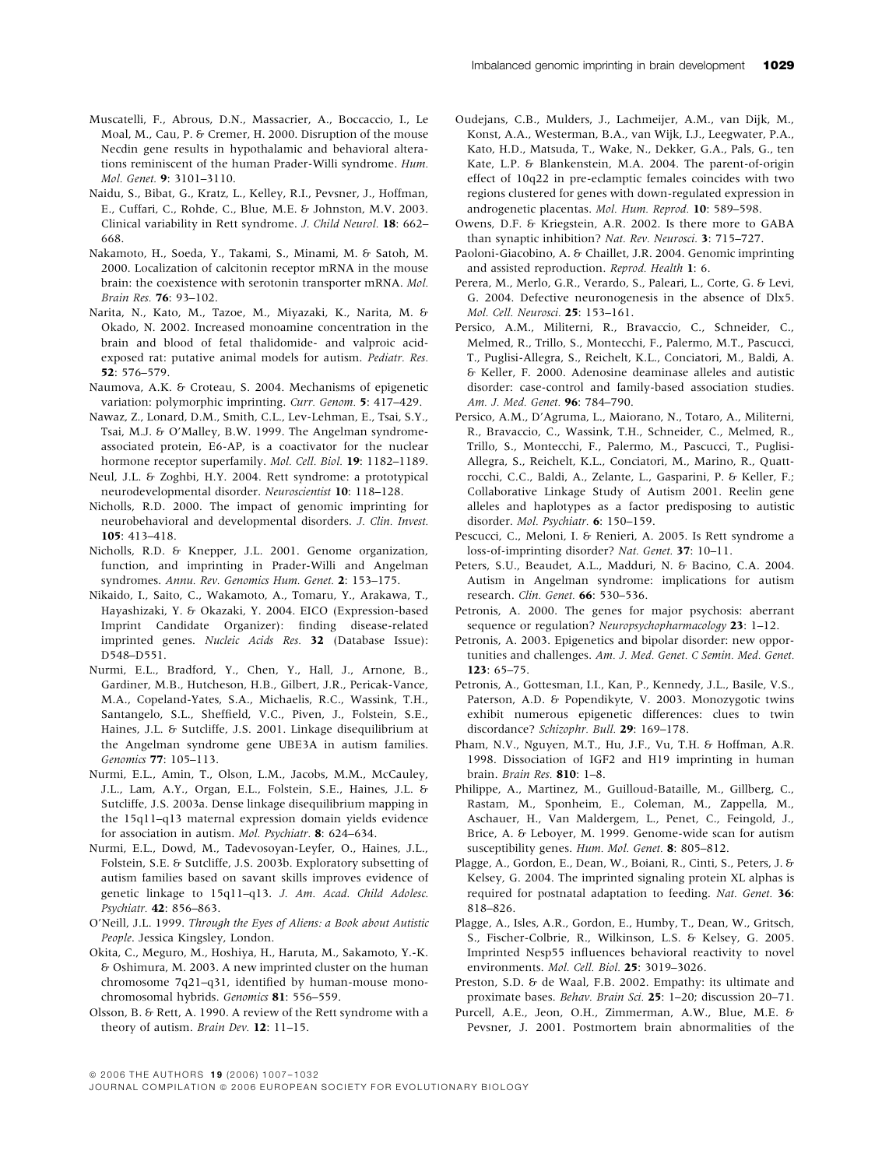- Muscatelli, F., Abrous, D.N., Massacrier, A., Boccaccio, I., Le Moal, M., Cau, P. & Cremer, H. 2000. Disruption of the mouse Necdin gene results in hypothalamic and behavioral alterations reminiscent of the human Prader-Willi syndrome. Hum. Mol. Genet. 9: 3101–3110.
- Naidu, S., Bibat, G., Kratz, L., Kelley, R.I., Pevsner, J., Hoffman, E., Cuffari, C., Rohde, C., Blue, M.E. & Johnston, M.V. 2003. Clinical variability in Rett syndrome. J. Child Neurol. 18: 662– 668.
- Nakamoto, H., Soeda, Y., Takami, S., Minami, M. & Satoh, M. 2000. Localization of calcitonin receptor mRNA in the mouse brain: the coexistence with serotonin transporter mRNA. Mol. Brain Res. 76: 93–102.
- Narita, N., Kato, M., Tazoe, M., Miyazaki, K., Narita, M. & Okado, N. 2002. Increased monoamine concentration in the brain and blood of fetal thalidomide- and valproic acidexposed rat: putative animal models for autism. Pediatr. Res. 52: 576–579.
- Naumova, A.K. & Croteau, S. 2004. Mechanisms of epigenetic variation: polymorphic imprinting. Curr. Genom. 5: 417–429.
- Nawaz, Z., Lonard, D.M., Smith, C.L., Lev-Lehman, E., Tsai, S.Y., Tsai, M.J. & O'Malley, B.W. 1999. The Angelman syndromeassociated protein, E6-AP, is a coactivator for the nuclear hormone receptor superfamily. Mol. Cell. Biol. 19: 1182-1189.
- Neul, J.L. & Zoghbi, H.Y. 2004. Rett syndrome: a prototypical neurodevelopmental disorder. Neuroscientist 10: 118–128.
- Nicholls, R.D. 2000. The impact of genomic imprinting for neurobehavioral and developmental disorders. J. Clin. Invest. 105: 413–418.
- Nicholls, R.D. & Knepper, J.L. 2001. Genome organization, function, and imprinting in Prader-Willi and Angelman syndromes. Annu. Rev. Genomics Hum. Genet. 2: 153-175.
- Nikaido, I., Saito, C., Wakamoto, A., Tomaru, Y., Arakawa, T., Hayashizaki, Y. & Okazaki, Y. 2004. EICO (Expression-based Imprint Candidate Organizer): finding disease-related imprinted genes. Nucleic Acids Res. 32 (Database Issue): D548–D551.
- Nurmi, E.L., Bradford, Y., Chen, Y., Hall, J., Arnone, B., Gardiner, M.B., Hutcheson, H.B., Gilbert, J.R., Pericak-Vance, M.A., Copeland-Yates, S.A., Michaelis, R.C., Wassink, T.H., Santangelo, S.L., Sheffield, V.C., Piven, J., Folstein, S.E., Haines, J.L. & Sutcliffe, J.S. 2001. Linkage disequilibrium at the Angelman syndrome gene UBE3A in autism families. Genomics 77: 105–113.
- Nurmi, E.L., Amin, T., Olson, L.M., Jacobs, M.M., McCauley, J.L., Lam, A.Y., Organ, E.L., Folstein, S.E., Haines, J.L. & Sutcliffe, J.S. 2003a. Dense linkage disequilibrium mapping in the 15q11–q13 maternal expression domain yields evidence for association in autism. Mol. Psychiatr. 8: 624–634.
- Nurmi, E.L., Dowd, M., Tadevosoyan-Leyfer, O., Haines, J.L., Folstein, S.E. & Sutcliffe, J.S. 2003b. Exploratory subsetting of autism families based on savant skills improves evidence of genetic linkage to 15q11–q13. J. Am. Acad. Child Adolesc. Psychiatr. 42: 856–863.
- O'Neill, J.L. 1999. Through the Eyes of Aliens: a Book about Autistic People. Jessica Kingsley, London.
- Okita, C., Meguro, M., Hoshiya, H., Haruta, M., Sakamoto, Y.-K. & Oshimura, M. 2003. A new imprinted cluster on the human chromosome 7q21–q31, identified by human-mouse monochromosomal hybrids. Genomics 81: 556-559.
- Olsson, B. & Rett, A. 1990. A review of the Rett syndrome with a theory of autism. Brain Dev. 12: 11-15.
- Oudejans, C.B., Mulders, J., Lachmeijer, A.M., van Dijk, M., Konst, A.A., Westerman, B.A., van Wijk, I.J., Leegwater, P.A., Kato, H.D., Matsuda, T., Wake, N., Dekker, G.A., Pals, G., ten Kate, L.P. & Blankenstein, M.A. 2004. The parent-of-origin effect of 10q22 in pre-eclamptic females coincides with two regions clustered for genes with down-regulated expression in androgenetic placentas. Mol. Hum. Reprod. 10: 589–598.
- Owens, D.F. & Kriegstein, A.R. 2002. Is there more to GABA than synaptic inhibition? Nat. Rev. Neurosci. 3: 715–727.
- Paoloni-Giacobino, A. & Chaillet, J.R. 2004. Genomic imprinting and assisted reproduction. Reprod. Health 1: 6.
- Perera, M., Merlo, G.R., Verardo, S., Paleari, L., Corte, G. & Levi, G. 2004. Defective neuronogenesis in the absence of Dlx5. Mol. Cell. Neurosci. 25: 153–161.
- Persico, A.M., Militerni, R., Bravaccio, C., Schneider, C., Melmed, R., Trillo, S., Montecchi, F., Palermo, M.T., Pascucci, T., Puglisi-Allegra, S., Reichelt, K.L., Conciatori, M., Baldi, A. & Keller, F. 2000. Adenosine deaminase alleles and autistic disorder: case-control and family-based association studies. Am. J. Med. Genet. 96: 784–790.
- Persico, A.M., D'Agruma, L., Maiorano, N., Totaro, A., Militerni, R., Bravaccio, C., Wassink, T.H., Schneider, C., Melmed, R., Trillo, S., Montecchi, F., Palermo, M., Pascucci, T., Puglisi-Allegra, S., Reichelt, K.L., Conciatori, M., Marino, R., Quattrocchi, C.C., Baldi, A., Zelante, L., Gasparini, P. & Keller, F.; Collaborative Linkage Study of Autism 2001. Reelin gene alleles and haplotypes as a factor predisposing to autistic disorder. Mol. Psychiatr. 6: 150-159.
- Pescucci, C., Meloni, I. & Renieri, A. 2005. Is Rett syndrome a loss-of-imprinting disorder? Nat. Genet. 37: 10–11.
- Peters, S.U., Beaudet, A.L., Madduri, N. & Bacino, C.A. 2004. Autism in Angelman syndrome: implications for autism research. Clin. Genet. 66: 530–536.
- Petronis, A. 2000. The genes for major psychosis: aberrant sequence or regulation? Neuropsychopharmacology 23: 1-12.
- Petronis, A. 2003. Epigenetics and bipolar disorder: new opportunities and challenges. Am. J. Med. Genet. C Semin. Med. Genet. 123: 65–75.
- Petronis, A., Gottesman, I.I., Kan, P., Kennedy, J.L., Basile, V.S., Paterson, A.D. & Popendikyte, V. 2003. Monozygotic twins exhibit numerous epigenetic differences: clues to twin discordance? Schizophr. Bull. 29: 169-178.
- Pham, N.V., Nguyen, M.T., Hu, J.F., Vu, T.H. & Hoffman, A.R. 1998. Dissociation of IGF2 and H19 imprinting in human brain. Brain Res. 810: 1–8.
- Philippe, A., Martinez, M., Guilloud-Bataille, M., Gillberg, C., Rastam, M., Sponheim, E., Coleman, M., Zappella, M., Aschauer, H., Van Maldergem, L., Penet, C., Feingold, J., Brice, A. & Leboyer, M. 1999. Genome-wide scan for autism susceptibility genes. Hum. Mol. Genet. 8: 805-812.
- Plagge, A., Gordon, E., Dean, W., Boiani, R., Cinti, S., Peters, J. & Kelsey, G. 2004. The imprinted signaling protein XL alphas is required for postnatal adaptation to feeding. Nat. Genet. 36: 818–826.
- Plagge, A., Isles, A.R., Gordon, E., Humby, T., Dean, W., Gritsch, S., Fischer-Colbrie, R., Wilkinson, L.S. & Kelsey, G. 2005. Imprinted Nesp55 influences behavioral reactivity to novel environments. Mol. Cell. Biol. 25: 3019–3026.
- Preston, S.D. & de Waal, F.B. 2002. Empathy: its ultimate and proximate bases. Behav. Brain Sci. 25: 1–20; discussion 20–71.
- Purcell, A.E., Jeon, O.H., Zimmerman, A.W., Blue, M.E. & Pevsner, J. 2001. Postmortem brain abnormalities of the

<sup>© 2006</sup> THE AUTHORS 19 (2006) 1007-1032

JOURNAL COMPILATION @ 2006 EUROPEAN SOCIETY FOR EVOLUTIONARY BIOLOGY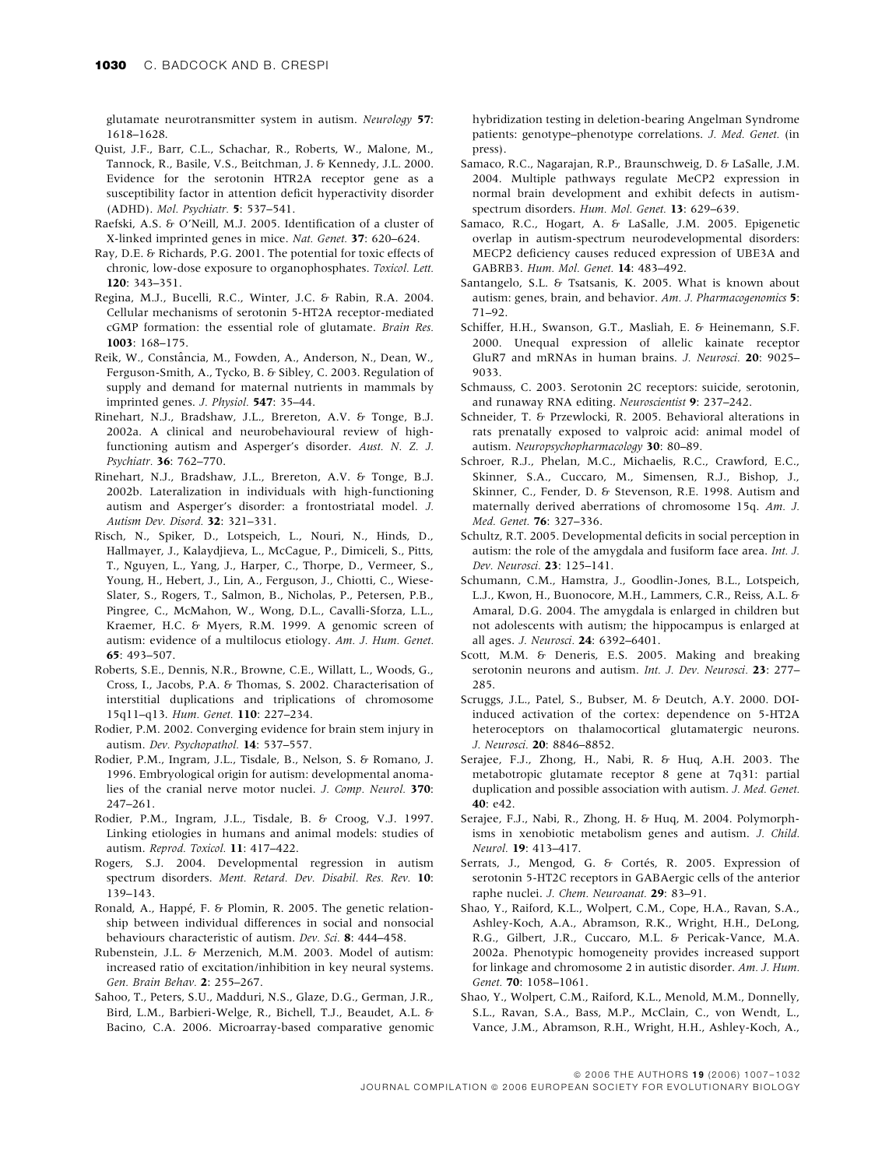glutamate neurotransmitter system in autism. Neurology 57: 1618–1628.

- Quist, J.F., Barr, C.L., Schachar, R., Roberts, W., Malone, M., Tannock, R., Basile, V.S., Beitchman, J. & Kennedy, J.L. 2000. Evidence for the serotonin HTR2A receptor gene as a susceptibility factor in attention deficit hyperactivity disorder (ADHD). Mol. Psychiatr. 5: 537–541.
- Raefski, A.S. & O'Neill, M.J. 2005. Identification of a cluster of X-linked imprinted genes in mice. Nat. Genet. 37: 620–624.
- Ray, D.E. & Richards, P.G. 2001. The potential for toxic effects of chronic, low-dose exposure to organophosphates. Toxicol. Lett. 120: 343–351.
- Regina, M.J., Bucelli, R.C., Winter, J.C. & Rabin, R.A. 2004. Cellular mechanisms of serotonin 5-HT2A receptor-mediated cGMP formation: the essential role of glutamate. Brain Res. 1003: 168–175.
- Reik, W., Constância, M., Fowden, A., Anderson, N., Dean, W., Ferguson-Smith, A., Tycko, B. & Sibley, C. 2003. Regulation of supply and demand for maternal nutrients in mammals by imprinted genes. J. Physiol. 547: 35–44.
- Rinehart, N.J., Bradshaw, J.L., Brereton, A.V. & Tonge, B.J. 2002a. A clinical and neurobehavioural review of highfunctioning autism and Asperger's disorder. Aust. N. Z. J. Psychiatr. 36: 762–770.
- Rinehart, N.J., Bradshaw, J.L., Brereton, A.V. & Tonge, B.J. 2002b. Lateralization in individuals with high-functioning autism and Asperger's disorder: a frontostriatal model. J. Autism Dev. Disord. 32: 321–331.
- Risch, N., Spiker, D., Lotspeich, L., Nouri, N., Hinds, D., Hallmayer, J., Kalaydjieva, L., McCague, P., Dimiceli, S., Pitts, T., Nguyen, L., Yang, J., Harper, C., Thorpe, D., Vermeer, S., Young, H., Hebert, J., Lin, A., Ferguson, J., Chiotti, C., Wiese-Slater, S., Rogers, T., Salmon, B., Nicholas, P., Petersen, P.B., Pingree, C., McMahon, W., Wong, D.L., Cavalli-Sforza, L.L., Kraemer, H.C. & Myers, R.M. 1999. A genomic screen of autism: evidence of a multilocus etiology. Am. J. Hum. Genet. 65: 493–507.
- Roberts, S.E., Dennis, N.R., Browne, C.E., Willatt, L., Woods, G., Cross, I., Jacobs, P.A. & Thomas, S. 2002. Characterisation of interstitial duplications and triplications of chromosome 15q11–q13. Hum. Genet. 110: 227–234.
- Rodier, P.M. 2002. Converging evidence for brain stem injury in autism. Dev. Psychopathol. 14: 537–557.
- Rodier, P.M., Ingram, J.L., Tisdale, B., Nelson, S. & Romano, J. 1996. Embryological origin for autism: developmental anomalies of the cranial nerve motor nuclei. J. Comp. Neurol. 370: 247–261.
- Rodier, P.M., Ingram, J.L., Tisdale, B. & Croog, V.J. 1997. Linking etiologies in humans and animal models: studies of autism. Reprod. Toxicol. 11: 417–422.
- Rogers, S.J. 2004. Developmental regression in autism spectrum disorders. Ment. Retard. Dev. Disabil. Res. Rev. 10: 139–143.
- Ronald, A., Happé, F. & Plomin, R. 2005. The genetic relationship between individual differences in social and nonsocial behaviours characteristic of autism. Dev. Sci. 8: 444-458.
- Rubenstein, J.L. & Merzenich, M.M. 2003. Model of autism: increased ratio of excitation/inhibition in key neural systems. Gen. Brain Behav. 2: 255–267.
- Sahoo, T., Peters, S.U., Madduri, N.S., Glaze, D.G., German, J.R., Bird, L.M., Barbieri-Welge, R., Bichell, T.J., Beaudet, A.L. & Bacino, C.A. 2006. Microarray-based comparative genomic

hybridization testing in deletion-bearing Angelman Syndrome patients: genotype–phenotype correlations. J. Med. Genet. (in press).

- Samaco, R.C., Nagarajan, R.P., Braunschweig, D. & LaSalle, J.M. 2004. Multiple pathways regulate MeCP2 expression in normal brain development and exhibit defects in autismspectrum disorders. Hum. Mol. Genet. 13: 629–639.
- Samaco, R.C., Hogart, A. & LaSalle, J.M. 2005. Epigenetic overlap in autism-spectrum neurodevelopmental disorders: MECP2 deficiency causes reduced expression of UBE3A and GABRB3. Hum. Mol. Genet. 14: 483–492.
- Santangelo, S.L. & Tsatsanis, K. 2005. What is known about autism: genes, brain, and behavior. Am. J. Pharmacogenomics 5: 71–92.
- Schiffer, H.H., Swanson, G.T., Masliah, E. & Heinemann, S.F. 2000. Unequal expression of allelic kainate receptor GluR7 and mRNAs in human brains. J. Neurosci. 20: 9025-9033.
- Schmauss, C. 2003. Serotonin 2C receptors: suicide, serotonin, and runaway RNA editing. Neuroscientist 9: 237–242.
- Schneider, T. & Przewlocki, R. 2005. Behavioral alterations in rats prenatally exposed to valproic acid: animal model of autism. Neuropsychopharmacology 30: 80–89.
- Schroer, R.J., Phelan, M.C., Michaelis, R.C., Crawford, E.C., Skinner, S.A., Cuccaro, M., Simensen, R.J., Bishop, J., Skinner, C., Fender, D. & Stevenson, R.E. 1998. Autism and maternally derived aberrations of chromosome 15q. Am. J. Med. Genet. 76: 327–336.
- Schultz, R.T. 2005. Developmental deficits in social perception in autism: the role of the amygdala and fusiform face area. Int. J. Dev. Neurosci. 23: 125–141.
- Schumann, C.M., Hamstra, J., Goodlin-Jones, B.L., Lotspeich, L.J., Kwon, H., Buonocore, M.H., Lammers, C.R., Reiss, A.L. & Amaral, D.G. 2004. The amygdala is enlarged in children but not adolescents with autism; the hippocampus is enlarged at all ages. J. Neurosci. 24: 6392–6401.
- Scott, M.M. & Deneris, E.S. 2005. Making and breaking serotonin neurons and autism. Int. J. Dev. Neurosci. 23: 277-285.
- Scruggs, J.L., Patel, S., Bubser, M. & Deutch, A.Y. 2000. DOIinduced activation of the cortex: dependence on 5-HT2A heteroceptors on thalamocortical glutamatergic neurons. J. Neurosci. 20: 8846–8852.
- Serajee, F.J., Zhong, H., Nabi, R. & Huq, A.H. 2003. The metabotropic glutamate receptor 8 gene at 7q31: partial duplication and possible association with autism. J. Med. Genet. 40: e42.
- Serajee, F.J., Nabi, R., Zhong, H. & Huq, M. 2004. Polymorphisms in xenobiotic metabolism genes and autism. J. Child. Neurol. 19: 413–417.
- Serrats, J., Mengod, G. & Cortés, R. 2005. Expression of serotonin 5-HT2C receptors in GABAergic cells of the anterior raphe nuclei. J. Chem. Neuroanat. 29: 83–91.
- Shao, Y., Raiford, K.L., Wolpert, C.M., Cope, H.A., Ravan, S.A., Ashley-Koch, A.A., Abramson, R.K., Wright, H.H., DeLong, R.G., Gilbert, J.R., Cuccaro, M.L. & Pericak-Vance, M.A. 2002a. Phenotypic homogeneity provides increased support for linkage and chromosome 2 in autistic disorder. Am. J. Hum. Genet. 70: 1058–1061.
- Shao, Y., Wolpert, C.M., Raiford, K.L., Menold, M.M., Donnelly, S.L., Ravan, S.A., Bass, M.P., McClain, C., von Wendt, L., Vance, J.M., Abramson, R.H., Wright, H.H., Ashley-Koch, A.,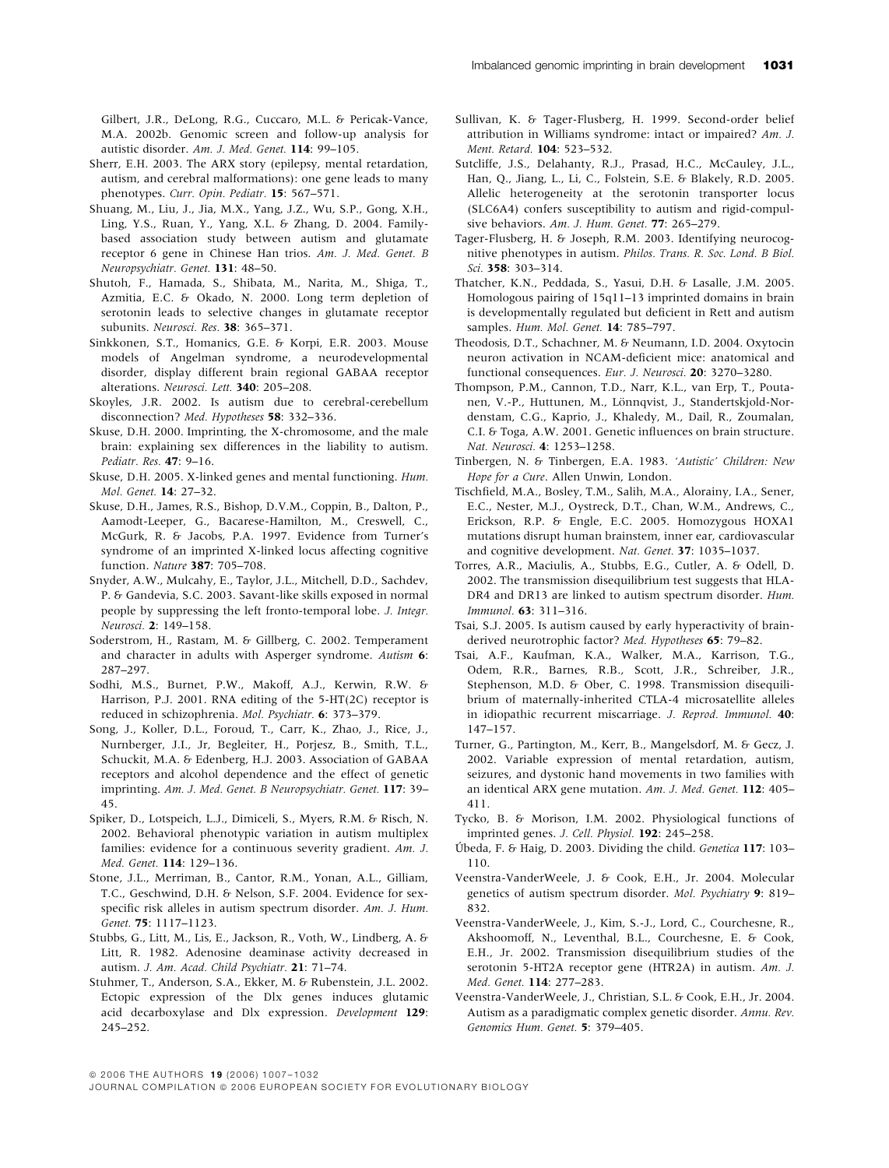Gilbert, J.R., DeLong, R.G., Cuccaro, M.L. & Pericak-Vance, M.A. 2002b. Genomic screen and follow-up analysis for autistic disorder. Am. J. Med. Genet. 114: 99–105.

- Sherr, E.H. 2003. The ARX story (epilepsy, mental retardation, autism, and cerebral malformations): one gene leads to many phenotypes. Curr. Opin. Pediatr. 15: 567–571.
- Shuang, M., Liu, J., Jia, M.X., Yang, J.Z., Wu, S.P., Gong, X.H., Ling, Y.S., Ruan, Y., Yang, X.L. & Zhang, D. 2004. Familybased association study between autism and glutamate receptor 6 gene in Chinese Han trios. Am. J. Med. Genet. B Neuropsychiatr. Genet. 131: 48–50.
- Shutoh, F., Hamada, S., Shibata, M., Narita, M., Shiga, T., Azmitia, E.C. & Okado, N. 2000. Long term depletion of serotonin leads to selective changes in glutamate receptor subunits. Neurosci. Res. 38: 365-371.
- Sinkkonen, S.T., Homanics, G.E. & Korpi, E.R. 2003. Mouse models of Angelman syndrome, a neurodevelopmental disorder, display different brain regional GABAA receptor alterations. Neurosci. Lett. 340: 205-208.
- Skoyles, J.R. 2002. Is autism due to cerebral-cerebellum disconnection? Med. Hypotheses 58: 332–336.
- Skuse, D.H. 2000. Imprinting, the X-chromosome, and the male brain: explaining sex differences in the liability to autism. Pediatr. Res. 47: 9–16.
- Skuse, D.H. 2005. X-linked genes and mental functioning. Hum. Mol. Genet. 14: 27–32.
- Skuse, D.H., James, R.S., Bishop, D.V.M., Coppin, B., Dalton, P., Aamodt-Leeper, G., Bacarese-Hamilton, M., Creswell, C., McGurk, R. & Jacobs, P.A. 1997. Evidence from Turner's syndrome of an imprinted X-linked locus affecting cognitive function. Nature 387: 705–708.
- Snyder, A.W., Mulcahy, E., Taylor, J.L., Mitchell, D.D., Sachdev, P. & Gandevia, S.C. 2003. Savant-like skills exposed in normal people by suppressing the left fronto-temporal lobe. J. Integr. Neurosci. 2: 149–158.
- Soderstrom, H., Rastam, M. & Gillberg, C. 2002. Temperament and character in adults with Asperger syndrome. Autism 6: 287–297.
- Sodhi, M.S., Burnet, P.W., Makoff, A.J., Kerwin, R.W. & Harrison, P.J. 2001. RNA editing of the 5-HT(2C) receptor is reduced in schizophrenia. Mol. Psychiatr. 6: 373–379.
- Song, J., Koller, D.L., Foroud, T., Carr, K., Zhao, J., Rice, J., Nurnberger, J.I., Jr, Begleiter, H., Porjesz, B., Smith, T.L., Schuckit, M.A. & Edenberg, H.J. 2003. Association of GABAA receptors and alcohol dependence and the effect of genetic imprinting. Am. J. Med. Genet. B Neuropsychiatr. Genet. 117: 39– 45.
- Spiker, D., Lotspeich, L.J., Dimiceli, S., Myers, R.M. & Risch, N. 2002. Behavioral phenotypic variation in autism multiplex families: evidence for a continuous severity gradient. Am. J. Med. Genet. 114: 129–136.
- Stone, J.L., Merriman, B., Cantor, R.M., Yonan, A.L., Gilliam, T.C., Geschwind, D.H. & Nelson, S.F. 2004. Evidence for sexspecific risk alleles in autism spectrum disorder. Am. J. Hum. Genet. 75: 1117–1123.
- Stubbs, G., Litt, M., Lis, E., Jackson, R., Voth, W., Lindberg, A. & Litt, R. 1982. Adenosine deaminase activity decreased in autism. J. Am. Acad. Child Psychiatr. 21: 71-74.
- Stuhmer, T., Anderson, S.A., Ekker, M. & Rubenstein, J.L. 2002. Ectopic expression of the Dlx genes induces glutamic acid decarboxylase and Dlx expression. Development 129: 245–252.
- Sullivan, K. & Tager-Flusberg, H. 1999. Second-order belief attribution in Williams syndrome: intact or impaired? Am. J. Ment. Retard. 104: 523–532.
- Sutcliffe, J.S., Delahanty, R.J., Prasad, H.C., McCauley, J.L., Han, Q., Jiang, L., Li, C., Folstein, S.E. & Blakely, R.D. 2005. Allelic heterogeneity at the serotonin transporter locus (SLC6A4) confers susceptibility to autism and rigid-compulsive behaviors. Am. J. Hum. Genet. 77: 265-279.
- Tager-Flusberg, H. & Joseph, R.M. 2003. Identifying neurocognitive phenotypes in autism. Philos. Trans. R. Soc. Lond. B Biol. Sci. 358: 303–314.
- Thatcher, K.N., Peddada, S., Yasui, D.H. & Lasalle, J.M. 2005. Homologous pairing of 15q11–13 imprinted domains in brain is developmentally regulated but deficient in Rett and autism samples. Hum. Mol. Genet. 14: 785-797.
- Theodosis, D.T., Schachner, M. & Neumann, I.D. 2004. Oxytocin neuron activation in NCAM-deficient mice: anatomical and functional consequences. Eur. J. Neurosci. 20: 3270-3280.
- Thompson, P.M., Cannon, T.D., Narr, K.L., van Erp, T., Poutanen, V.-P., Huttunen, M., Lönnqvist, J., Standertskjold-Nordenstam, C.G., Kaprio, J., Khaledy, M., Dail, R., Zoumalan, C.I. & Toga, A.W. 2001. Genetic influences on brain structure. Nat. Neurosci. 4: 1253–1258.
- Tinbergen, N. & Tinbergen, E.A. 1983. 'Autistic' Children: New Hope for a Cure. Allen Unwin, London.
- Tischfield, M.A., Bosley, T.M., Salih, M.A., Alorainy, I.A., Sener, E.C., Nester, M.J., Oystreck, D.T., Chan, W.M., Andrews, C., Erickson, R.P. & Engle, E.C. 2005. Homozygous HOXA1 mutations disrupt human brainstem, inner ear, cardiovascular and cognitive development. Nat. Genet. 37: 1035–1037.
- Torres, A.R., Maciulis, A., Stubbs, E.G., Cutler, A. & Odell, D. 2002. The transmission disequilibrium test suggests that HLA-DR4 and DR13 are linked to autism spectrum disorder. Hum. Immunol. 63: 311–316.
- Tsai, S.J. 2005. Is autism caused by early hyperactivity of brainderived neurotrophic factor? Med. Hypotheses 65: 79–82.
- Tsai, A.F., Kaufman, K.A., Walker, M.A., Karrison, T.G., Odem, R.R., Barnes, R.B., Scott, J.R., Schreiber, J.R., Stephenson, M.D. & Ober, C. 1998. Transmission disequilibrium of maternally-inherited CTLA-4 microsatellite alleles in idiopathic recurrent miscarriage. J. Reprod. Immunol. 40: 147–157.
- Turner, G., Partington, M., Kerr, B., Mangelsdorf, M. & Gecz, J. 2002. Variable expression of mental retardation, autism, seizures, and dystonic hand movements in two families with an identical ARX gene mutation. Am. J. Med. Genet. 112: 405– 411.
- Tycko, B. & Morison, I.M. 2002. Physiological functions of imprinted genes. J. Cell. Physiol. 192: 245–258.
- Úbeda, F. & Haig, D. 2003. Dividing the child. Genetica  $117: 103-$ 110.
- Veenstra-VanderWeele, J. & Cook, E.H., Jr. 2004. Molecular genetics of autism spectrum disorder. Mol. Psychiatry 9: 819– 832.
- Veenstra-VanderWeele, J., Kim, S.-J., Lord, C., Courchesne, R., Akshoomoff, N., Leventhal, B.L., Courchesne, E. & Cook, E.H., Jr. 2002. Transmission disequilibrium studies of the serotonin 5-HT2A receptor gene (HTR2A) in autism. Am. J. Med. Genet. 114: 277–283.
- Veenstra-VanderWeele, J., Christian, S.L. & Cook, E.H., Jr. 2004. Autism as a paradigmatic complex genetic disorder. Annu. Rev. Genomics Hum. Genet. 5: 379-405.

<sup>© 2006</sup> THE AUTHORS 19 (2006) 1007-1032

JOURNAL COMPILATION @ 2006 EUROPEAN SOCIETY FOR EVOLUTIONARY BIOLOGY